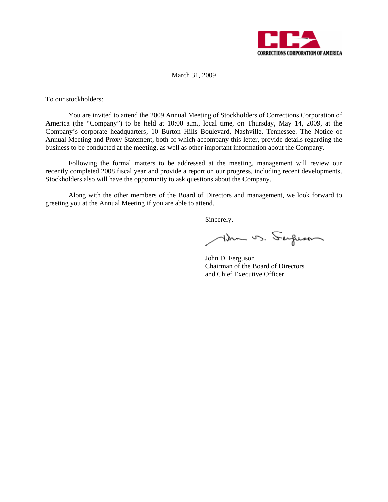

March 31, 2009

To our stockholders:

You are invited to attend the 2009 Annual Meeting of Stockholders of Corrections Corporation of America (the "Company") to be held at 10:00 a.m., local time, on Thursday, May 14, 2009, at the Company's corporate headquarters, 10 Burton Hills Boulevard, Nashville, Tennessee. The Notice of Annual Meeting and Proxy Statement, both of which accompany this letter, provide details regarding the business to be conducted at the meeting, as well as other important information about the Company.

Following the formal matters to be addressed at the meeting, management will review our recently completed 2008 fiscal year and provide a report on our progress, including recent developments. Stockholders also will have the opportunity to ask questions about the Company.

Along with the other members of the Board of Directors and management, we look forward to greeting you at the Annual Meeting if you are able to attend.

Sincerely,

Am vs. Sergeson

 John D. Ferguson Chairman of the Board of Directors and Chief Executive Officer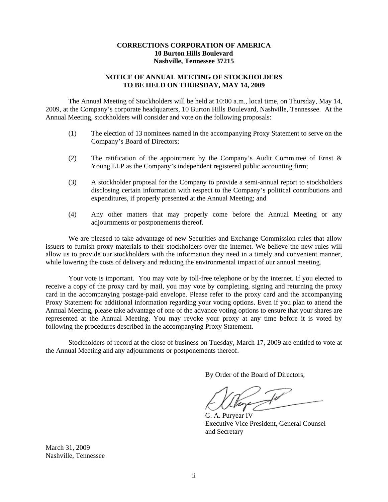## **CORRECTIONS CORPORATION OF AMERICA 10 Burton Hills Boulevard Nashville, Tennessee 37215**

# **NOTICE OF ANNUAL MEETING OF STOCKHOLDERS TO BE HELD ON THURSDAY, MAY 14, 2009**

The Annual Meeting of Stockholders will be held at 10:00 a.m., local time, on Thursday, May 14, 2009, at the Company's corporate headquarters, 10 Burton Hills Boulevard, Nashville, Tennessee. At the Annual Meeting, stockholders will consider and vote on the following proposals:

- (1) The election of 13 nominees named in the accompanying Proxy Statement to serve on the Company's Board of Directors;
- (2) The ratification of the appointment by the Company's Audit Committee of Ernst & Young LLP as the Company's independent registered public accounting firm;
- (3) A stockholder proposal for the Company to provide a semi-annual report to stockholders disclosing certain information with respect to the Company's political contributions and expenditures, if properly presented at the Annual Meeting; and
- (4) Any other matters that may properly come before the Annual Meeting or any adjournments or postponements thereof.

We are pleased to take advantage of new Securities and Exchange Commission rules that allow issuers to furnish proxy materials to their stockholders over the internet. We believe the new rules will allow us to provide our stockholders with the information they need in a timely and convenient manner, while lowering the costs of delivery and reducing the environmental impact of our annual meeting.

Your vote is important. You may vote by toll-free telephone or by the internet. If you elected to receive a copy of the proxy card by mail, you may vote by completing, signing and returning the proxy card in the accompanying postage-paid envelope. Please refer to the proxy card and the accompanying Proxy Statement for additional information regarding your voting options. Even if you plan to attend the Annual Meeting, please take advantage of one of the advance voting options to ensure that your shares are represented at the Annual Meeting. You may revoke your proxy at any time before it is voted by following the procedures described in the accompanying Proxy Statement.

Stockholders of record at the close of business on Tuesday, March 17, 2009 are entitled to vote at the Annual Meeting and any adjournments or postponements thereof.

By Order of the Board of Directors,

 G. A. Puryear IV Executive Vice President, General Counsel and Secretary

March 31, 2009 Nashville, Tennessee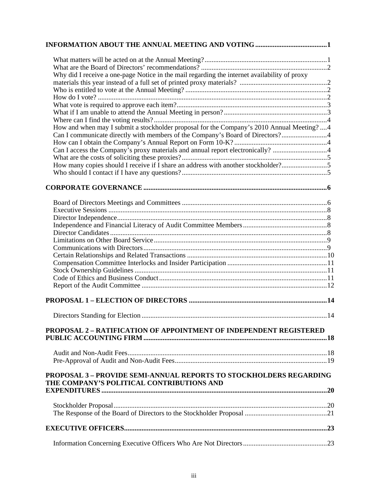| Why did I receive a one-page Notice in the mail regarding the internet availability of proxy                           |  |
|------------------------------------------------------------------------------------------------------------------------|--|
|                                                                                                                        |  |
|                                                                                                                        |  |
|                                                                                                                        |  |
|                                                                                                                        |  |
|                                                                                                                        |  |
|                                                                                                                        |  |
| How and when may I submit a stockholder proposal for the Company's 2010 Annual Meeting?  4                             |  |
|                                                                                                                        |  |
|                                                                                                                        |  |
| Can I access the Company's proxy materials and annual report electronically? 4                                         |  |
|                                                                                                                        |  |
| How many copies should I receive if I share an address with another stockholder?5                                      |  |
|                                                                                                                        |  |
|                                                                                                                        |  |
|                                                                                                                        |  |
|                                                                                                                        |  |
|                                                                                                                        |  |
|                                                                                                                        |  |
|                                                                                                                        |  |
|                                                                                                                        |  |
|                                                                                                                        |  |
|                                                                                                                        |  |
|                                                                                                                        |  |
|                                                                                                                        |  |
|                                                                                                                        |  |
|                                                                                                                        |  |
|                                                                                                                        |  |
|                                                                                                                        |  |
|                                                                                                                        |  |
|                                                                                                                        |  |
| <b>PROPOSAL 2 - RATIFICATION OF APPOINTMENT OF INDEPENDENT REGISTERED</b>                                              |  |
|                                                                                                                        |  |
|                                                                                                                        |  |
|                                                                                                                        |  |
|                                                                                                                        |  |
| <b>PROPOSAL 3 - PROVIDE SEMI-ANNUAL REPORTS TO STOCKHOLDERS REGARDING</b><br>THE COMPANY'S POLITICAL CONTRIBUTIONS AND |  |
|                                                                                                                        |  |
|                                                                                                                        |  |
|                                                                                                                        |  |
|                                                                                                                        |  |
|                                                                                                                        |  |
|                                                                                                                        |  |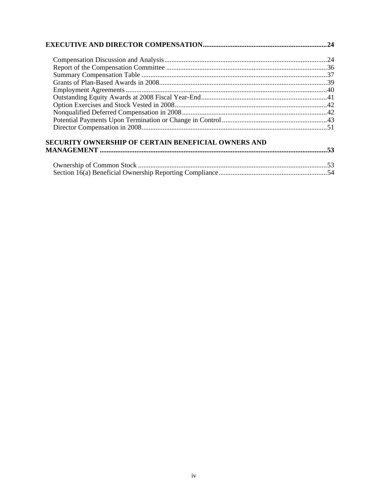| <b>SECURITY OWNERSHIP OF CERTAIN BENEFICIAL OWNERS AND</b> |  |
|------------------------------------------------------------|--|
|                                                            |  |
|                                                            |  |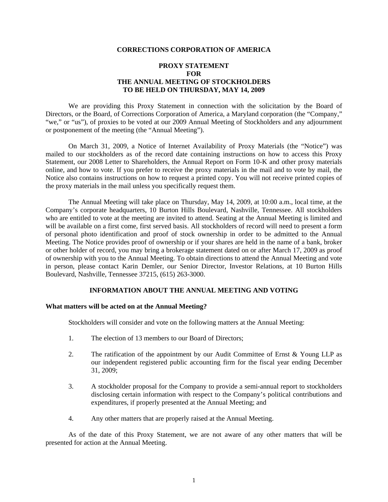### **CORRECTIONS CORPORATION OF AMERICA**

# **PROXY STATEMENT FOR THE ANNUAL MEETING OF STOCKHOLDERS TO BE HELD ON THURSDAY, MAY 14, 2009**

We are providing this Proxy Statement in connection with the solicitation by the Board of Directors, or the Board, of Corrections Corporation of America, a Maryland corporation (the "Company," "we," or "us"), of proxies to be voted at our 2009 Annual Meeting of Stockholders and any adjournment or postponement of the meeting (the "Annual Meeting").

On March 31, 2009, a Notice of Internet Availability of Proxy Materials (the "Notice") was mailed to our stockholders as of the record date containing instructions on how to access this Proxy Statement, our 2008 Letter to Shareholders, the Annual Report on Form 10-K and other proxy materials online, and how to vote. If you prefer to receive the proxy materials in the mail and to vote by mail, the Notice also contains instructions on how to request a printed copy. You will not receive printed copies of the proxy materials in the mail unless you specifically request them.

The Annual Meeting will take place on Thursday, May 14, 2009, at 10:00 a.m., local time, at the Company's corporate headquarters, 10 Burton Hills Boulevard, Nashville, Tennessee. All stockholders who are entitled to vote at the meeting are invited to attend. Seating at the Annual Meeting is limited and will be available on a first come, first served basis. All stockholders of record will need to present a form of personal photo identification and proof of stock ownership in order to be admitted to the Annual Meeting. The Notice provides proof of ownership or if your shares are held in the name of a bank, broker or other holder of record, you may bring a brokerage statement dated on or after March 17, 2009 as proof of ownership with you to the Annual Meeting. To obtain directions to attend the Annual Meeting and vote in person, please contact Karin Demler, our Senior Director, Investor Relations, at 10 Burton Hills Boulevard, Nashville, Tennessee 37215, (615) 263-3000.

## **INFORMATION ABOUT THE ANNUAL MEETING AND VOTING**

### **What matters will be acted on at the Annual Meeting?**

Stockholders will consider and vote on the following matters at the Annual Meeting:

- 1. The election of 13 members to our Board of Directors;
- 2. The ratification of the appointment by our Audit Committee of Ernst & Young LLP as our independent registered public accounting firm for the fiscal year ending December 31, 2009;
- 3. A stockholder proposal for the Company to provide a semi-annual report to stockholders disclosing certain information with respect to the Company's political contributions and expenditures, if properly presented at the Annual Meeting; and
- 4. Any other matters that are properly raised at the Annual Meeting.

As of the date of this Proxy Statement, we are not aware of any other matters that will be presented for action at the Annual Meeting.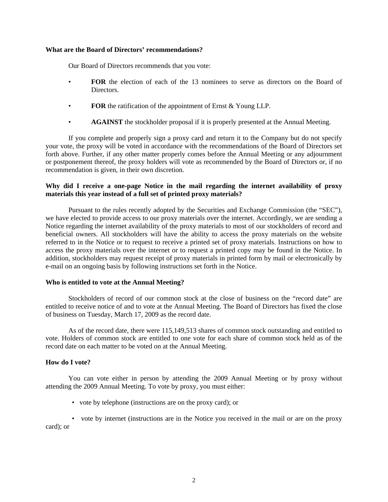## **What are the Board of Directors' recommendations?**

Our Board of Directors recommends that you vote:

- **FOR** the election of each of the 13 nominees to serve as directors on the Board of Directors.
- **FOR** the ratification of the appointment of Ernst & Young LLP.
- **AGAINST** the stockholder proposal if it is properly presented at the Annual Meeting.

If you complete and properly sign a proxy card and return it to the Company but do not specify your vote, the proxy will be voted in accordance with the recommendations of the Board of Directors set forth above. Further, if any other matter properly comes before the Annual Meeting or any adjournment or postponement thereof, the proxy holders will vote as recommended by the Board of Directors or, if no recommendation is given, in their own discretion.

## **Why did I receive a one-page Notice in the mail regarding the internet availability of proxy materials this year instead of a full set of printed proxy materials?**

 Pursuant to the rules recently adopted by the Securities and Exchange Commission (the "SEC"), we have elected to provide access to our proxy materials over the internet. Accordingly, we are sending a Notice regarding the internet availability of the proxy materials to most of our stockholders of record and beneficial owners. All stockholders will have the ability to access the proxy materials on the website referred to in the Notice or to request to receive a printed set of proxy materials. Instructions on how to access the proxy materials over the internet or to request a printed copy may be found in the Notice. In addition, stockholders may request receipt of proxy materials in printed form by mail or electronically by e-mail on an ongoing basis by following instructions set forth in the Notice.

## **Who is entitled to vote at the Annual Meeting?**

Stockholders of record of our common stock at the close of business on the "record date" are entitled to receive notice of and to vote at the Annual Meeting. The Board of Directors has fixed the close of business on Tuesday, March 17, 2009 as the record date.

As of the record date, there were 115,149,513 shares of common stock outstanding and entitled to vote. Holders of common stock are entitled to one vote for each share of common stock held as of the record date on each matter to be voted on at the Annual Meeting.

# **How do I vote?**

You can vote either in person by attending the 2009 Annual Meeting or by proxy without attending the 2009 Annual Meeting. To vote by proxy, you must either:

- vote by telephone (instructions are on the proxy card); or
- vote by internet (instructions are in the Notice you received in the mail or are on the proxy card); or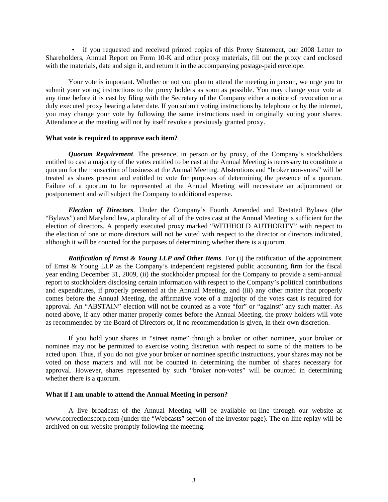• if you requested and received printed copies of this Proxy Statement, our 2008 Letter to Shareholders, Annual Report on Form 10-K and other proxy materials, fill out the proxy card enclosed with the materials, date and sign it, and return it in the accompanying postage-paid envelope.

Your vote is important. Whether or not you plan to attend the meeting in person, we urge you to submit your voting instructions to the proxy holders as soon as possible. You may change your vote at any time before it is cast by filing with the Secretary of the Company either a notice of revocation or a duly executed proxy bearing a later date. If you submit voting instructions by telephone or by the internet, you may change your vote by following the same instructions used in originally voting your shares. Attendance at the meeting will not by itself revoke a previously granted proxy.

## **What vote is required to approve each item?**

*Quorum Requirement*. The presence, in person or by proxy, of the Company's stockholders entitled to cast a majority of the votes entitled to be cast at the Annual Meeting is necessary to constitute a quorum for the transaction of business at the Annual Meeting. Abstentions and "broker non-votes" will be treated as shares present and entitled to vote for purposes of determining the presence of a quorum. Failure of a quorum to be represented at the Annual Meeting will necessitate an adjournment or postponement and will subject the Company to additional expense.

*Election of Directors*. Under the Company's Fourth Amended and Restated Bylaws (the "Bylaws") and Maryland law, a plurality of all of the votes cast at the Annual Meeting is sufficient for the election of directors. A properly executed proxy marked "WITHHOLD AUTHORITY" with respect to the election of one or more directors will not be voted with respect to the director or directors indicated, although it will be counted for the purposes of determining whether there is a quorum.

*Ratification of Ernst & Young LLP and Other Items*. For (i) the ratification of the appointment of Ernst & Young LLP as the Company's independent registered public accounting firm for the fiscal year ending December 31, 2009, (ii) the stockholder proposal for the Company to provide a semi-annual report to stockholders disclosing certain information with respect to the Company's political contributions and expenditures, if properly presented at the Annual Meeting, and (iii) any other matter that properly comes before the Annual Meeting, the affirmative vote of a majority of the votes cast is required for approval. An "ABSTAIN" election will not be counted as a vote "for" or "against" any such matter. As noted above, if any other matter properly comes before the Annual Meeting, the proxy holders will vote as recommended by the Board of Directors or, if no recommendation is given, in their own discretion.

If you hold your shares in "street name" through a broker or other nominee, your broker or nominee may not be permitted to exercise voting discretion with respect to some of the matters to be acted upon. Thus, if you do not give your broker or nominee specific instructions, your shares may not be voted on those matters and will not be counted in determining the number of shares necessary for approval. However, shares represented by such "broker non-votes" will be counted in determining whether there is a quorum.

## **What if I am unable to attend the Annual Meeting in person?**

A live broadcast of the Annual Meeting will be available on-line through our website at www.correctionscorp.com (under the "Webcasts" section of the Investor page). The on-line replay will be archived on our website promptly following the meeting.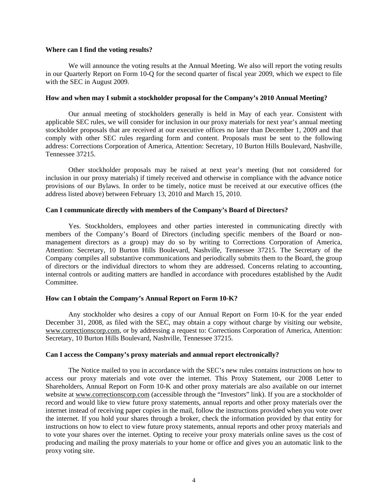### **Where can I find the voting results?**

We will announce the voting results at the Annual Meeting. We also will report the voting results in our Quarterly Report on Form 10-Q for the second quarter of fiscal year 2009, which we expect to file with the SEC in August 2009.

## **How and when may I submit a stockholder proposal for the Company's 2010 Annual Meeting?**

Our annual meeting of stockholders generally is held in May of each year. Consistent with applicable SEC rules, we will consider for inclusion in our proxy materials for next year's annual meeting stockholder proposals that are received at our executive offices no later than December 1, 2009 and that comply with other SEC rules regarding form and content. Proposals must be sent to the following address: Corrections Corporation of America, Attention: Secretary, 10 Burton Hills Boulevard, Nashville, Tennessee 37215.

Other stockholder proposals may be raised at next year's meeting (but not considered for inclusion in our proxy materials) if timely received and otherwise in compliance with the advance notice provisions of our Bylaws. In order to be timely, notice must be received at our executive offices (the address listed above) between February 13, 2010 and March 15, 2010.

## **Can I communicate directly with members of the Company's Board of Directors?**

Yes. Stockholders, employees and other parties interested in communicating directly with members of the Company's Board of Directors (including specific members of the Board or nonmanagement directors as a group) may do so by writing to Corrections Corporation of America, Attention: Secretary, 10 Burton Hills Boulevard, Nashville, Tennessee 37215. The Secretary of the Company compiles all substantive communications and periodically submits them to the Board, the group of directors or the individual directors to whom they are addressed. Concerns relating to accounting, internal controls or auditing matters are handled in accordance with procedures established by the Audit Committee.

## **How can I obtain the Company's Annual Report on Form 10-K?**

Any stockholder who desires a copy of our Annual Report on Form 10-K for the year ended December 31, 2008, as filed with the SEC, may obtain a copy without charge by visiting our website, www.correctionscorp.com, or by addressing a request to: Corrections Corporation of America, Attention: Secretary, 10 Burton Hills Boulevard, Nashville, Tennessee 37215.

## **Can I access the Company's proxy materials and annual report electronically?**

The Notice mailed to you in accordance with the SEC's new rules contains instructions on how to access our proxy materials and vote over the internet. This Proxy Statement, our 2008 Letter to Shareholders, Annual Report on Form 10-K and other proxy materials are also available on our internet website at www.correctionscorp.com (accessible through the "Investors" link). If you are a stockholder of record and would like to view future proxy statements, annual reports and other proxy materials over the internet instead of receiving paper copies in the mail, follow the instructions provided when you vote over the internet. If you hold your shares through a broker, check the information provided by that entity for instructions on how to elect to view future proxy statements, annual reports and other proxy materials and to vote your shares over the internet. Opting to receive your proxy materials online saves us the cost of producing and mailing the proxy materials to your home or office and gives you an automatic link to the proxy voting site.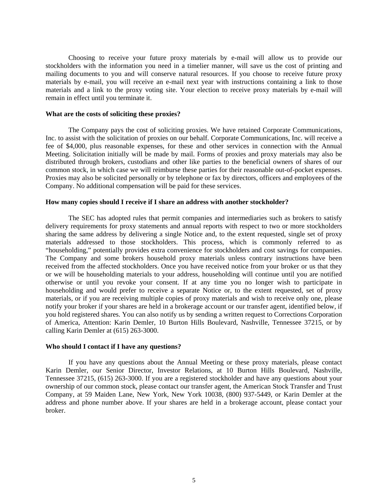Choosing to receive your future proxy materials by e-mail will allow us to provide our stockholders with the information you need in a timelier manner, will save us the cost of printing and mailing documents to you and will conserve natural resources. If you choose to receive future proxy materials by e-mail, you will receive an e-mail next year with instructions containing a link to those materials and a link to the proxy voting site. Your election to receive proxy materials by e-mail will remain in effect until you terminate it.

### **What are the costs of soliciting these proxies?**

The Company pays the cost of soliciting proxies. We have retained Corporate Communications, Inc. to assist with the solicitation of proxies on our behalf. Corporate Communications, Inc. will receive a fee of \$4,000, plus reasonable expenses, for these and other services in connection with the Annual Meeting. Solicitation initially will be made by mail. Forms of proxies and proxy materials may also be distributed through brokers, custodians and other like parties to the beneficial owners of shares of our common stock, in which case we will reimburse these parties for their reasonable out-of-pocket expenses. Proxies may also be solicited personally or by telephone or fax by directors, officers and employees of the Company. No additional compensation will be paid for these services.

### **How many copies should I receive if I share an address with another stockholder?**

The SEC has adopted rules that permit companies and intermediaries such as brokers to satisfy delivery requirements for proxy statements and annual reports with respect to two or more stockholders sharing the same address by delivering a single Notice and, to the extent requested, single set of proxy materials addressed to those stockholders. This process, which is commonly referred to as "householding," potentially provides extra convenience for stockholders and cost savings for companies. The Company and some brokers household proxy materials unless contrary instructions have been received from the affected stockholders. Once you have received notice from your broker or us that they or we will be householding materials to your address, householding will continue until you are notified otherwise or until you revoke your consent. If at any time you no longer wish to participate in householding and would prefer to receive a separate Notice or, to the extent requested, set of proxy materials, or if you are receiving multiple copies of proxy materials and wish to receive only one, please notify your broker if your shares are held in a brokerage account or our transfer agent, identified below, if you hold registered shares. You can also notify us by sending a written request to Corrections Corporation of America, Attention: Karin Demler, 10 Burton Hills Boulevard, Nashville, Tennessee 37215, or by calling Karin Demler at (615) 263-3000.

### **Who should I contact if I have any questions?**

If you have any questions about the Annual Meeting or these proxy materials, please contact Karin Demler, our Senior Director, Investor Relations, at 10 Burton Hills Boulevard, Nashville, Tennessee 37215, (615) 263-3000. If you are a registered stockholder and have any questions about your ownership of our common stock, please contact our transfer agent, the American Stock Transfer and Trust Company, at 59 Maiden Lane, New York, New York 10038, (800) 937-5449, or Karin Demler at the address and phone number above. If your shares are held in a brokerage account, please contact your broker.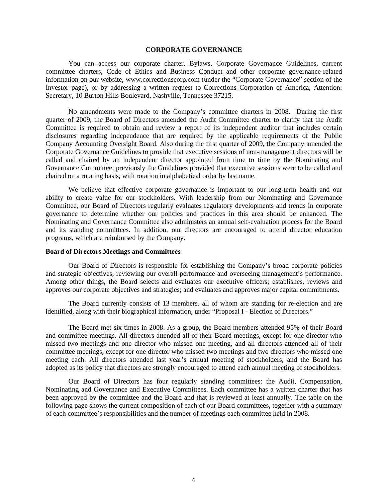### **CORPORATE GOVERNANCE**

You can access our corporate charter, Bylaws, Corporate Governance Guidelines, current committee charters, Code of Ethics and Business Conduct and other corporate governance-related information on our website, www.correctionscorp.com (under the "Corporate Governance" section of the Investor page), or by addressing a written request to Corrections Corporation of America, Attention: Secretary, 10 Burton Hills Boulevard, Nashville, Tennessee 37215.

No amendments were made to the Company's committee charters in 2008. During the first quarter of 2009, the Board of Directors amended the Audit Committee charter to clarify that the Audit Committee is required to obtain and review a report of its independent auditor that includes certain disclosures regarding independence that are required by the applicable requirements of the Public Company Accounting Oversight Board. Also during the first quarter of 2009, the Company amended the Corporate Governance Guidelines to provide that executive sessions of non-management directors will be called and chaired by an independent director appointed from time to time by the Nominating and Governance Committee; previously the Guidelines provided that executive sessions were to be called and chaired on a rotating basis, with rotation in alphabetical order by last name.

We believe that effective corporate governance is important to our long-term health and our ability to create value for our stockholders. With leadership from our Nominating and Governance Committee, our Board of Directors regularly evaluates regulatory developments and trends in corporate governance to determine whether our policies and practices in this area should be enhanced. The Nominating and Governance Committee also administers an annual self-evaluation process for the Board and its standing committees. In addition, our directors are encouraged to attend director education programs, which are reimbursed by the Company.

## **Board of Directors Meetings and Committees**

Our Board of Directors is responsible for establishing the Company's broad corporate policies and strategic objectives, reviewing our overall performance and overseeing management's performance. Among other things, the Board selects and evaluates our executive officers; establishes, reviews and approves our corporate objectives and strategies; and evaluates and approves major capital commitments.

The Board currently consists of 13 members, all of whom are standing for re-election and are identified, along with their biographical information, under "Proposal I - Election of Directors."

The Board met six times in 2008. As a group, the Board members attended 95% of their Board and committee meetings. All directors attended all of their Board meetings, except for one director who missed two meetings and one director who missed one meeting, and all directors attended all of their committee meetings, except for one director who missed two meetings and two directors who missed one meeting each. All directors attended last year's annual meeting of stockholders, and the Board has adopted as its policy that directors are strongly encouraged to attend each annual meeting of stockholders.

Our Board of Directors has four regularly standing committees: the Audit, Compensation, Nominating and Governance and Executive Committees. Each committee has a written charter that has been approved by the committee and the Board and that is reviewed at least annually. The table on the following page shows the current composition of each of our Board committees, together with a summary of each committee's responsibilities and the number of meetings each committee held in 2008.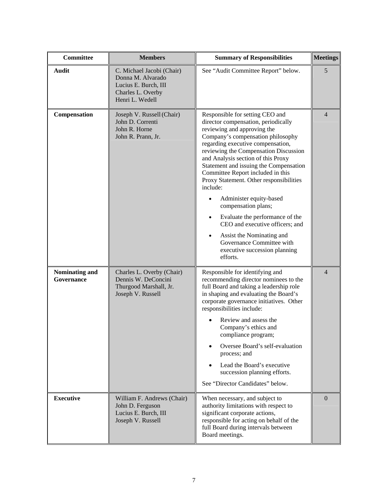| <b>Committee</b>             | <b>Members</b>                                                                                                 | <b>Summary of Responsibilities</b>                                                                                                                                                                                                                                                                                                                                                                                                                                                                                                                                                                                                                            | <b>Meetings</b> |
|------------------------------|----------------------------------------------------------------------------------------------------------------|---------------------------------------------------------------------------------------------------------------------------------------------------------------------------------------------------------------------------------------------------------------------------------------------------------------------------------------------------------------------------------------------------------------------------------------------------------------------------------------------------------------------------------------------------------------------------------------------------------------------------------------------------------------|-----------------|
| <b>Audit</b>                 | C. Michael Jacobi (Chair)<br>Donna M. Alvarado<br>Lucius E. Burch, III<br>Charles L. Overby<br>Henri L. Wedell | See "Audit Committee Report" below.                                                                                                                                                                                                                                                                                                                                                                                                                                                                                                                                                                                                                           | 5               |
| Compensation                 | Joseph V. Russell (Chair)<br>John D. Correnti<br>John R. Horne<br>John R. Prann, Jr.                           | Responsible for setting CEO and<br>director compensation, periodically<br>reviewing and approving the<br>Company's compensation philosophy<br>regarding executive compensation,<br>reviewing the Compensation Discussion<br>and Analysis section of this Proxy<br>Statement and issuing the Compensation<br>Committee Report included in this<br>Proxy Statement. Other responsibilities<br>include:<br>Administer equity-based<br>compensation plans;<br>Evaluate the performance of the<br>$\bullet$<br>CEO and executive officers; and<br>Assist the Nominating and<br>$\bullet$<br>Governance Committee with<br>executive succession planning<br>efforts. | $\overline{4}$  |
| Nominating and<br>Governance | Charles L. Overby (Chair)<br>Dennis W. DeConcini<br>Thurgood Marshall, Jr.<br>Joseph V. Russell                | Responsible for identifying and<br>recommending director nominees to the<br>full Board and taking a leadership role<br>in shaping and evaluating the Board's<br>corporate governance initiatives. Other<br>responsibilities include:<br>Review and assess the<br>Company's ethics and<br>compliance program;<br>Oversee Board's self-evaluation<br>process; and<br>Lead the Board's executive<br>succession planning efforts.<br>See "Director Candidates" below.                                                                                                                                                                                             | $\overline{4}$  |
| <b>Executive</b>             | William F. Andrews (Chair)<br>John D. Ferguson<br>Lucius E. Burch, III<br>Joseph V. Russell                    | When necessary, and subject to<br>authority limitations with respect to<br>significant corporate actions,<br>responsible for acting on behalf of the<br>full Board during intervals between<br>Board meetings.                                                                                                                                                                                                                                                                                                                                                                                                                                                | $\overline{0}$  |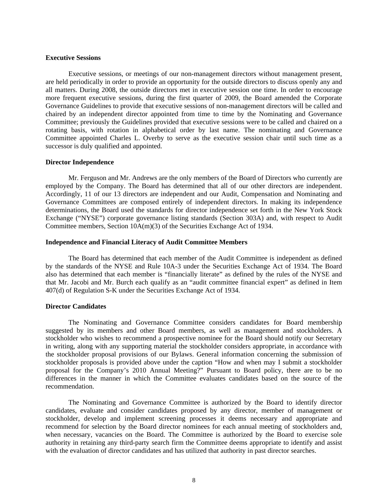### **Executive Sessions**

Executive sessions, or meetings of our non-management directors without management present, are held periodically in order to provide an opportunity for the outside directors to discuss openly any and all matters. During 2008, the outside directors met in executive session one time. In order to encourage more frequent executive sessions, during the first quarter of 2009, the Board amended the Corporate Governance Guidelines to provide that executive sessions of non-management directors will be called and chaired by an independent director appointed from time to time by the Nominating and Governance Committee; previously the Guidelines provided that executive sessions were to be called and chaired on a rotating basis, with rotation in alphabetical order by last name. The nominating and Governance Committee appointed Charles L. Overby to serve as the executive session chair until such time as a successor is duly qualified and appointed.

### **Director Independence**

Mr. Ferguson and Mr. Andrews are the only members of the Board of Directors who currently are employed by the Company. The Board has determined that all of our other directors are independent. Accordingly, 11 of our 13 directors are independent and our Audit, Compensation and Nominating and Governance Committees are composed entirely of independent directors. In making its independence determinations, the Board used the standards for director independence set forth in the New York Stock Exchange ("NYSE") corporate governance listing standards (Section 303A) and, with respect to Audit Committee members, Section 10A(m)(3) of the Securities Exchange Act of 1934.

## **Independence and Financial Literacy of Audit Committee Members**

The Board has determined that each member of the Audit Committee is independent as defined by the standards of the NYSE and Rule 10A-3 under the Securities Exchange Act of 1934. The Board also has determined that each member is "financially literate" as defined by the rules of the NYSE and that Mr. Jacobi and Mr. Burch each qualify as an "audit committee financial expert" as defined in Item 407(d) of Regulation S-K under the Securities Exchange Act of 1934.

## **Director Candidates**

The Nominating and Governance Committee considers candidates for Board membership suggested by its members and other Board members, as well as management and stockholders. A stockholder who wishes to recommend a prospective nominee for the Board should notify our Secretary in writing, along with any supporting material the stockholder considers appropriate, in accordance with the stockholder proposal provisions of our Bylaws. General information concerning the submission of stockholder proposals is provided above under the caption "How and when may I submit a stockholder proposal for the Company's 2010 Annual Meeting?" Pursuant to Board policy, there are to be no differences in the manner in which the Committee evaluates candidates based on the source of the recommendation.

The Nominating and Governance Committee is authorized by the Board to identify director candidates, evaluate and consider candidates proposed by any director, member of management or stockholder, develop and implement screening processes it deems necessary and appropriate and recommend for selection by the Board director nominees for each annual meeting of stockholders and, when necessary, vacancies on the Board. The Committee is authorized by the Board to exercise sole authority in retaining any third-party search firm the Committee deems appropriate to identify and assist with the evaluation of director candidates and has utilized that authority in past director searches.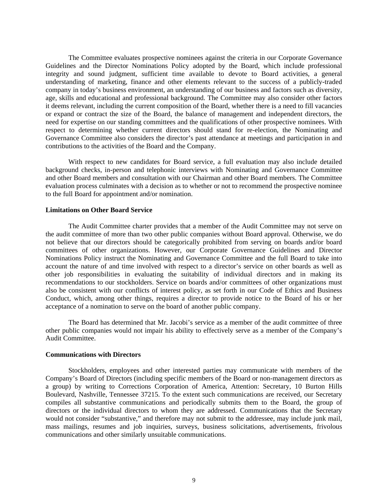The Committee evaluates prospective nominees against the criteria in our Corporate Governance Guidelines and the Director Nominations Policy adopted by the Board, which include professional integrity and sound judgment, sufficient time available to devote to Board activities, a general understanding of marketing, finance and other elements relevant to the success of a publicly-traded company in today's business environment, an understanding of our business and factors such as diversity, age, skills and educational and professional background. The Committee may also consider other factors it deems relevant, including the current composition of the Board, whether there is a need to fill vacancies or expand or contract the size of the Board, the balance of management and independent directors, the need for expertise on our standing committees and the qualifications of other prospective nominees. With respect to determining whether current directors should stand for re-election, the Nominating and Governance Committee also considers the director's past attendance at meetings and participation in and contributions to the activities of the Board and the Company.

With respect to new candidates for Board service, a full evaluation may also include detailed background checks, in-person and telephonic interviews with Nominating and Governance Committee and other Board members and consultation with our Chairman and other Board members. The Committee evaluation process culminates with a decision as to whether or not to recommend the prospective nominee to the full Board for appointment and/or nomination.

## **Limitations on Other Board Service**

The Audit Committee charter provides that a member of the Audit Committee may not serve on the audit committee of more than two other public companies without Board approval. Otherwise, we do not believe that our directors should be categorically prohibited from serving on boards and/or board committees of other organizations. However, our Corporate Governance Guidelines and Director Nominations Policy instruct the Nominating and Governance Committee and the full Board to take into account the nature of and time involved with respect to a director's service on other boards as well as other job responsibilities in evaluating the suitability of individual directors and in making its recommendations to our stockholders. Service on boards and/or committees of other organizations must also be consistent with our conflicts of interest policy, as set forth in our Code of Ethics and Business Conduct, which, among other things, requires a director to provide notice to the Board of his or her acceptance of a nomination to serve on the board of another public company.

The Board has determined that Mr. Jacobi's service as a member of the audit committee of three other public companies would not impair his ability to effectively serve as a member of the Company's Audit Committee.

### **Communications with Directors**

Stockholders, employees and other interested parties may communicate with members of the Company's Board of Directors (including specific members of the Board or non-management directors as a group) by writing to Corrections Corporation of America, Attention: Secretary, 10 Burton Hills Boulevard, Nashville, Tennessee 37215. To the extent such communications are received, our Secretary compiles all substantive communications and periodically submits them to the Board, the group of directors or the individual directors to whom they are addressed. Communications that the Secretary would not consider "substantive," and therefore may not submit to the addressee, may include junk mail, mass mailings, resumes and job inquiries, surveys, business solicitations, advertisements, frivolous communications and other similarly unsuitable communications.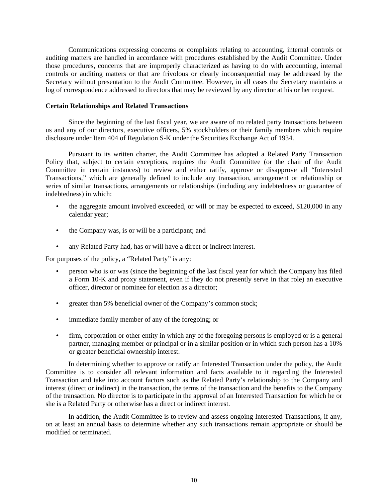Communications expressing concerns or complaints relating to accounting, internal controls or auditing matters are handled in accordance with procedures established by the Audit Committee. Under those procedures, concerns that are improperly characterized as having to do with accounting, internal controls or auditing matters or that are frivolous or clearly inconsequential may be addressed by the Secretary without presentation to the Audit Committee. However, in all cases the Secretary maintains a log of correspondence addressed to directors that may be reviewed by any director at his or her request.

## **Certain Relationships and Related Transactions**

Since the beginning of the last fiscal year, we are aware of no related party transactions between us and any of our directors, executive officers, 5% stockholders or their family members which require disclosure under Item 404 of Regulation S-K under the Securities Exchange Act of 1934.

Pursuant to its written charter, the Audit Committee has adopted a Related Party Transaction Policy that, subject to certain exceptions, requires the Audit Committee (or the chair of the Audit Committee in certain instances) to review and either ratify, approve or disapprove all "Interested Transactions," which are generally defined to include any transaction, arrangement or relationship or series of similar transactions, arrangements or relationships (including any indebtedness or guarantee of indebtedness) in which:

- the aggregate amount involved exceeded, or will or may be expected to exceed, \$120,000 in any calendar year;
- the Company was, is or will be a participant; and
- any Related Party had, has or will have a direct or indirect interest.

For purposes of the policy, a "Related Party" is any:

- person who is or was (since the beginning of the last fiscal year for which the Company has filed a Form 10-K and proxy statement, even if they do not presently serve in that role) an executive officer, director or nominee for election as a director;
- greater than 5% beneficial owner of the Company's common stock;
- immediate family member of any of the foregoing; or
- firm, corporation or other entity in which any of the foregoing persons is employed or is a general partner, managing member or principal or in a similar position or in which such person has a 10% or greater beneficial ownership interest.

In determining whether to approve or ratify an Interested Transaction under the policy, the Audit Committee is to consider all relevant information and facts available to it regarding the Interested Transaction and take into account factors such as the Related Party's relationship to the Company and interest (direct or indirect) in the transaction, the terms of the transaction and the benefits to the Company of the transaction. No director is to participate in the approval of an Interested Transaction for which he or she is a Related Party or otherwise has a direct or indirect interest.

In addition, the Audit Committee is to review and assess ongoing Interested Transactions, if any, on at least an annual basis to determine whether any such transactions remain appropriate or should be modified or terminated.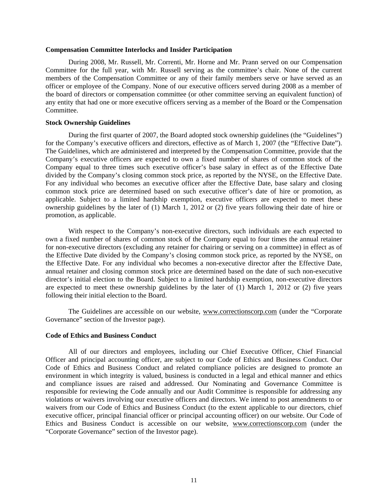### **Compensation Committee Interlocks and Insider Participation**

During 2008, Mr. Russell, Mr. Correnti, Mr. Horne and Mr. Prann served on our Compensation Committee for the full year, with Mr. Russell serving as the committee's chair. None of the current members of the Compensation Committee or any of their family members serve or have served as an officer or employee of the Company. None of our executive officers served during 2008 as a member of the board of directors or compensation committee (or other committee serving an equivalent function) of any entity that had one or more executive officers serving as a member of the Board or the Compensation Committee.

## **Stock Ownership Guidelines**

During the first quarter of 2007, the Board adopted stock ownership guidelines (the "Guidelines") for the Company's executive officers and directors, effective as of March 1, 2007 (the "Effective Date"). The Guidelines, which are administered and interpreted by the Compensation Committee, provide that the Company's executive officers are expected to own a fixed number of shares of common stock of the Company equal to three times such executive officer's base salary in effect as of the Effective Date divided by the Company's closing common stock price, as reported by the NYSE, on the Effective Date. For any individual who becomes an executive officer after the Effective Date, base salary and closing common stock price are determined based on such executive officer's date of hire or promotion, as applicable. Subject to a limited hardship exemption, executive officers are expected to meet these ownership guidelines by the later of (1) March 1, 2012 or (2) five years following their date of hire or promotion, as applicable.

With respect to the Company's non-executive directors, such individuals are each expected to own a fixed number of shares of common stock of the Company equal to four times the annual retainer for non-executive directors (excluding any retainer for chairing or serving on a committee) in effect as of the Effective Date divided by the Company's closing common stock price, as reported by the NYSE, on the Effective Date. For any individual who becomes a non-executive director after the Effective Date, annual retainer and closing common stock price are determined based on the date of such non-executive director's initial election to the Board. Subject to a limited hardship exemption, non-executive directors are expected to meet these ownership guidelines by the later of (1) March 1, 2012 or (2) five years following their initial election to the Board.

The Guidelines are accessible on our website, www.correctionscorp.com (under the "Corporate Governance" section of the Investor page).

## **Code of Ethics and Business Conduct**

All of our directors and employees, including our Chief Executive Officer, Chief Financial Officer and principal accounting officer, are subject to our Code of Ethics and Business Conduct. Our Code of Ethics and Business Conduct and related compliance policies are designed to promote an environment in which integrity is valued, business is conducted in a legal and ethical manner and ethics and compliance issues are raised and addressed. Our Nominating and Governance Committee is responsible for reviewing the Code annually and our Audit Committee is responsible for addressing any violations or waivers involving our executive officers and directors. We intend to post amendments to or waivers from our Code of Ethics and Business Conduct (to the extent applicable to our directors, chief executive officer, principal financial officer or principal accounting officer) on our website. Our Code of Ethics and Business Conduct is accessible on our website, www.correctionscorp.com (under the "Corporate Governance" section of the Investor page).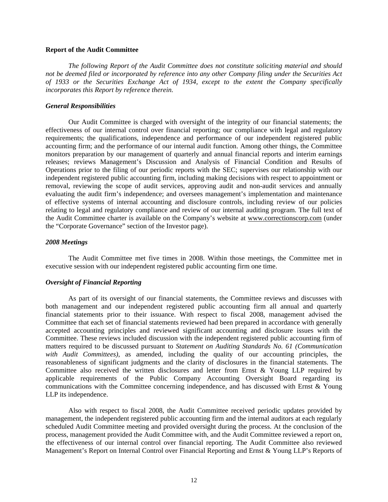### **Report of the Audit Committee**

*The following Report of the Audit Committee does not constitute soliciting material and should not be deemed filed or incorporated by reference into any other Company filing under the Securities Act of 1933 or the Securities Exchange Act of 1934, except to the extent the Company specifically incorporates this Report by reference therein.*

## *General Responsibilities*

Our Audit Committee is charged with oversight of the integrity of our financial statements; the effectiveness of our internal control over financial reporting; our compliance with legal and regulatory requirements; the qualifications, independence and performance of our independent registered public accounting firm; and the performance of our internal audit function. Among other things, the Committee monitors preparation by our management of quarterly and annual financial reports and interim earnings releases; reviews Management's Discussion and Analysis of Financial Condition and Results of Operations prior to the filing of our periodic reports with the SEC; supervises our relationship with our independent registered public accounting firm, including making decisions with respect to appointment or removal, reviewing the scope of audit services, approving audit and non-audit services and annually evaluating the audit firm's independence; and oversees management's implementation and maintenance of effective systems of internal accounting and disclosure controls, including review of our policies relating to legal and regulatory compliance and review of our internal auditing program. The full text of the Audit Committee charter is available on the Company's website at www.correctionscorp.com (under the "Corporate Governance" section of the Investor page).

### *2008 Meetings*

The Audit Committee met five times in 2008. Within those meetings, the Committee met in executive session with our independent registered public accounting firm one time.

## *Oversight of Financial Reporting*

As part of its oversight of our financial statements, the Committee reviews and discusses with both management and our independent registered public accounting firm all annual and quarterly financial statements prior to their issuance. With respect to fiscal 2008, management advised the Committee that each set of financial statements reviewed had been prepared in accordance with generally accepted accounting principles and reviewed significant accounting and disclosure issues with the Committee. These reviews included discussion with the independent registered public accounting firm of matters required to be discussed pursuant to *Statement on Auditing Standards No. 61 (Communication with Audit Committees)*, as amended, including the quality of our accounting principles, the reasonableness of significant judgments and the clarity of disclosures in the financial statements. The Committee also received the written disclosures and letter from Ernst & Young LLP required by applicable requirements of the Public Company Accounting Oversight Board regarding its communications with the Committee concerning independence, and has discussed with Ernst & Young LLP its independence.

Also with respect to fiscal 2008, the Audit Committee received periodic updates provided by management, the independent registered public accounting firm and the internal auditors at each regularly scheduled Audit Committee meeting and provided oversight during the process. At the conclusion of the process, management provided the Audit Committee with, and the Audit Committee reviewed a report on, the effectiveness of our internal control over financial reporting. The Audit Committee also reviewed Management's Report on Internal Control over Financial Reporting and Ernst & Young LLP's Reports of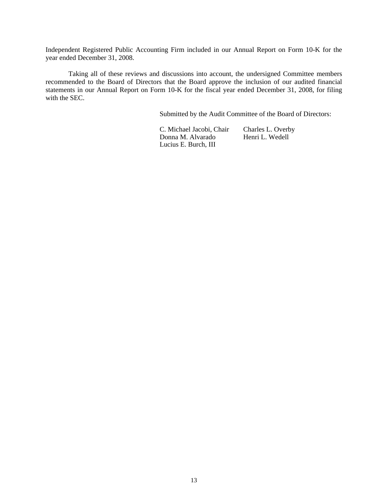Independent Registered Public Accounting Firm included in our Annual Report on Form 10-K for the year ended December 31, 2008.

Taking all of these reviews and discussions into account, the undersigned Committee members recommended to the Board of Directors that the Board approve the inclusion of our audited financial statements in our Annual Report on Form 10-K for the fiscal year ended December 31, 2008, for filing with the SEC.

Submitted by the Audit Committee of the Board of Directors:

C. Michael Jacobi, Chair Charles L. Overby<br>Donna M. Alvarado Henri L. Wedell Donna M. Alvarado Lucius E. Burch, III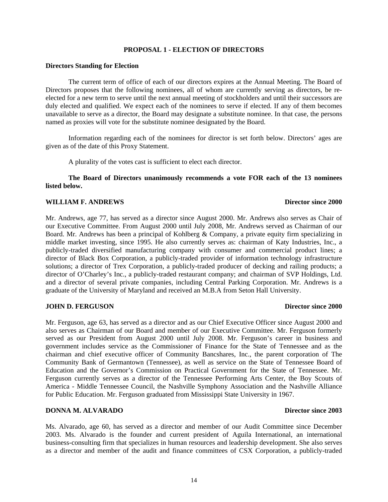## **PROPOSAL 1 - ELECTION OF DIRECTORS**

## **Directors Standing for Election**

The current term of office of each of our directors expires at the Annual Meeting. The Board of Directors proposes that the following nominees, all of whom are currently serving as directors, be reelected for a new term to serve until the next annual meeting of stockholders and until their successors are duly elected and qualified. We expect each of the nominees to serve if elected. If any of them becomes unavailable to serve as a director, the Board may designate a substitute nominee. In that case, the persons named as proxies will vote for the substitute nominee designated by the Board.

Information regarding each of the nominees for director is set forth below. Directors' ages are given as of the date of this Proxy Statement.

A plurality of the votes cast is sufficient to elect each director.

**The Board of Directors unanimously recommends a vote FOR each of the 13 nominees listed below.**

# **WILLIAM F. ANDREWS** Director since 2000

# Mr. Andrews, age 77, has served as a director since August 2000. Mr. Andrews also serves as Chair of our Executive Committee. From August 2000 until July 2008, Mr. Andrews served as Chairman of our Board. Mr. Andrews has been a principal of Kohlberg & Company, a private equity firm specializing in middle market investing, since 1995. He also currently serves as: chairman of Katy Industries, Inc., a publicly-traded diversified manufacturing company with consumer and commercial product lines; a director of Black Box Corporation, a publicly-traded provider of information technology infrastructure solutions; a director of Trex Corporation, a publicly-traded producer of decking and railing products; a director of O'Charley's Inc., a publicly-traded restaurant company; and chairman of SVP Holdings, Ltd. and a director of several private companies, including Central Parking Corporation. Mr. Andrews is a graduate of the University of Maryland and received an M.B.A from Seton Hall University.

## **JOHN D. FERGUSON Director since 2000**

Mr. Ferguson, age 63, has served as a director and as our Chief Executive Officer since August 2000 and also serves as Chairman of our Board and member of our Executive Committee. Mr. Ferguson formerly served as our President from August 2000 until July 2008. Mr. Ferguson's career in business and government includes service as the Commissioner of Finance for the State of Tennessee and as the chairman and chief executive officer of Community Bancshares, Inc., the parent corporation of The Community Bank of Germantown (Tennessee), as well as service on the State of Tennessee Board of Education and the Governor's Commission on Practical Government for the State of Tennessee. Mr. Ferguson currently serves as a director of the Tennessee Performing Arts Center, the Boy Scouts of America - Middle Tennessee Council, the Nashville Symphony Association and the Nashville Alliance for Public Education. Mr. Ferguson graduated from Mississippi State University in 1967.

# **DONNA M. ALVARADO Director since 2003**

Ms. Alvarado, age 60, has served as a director and member of our Audit Committee since December 2003. Ms. Alvarado is the founder and current president of Aguila International, an international business-consulting firm that specializes in human resources and leadership development. She also serves as a director and member of the audit and finance committees of CSX Corporation, a publicly-traded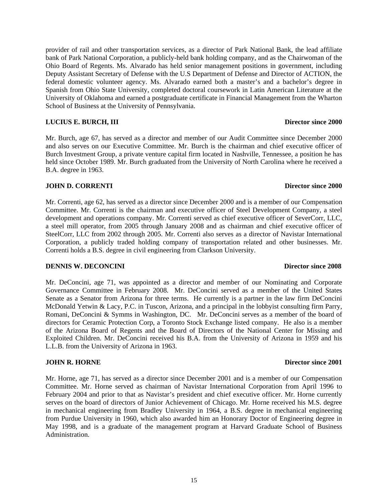provider of rail and other transportation services, as a director of Park National Bank, the lead affiliate bank of Park National Corporation, a publicly-held bank holding company, and as the Chairwoman of the Ohio Board of Regents. Ms. Alvarado has held senior management positions in government, including Deputy Assistant Secretary of Defense with the U.S Department of Defense and Director of ACTION, the federal domestic volunteer agency. Ms. Alvarado earned both a master's and a bachelor's degree in Spanish from Ohio State University, completed doctoral coursework in Latin American Literature at the University of Oklahoma and earned a postgraduate certificate in Financial Management from the Wharton School of Business at the University of Pennsylvania.

# **LUCIUS E. BURCH, III Director since 2000**

Mr. Burch, age 67, has served as a director and member of our Audit Committee since December 2000 and also serves on our Executive Committee. Mr. Burch is the chairman and chief executive officer of Burch Investment Group, a private venture capital firm located in Nashville, Tennessee, a position he has held since October 1989. Mr. Burch graduated from the University of North Carolina where he received a B.A. degree in 1963.

# **JOHN D. CORRENTI Director since 2000**

Mr. Correnti, age 62, has served as a director since December 2000 and is a member of our Compensation Committee. Mr. Correnti is the chairman and executive officer of Steel Development Company, a steel development and operations company. Mr. Correnti served as chief executive officer of SeverCorr, LLC, a steel mill operator, from 2005 through January 2008 and as chairman and chief executive officer of SteelCorr, LLC from 2002 through 2005. Mr. Correnti also serves as a director of Navistar International Corporation, a publicly traded holding company of transportation related and other businesses. Mr. Correnti holds a B.S. degree in civil engineering from Clarkson University.

# **DENNIS W. DECONCINI** Director since 2008

Mr. DeConcini, age 71, was appointed as a director and member of our Nominating and Corporate Governance Committee in February 2008. Mr. DeConcini served as a member of the United States Senate as a Senator from Arizona for three terms. He currently is a partner in the law firm DeConcini McDonald Yetwin & Lacy, P.C. in Tuscon, Arizona, and a principal in the lobbyist consulting firm Parry, Romani, DeConcini & Symms in Washington, DC. Mr. DeConcini serves as a member of the board of directors for Ceramic Protection Corp, a Toronto Stock Exchange listed company. He also is a member of the Arizona Board of Regents and the Board of Directors of the National Center for Missing and Exploited Children. Mr. DeConcini received his B.A. from the University of Arizona in 1959 and his L.L.B. from the University of Arizona in 1963.

# **JOHN R. HORNE Director since 2001**

Mr. Horne, age 71, has served as a director since December 2001 and is a member of our Compensation Committee. Mr. Horne served as chairman of Navistar International Corporation from April 1996 to February 2004 and prior to that as Navistar's president and chief executive officer. Mr. Horne currently serves on the board of directors of Junior Achievement of Chicago. Mr. Horne received his M.S. degree in mechanical engineering from Bradley University in 1964, a B.S. degree in mechanical engineering from Purdue University in 1960, which also awarded him an Honorary Doctor of Engineering degree in May 1998, and is a graduate of the management program at Harvard Graduate School of Business Administration.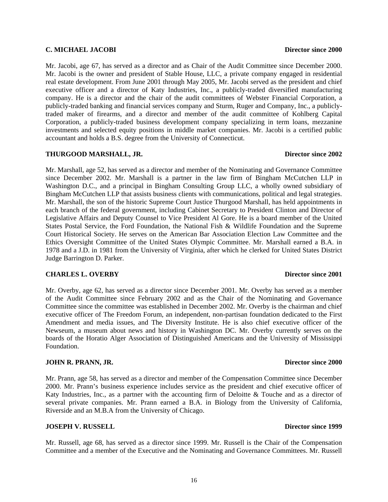## **C. MICHAEL JACOBI Director since 2000**

Mr. Jacobi is the owner and president of Stable House, LLC, a private company engaged in residential real estate development. From June 2001 through May 2005, Mr. Jacobi served as the president and chief executive officer and a director of Katy Industries, Inc., a publicly-traded diversified manufacturing company. He is a director and the chair of the audit committees of Webster Financial Corporation, a publicly-traded banking and financial services company and Sturm, Ruger and Company, Inc., a publiclytraded maker of firearms, and a director and member of the audit committee of Kohlberg Capital Corporation, a publicly-traded business development company specializing in term loans, mezzanine investments and selected equity positions in middle market companies. Mr. Jacobi is a certified public accountant and holds a B.S. degree from the University of Connecticut.

Mr. Jacobi, age 67, has served as a director and as Chair of the Audit Committee since December 2000.

# **THURGOOD MARSHALL, JR. Director since 2002**

Mr. Marshall, age 52, has served as a director and member of the Nominating and Governance Committee since December 2002. Mr. Marshall is a partner in the law firm of Bingham McCutchen LLP in Washington D.C., and a principal in Bingham Consulting Group LLC, a wholly owned subsidiary of Bingham McCutchen LLP that assists business clients with communications, political and legal strategies. Mr. Marshall, the son of the historic Supreme Court Justice Thurgood Marshall, has held appointments in each branch of the federal government, including Cabinet Secretary to President Clinton and Director of Legislative Affairs and Deputy Counsel to Vice President Al Gore. He is a board member of the United States Postal Service, the Ford Foundation, the National Fish & Wildlife Foundation and the Supreme Court Historical Society. He serves on the American Bar Association Election Law Committee and the Ethics Oversight Committee of the United States Olympic Committee. Mr. Marshall earned a B.A. in 1978 and a J.D. in 1981 from the University of Virginia, after which he clerked for United States District Judge Barrington D. Parker.

# **CHARLES L. OVERBY Director since 2001**

Mr. Overby, age 62, has served as a director since December 2001. Mr. Overby has served as a member of the Audit Committee since February 2002 and as the Chair of the Nominating and Governance Committee since the committee was established in December 2002. Mr. Overby is the chairman and chief executive officer of The Freedom Forum, an independent, non-partisan foundation dedicated to the First Amendment and media issues, and The Diversity Institute. He is also chief executive officer of the Newseum, a museum about news and history in Washington DC. Mr. Overby currently serves on the boards of the Horatio Alger Association of Distinguished Americans and the University of Mississippi Foundation.

# **JOHN R. PRANN, JR.** Director since 2000

Mr. Prann, age 58, has served as a director and member of the Compensation Committee since December 2000. Mr. Prann's business experience includes service as the president and chief executive officer of Katy Industries, Inc., as a partner with the accounting firm of Deloitte & Touche and as a director of several private companies. Mr. Prann earned a B.A. in Biology from the University of California, Riverside and an M.B.A from the University of Chicago.

# **JOSEPH V. RUSSELL Director since 1999**

Mr. Russell, age 68, has served as a director since 1999. Mr. Russell is the Chair of the Compensation Committee and a member of the Executive and the Nominating and Governance Committees. Mr. Russell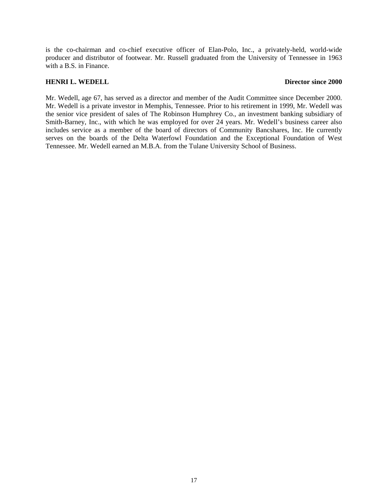is the co-chairman and co-chief executive officer of Elan-Polo, Inc., a privately-held, world-wide producer and distributor of footwear. Mr. Russell graduated from the University of Tennessee in 1963 with a B.S. in Finance.

## **HENRI L. WEDELL Director since 2000**

Mr. Wedell, age 67, has served as a director and member of the Audit Committee since December 2000. Mr. Wedell is a private investor in Memphis, Tennessee. Prior to his retirement in 1999, Mr. Wedell was the senior vice president of sales of The Robinson Humphrey Co., an investment banking subsidiary of Smith-Barney, Inc., with which he was employed for over 24 years. Mr. Wedell's business career also includes service as a member of the board of directors of Community Bancshares, Inc. He currently serves on the boards of the Delta Waterfowl Foundation and the Exceptional Foundation of West Tennessee. Mr. Wedell earned an M.B.A. from the Tulane University School of Business.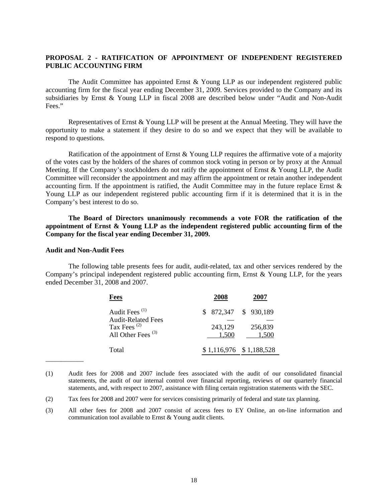# **PROPOSAL 2 - RATIFICATION OF APPOINTMENT OF INDEPENDENT REGISTERED PUBLIC ACCOUNTING FIRM**

The Audit Committee has appointed Ernst & Young LLP as our independent registered public accounting firm for the fiscal year ending December 31, 2009. Services provided to the Company and its subsidiaries by Ernst & Young LLP in fiscal 2008 are described below under "Audit and Non-Audit Fees."

Representatives of Ernst & Young LLP will be present at the Annual Meeting. They will have the opportunity to make a statement if they desire to do so and we expect that they will be available to respond to questions.

Ratification of the appointment of Ernst  $&$  Young LLP requires the affirmative vote of a majority of the votes cast by the holders of the shares of common stock voting in person or by proxy at the Annual Meeting. If the Company's stockholders do not ratify the appointment of Ernst & Young LLP, the Audit Committee will reconsider the appointment and may affirm the appointment or retain another independent accounting firm. If the appointment is ratified, the Audit Committee may in the future replace Ernst  $\&$ Young LLP as our independent registered public accounting firm if it is determined that it is in the Company's best interest to do so.

**The Board of Directors unanimously recommends a vote FOR the ratification of the appointment of Ernst & Young LLP as the independent registered public accounting firm of the Company for the fiscal year ending December 31, 2009.**

### **Audit and Non-Audit Fees**

\_\_\_\_\_\_\_\_\_\_\_\_

The following table presents fees for audit, audit-related, tax and other services rendered by the Company's principal independent registered public accounting firm, Ernst  $&$  Young LLP, for the years ended December 31, 2008 and 2007.

| <b>Fees</b>                                                            | 2008                      | 2007             |
|------------------------------------------------------------------------|---------------------------|------------------|
| Audit Fees <sup>(1)</sup>                                              | $$872,347$ $$930,189$     |                  |
| <b>Audit-Related Fees</b><br>Tax Fees $^{(2)}$<br>All Other Fees $(3)$ | 243,129<br>1,500          | 256,839<br>1,500 |
| Total                                                                  | $$1,116,976$ $$1,188,528$ |                  |

<sup>(1)</sup> Audit fees for 2008 and 2007 include fees associated with the audit of our consolidated financial statements, the audit of our internal control over financial reporting, reviews of our quarterly financial statements, and, with respect to 2007, assistance with filing certain registration statements with the SEC.

(3) All other fees for 2008 and 2007 consist of access fees to EY Online, an on-line information and communication tool available to Ernst & Young audit clients.

<sup>(2)</sup> Tax fees for 2008 and 2007 were for services consisting primarily of federal and state tax planning.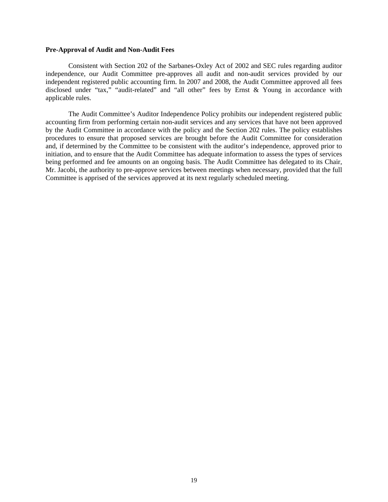### **Pre-Approval of Audit and Non-Audit Fees**

Consistent with Section 202 of the Sarbanes-Oxley Act of 2002 and SEC rules regarding auditor independence, our Audit Committee pre-approves all audit and non-audit services provided by our independent registered public accounting firm. In 2007 and 2008, the Audit Committee approved all fees disclosed under "tax," "audit-related" and "all other" fees by Ernst & Young in accordance with applicable rules.

The Audit Committee's Auditor Independence Policy prohibits our independent registered public accounting firm from performing certain non-audit services and any services that have not been approved by the Audit Committee in accordance with the policy and the Section 202 rules. The policy establishes procedures to ensure that proposed services are brought before the Audit Committee for consideration and, if determined by the Committee to be consistent with the auditor's independence, approved prior to initiation, and to ensure that the Audit Committee has adequate information to assess the types of services being performed and fee amounts on an ongoing basis. The Audit Committee has delegated to its Chair, Mr. Jacobi, the authority to pre-approve services between meetings when necessary, provided that the full Committee is apprised of the services approved at its next regularly scheduled meeting.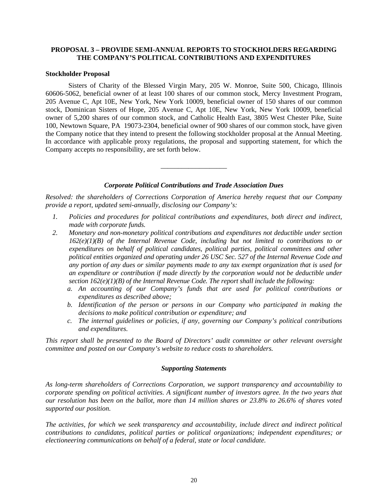## **PROPOSAL 3 – PROVIDE SEMI-ANNUAL REPORTS TO STOCKHOLDERS REGARDING THE COMPANY'S POLITICAL CONTRIBUTIONS AND EXPENDITURES**

## **Stockholder Proposal**

Sisters of Charity of the Blessed Virgin Mary, 205 W. Monroe, Suite 500, Chicago, Illinois 60606-5062, beneficial owner of at least 100 shares of our common stock, Mercy Investment Program, 205 Avenue C, Apt 10E, New York, New York 10009, beneficial owner of 150 shares of our common stock, Dominican Sisters of Hope, 205 Avenue C, Apt 10E, New York, New York 10009, beneficial owner of 5,200 shares of our common stock, and Catholic Health East, 3805 West Chester Pike, Suite 100, Newtown Square, PA 19073-2304, beneficial owner of 900 shares of our common stock, have given the Company notice that they intend to present the following stockholder proposal at the Annual Meeting. In accordance with applicable proxy regulations, the proposal and supporting statement, for which the Company accepts no responsibility, are set forth below.

### *Corporate Political Contributions and Trade Association Dues*

\_\_\_\_\_\_\_\_\_\_\_\_\_\_\_\_\_\_\_

*Resolved: the shareholders of Corrections Corporation of America hereby request that our Company provide a report, updated semi-annually, disclosing our Company's:*

- *1. Policies and procedures for political contributions and expenditures, both direct and indirect, made with corporate funds.*
- *2. Monetary and non-monetary political contributions and expenditures not deductible under section 162(e)(1)(B) of the Internal Revenue Code, including but not limited to contributions to or expenditures on behalf of political candidates, political parties, political committees and other political entities organized and operating under 26 USC Sec. 527 of the Internal Revenue Code and any portion of any dues or similar payments made to any tax exempt organization that is used for an expenditure or contribution if made directly by the corporation would not be deductible under section 162(e)(1)(B) of the Internal Revenue Code. The report shall include the following:*
	- *a. An accounting of our Company's funds that are used for political contributions or expenditures as described above;*
	- *b. Identification of the person or persons in our Company who participated in making the decisions to make political contribution or expenditure; and*
	- *c. The internal guidelines or policies, if any, governing our Company's political contributions and expenditures.*

*This report shall be presented to the Board of Directors' audit committee or other relevant oversight committee and posted on our Company's website to reduce costs to shareholders.*

## *Supporting Statements*

*As long-term shareholders of Corrections Corporation, we support transparency and accountability to corporate spending on political activities. A significant number of investors agree. In the two years that our resolution has been on the ballot, more than 14 million shares or 23.8% to 26.6% of shares voted supported our position.* 

*The activities, for which we seek transparency and accountability, include direct and indirect political contributions to candidates, political parties or political organizations; independent expenditures; or electioneering communications on behalf of a federal, state or local candidate.*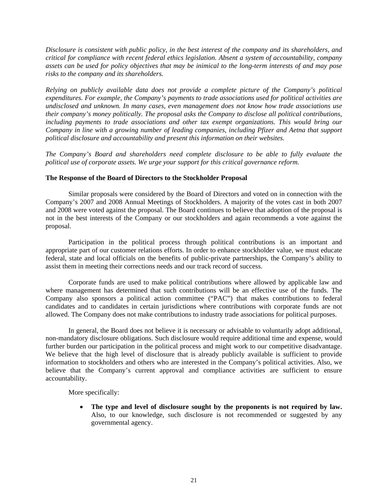*Disclosure is consistent with public policy, in the best interest of the company and its shareholders, and critical for compliance with recent federal ethics legislation. Absent a system of accountability, company assets can be used for policy objectives that may be inimical to the long-term interests of and may pose risks to the company and its shareholders.* 

*Relying on publicly available data does not provide a complete picture of the Company's political expenditures. For example, the Company's payments to trade associations used for political activities are undisclosed and unknown. In many cases, even management does not know how trade associations use their company's money politically. The proposal asks the Company to disclose all political contributions, including payments to trade associations and other tax exempt organizations. This would bring our Company in line with a growing number of leading companies, including Pfizer and Aetna that support political disclosure and accountability and present this information on their websites.* 

*The Company's Board and shareholders need complete disclosure to be able to fully evaluate the political use of corporate assets. We urge your support for this critical governance reform.* 

## **The Response of the Board of Directors to the Stockholder Proposal**

Similar proposals were considered by the Board of Directors and voted on in connection with the Company's 2007 and 2008 Annual Meetings of Stockholders. A majority of the votes cast in both 2007 and 2008 were voted against the proposal. The Board continues to believe that adoption of the proposal is not in the best interests of the Company or our stockholders and again recommends a vote against the proposal.

Participation in the political process through political contributions is an important and appropriate part of our customer relations efforts. In order to enhance stockholder value, we must educate federal, state and local officials on the benefits of public-private partnerships, the Company's ability to assist them in meeting their corrections needs and our track record of success.

Corporate funds are used to make political contributions where allowed by applicable law and where management has determined that such contributions will be an effective use of the funds. The Company also sponsors a political action committee ("PAC") that makes contributions to federal candidates and to candidates in certain jurisdictions where contributions with corporate funds are not allowed. The Company does not make contributions to industry trade associations for political purposes.

In general, the Board does not believe it is necessary or advisable to voluntarily adopt additional, non-mandatory disclosure obligations. Such disclosure would require additional time and expense, would further burden our participation in the political process and might work to our competitive disadvantage. We believe that the high level of disclosure that is already publicly available is sufficient to provide information to stockholders and others who are interested in the Company's political activities. Also, we believe that the Company's current approval and compliance activities are sufficient to ensure accountability.

More specifically:

The type and level of disclosure sought by the proponents is not required by law. Also, to our knowledge, such disclosure is not recommended or suggested by any governmental agency.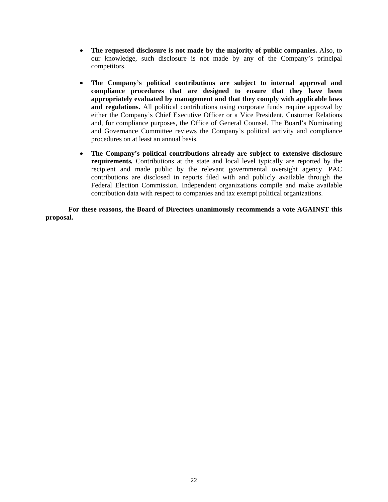- **The requested disclosure is not made by the majority of public companies.** Also, to our knowledge, such disclosure is not made by any of the Company's principal competitors.
- **The Company's political contributions are subject to internal approval and compliance procedures that are designed to ensure that they have been appropriately evaluated by management and that they comply with applicable laws**  and regulations. All political contributions using corporate funds require approval by either the Company's Chief Executive Officer or a Vice President, Customer Relations and, for compliance purposes, the Office of General Counsel. The Board's Nominating and Governance Committee reviews the Company's political activity and compliance procedures on at least an annual basis.
- **The Company's political contributions already are subject to extensive disclosure requirements***.* Contributions at the state and local level typically are reported by the recipient and made public by the relevant governmental oversight agency. PAC contributions are disclosed in reports filed with and publicly available through the Federal Election Commission. Independent organizations compile and make available contribution data with respect to companies and tax exempt political organizations.

**For these reasons, the Board of Directors unanimously recommends a vote AGAINST this proposal.**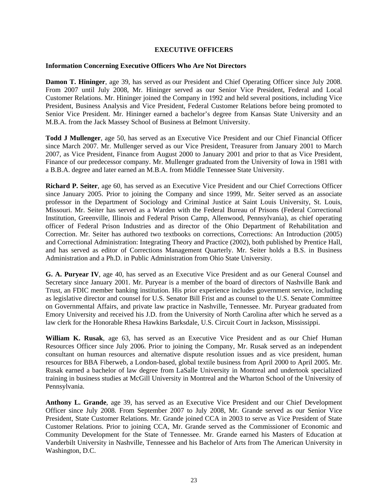## **EXECUTIVE OFFICERS**

## **Information Concerning Executive Officers Who Are Not Directors**

**Damon T. Hininger**, age 39, has served as our President and Chief Operating Officer since July 2008. From 2007 until July 2008, Mr. Hininger served as our Senior Vice President, Federal and Local Customer Relations. Mr. Hininger joined the Company in 1992 and held several positions, including Vice President, Business Analysis and Vice President, Federal Customer Relations before being promoted to Senior Vice President. Mr. Hininger earned a bachelor's degree from Kansas State University and an M.B.A. from the Jack Massey School of Business at Belmont University.

**Todd J Mullenger**, age 50, has served as an Executive Vice President and our Chief Financial Officer since March 2007. Mr. Mullenger served as our Vice President, Treasurer from January 2001 to March 2007, as Vice President, Finance from August 2000 to January 2001 and prior to that as Vice President, Finance of our predecessor company. Mr. Mullenger graduated from the University of Iowa in 1981 with a B.B.A. degree and later earned an M.B.A. from Middle Tennessee State University.

**Richard P. Seiter**, age 60, has served as an Executive Vice President and our Chief Corrections Officer since January 2005. Prior to joining the Company and since 1999, Mr. Seiter served as an associate professor in the Department of Sociology and Criminal Justice at Saint Louis University, St. Louis, Missouri. Mr. Seiter has served as a Warden with the Federal Bureau of Prisons (Federal Correctional Institution, Greenville, Illinois and Federal Prison Camp, Allenwood, Pennsylvania), as chief operating officer of Federal Prison Industries and as director of the Ohio Department of Rehabilitation and Correction. Mr. Seiter has authored two textbooks on corrections, Corrections: An Introduction (2005) and Correctional Administration: Integrating Theory and Practice (2002), both published by Prentice Hall, and has served as editor of Corrections Management Quarterly. Mr. Seiter holds a B.S. in Business Administration and a Ph.D. in Public Administration from Ohio State University.

**G. A. Puryear IV**, age 40, has served as an Executive Vice President and as our General Counsel and Secretary since January 2001. Mr. Puryear is a member of the board of directors of Nashville Bank and Trust, an FDIC member banking institution. His prior experience includes government service, including as legislative director and counsel for U.S. Senator Bill Frist and as counsel to the U.S. Senate Committee on Governmental Affairs, and private law practice in Nashville, Tennessee. Mr. Puryear graduated from Emory University and received his J.D. from the University of North Carolina after which he served as a law clerk for the Honorable Rhesa Hawkins Barksdale, U.S. Circuit Court in Jackson, Mississippi.

**William K. Rusak**, age 63, has served as an Executive Vice President and as our Chief Human Resources Officer since July 2006. Prior to joining the Company, Mr. Rusak served as an independent consultant on human resources and alternative dispute resolution issues and as vice president, human resources for BBA Fiberweb, a London-based, global textile business from April 2000 to April 2005. Mr. Rusak earned a bachelor of law degree from LaSalle University in Montreal and undertook specialized training in business studies at McGill University in Montreal and the Wharton School of the University of Pennsylvania.

**Anthony L. Grande**, age 39, has served as an Executive Vice President and our Chief Development Officer since July 2008. From September 2007 to July 2008, Mr. Grande served as our Senior Vice President, State Customer Relations. Mr. Grande joined CCA in 2003 to serve as Vice President of State Customer Relations. Prior to joining CCA, Mr. Grande served as the Commissioner of Economic and Community Development for the State of Tennessee. Mr. Grande earned his Masters of Education at Vanderbilt University in Nashville, Tennessee and his Bachelor of Arts from The American University in Washington, D.C.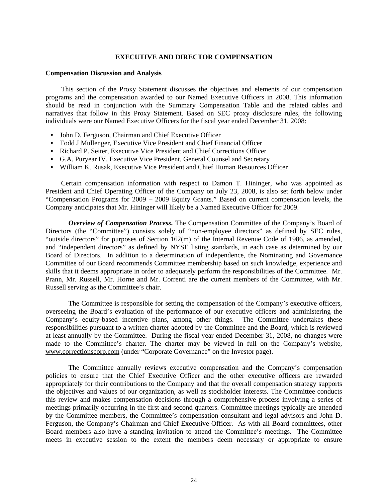### **EXECUTIVE AND DIRECTOR COMPENSATION**

### **Compensation Discussion and Analysis**

This section of the Proxy Statement discusses the objectives and elements of our compensation programs and the compensation awarded to our Named Executive Officers in 2008. This information should be read in conjunction with the Summary Compensation Table and the related tables and narratives that follow in this Proxy Statement. Based on SEC proxy disclosure rules, the following individuals were our Named Executive Officers for the fiscal year ended December 31, 2008:

- John D. Ferguson, Chairman and Chief Executive Officer
- Todd J Mullenger, Executive Vice President and Chief Financial Officer
- Richard P. Seiter, Executive Vice President and Chief Corrections Officer
- G.A. Puryear IV, Executive Vice President, General Counsel and Secretary
- William K. Rusak, Executive Vice President and Chief Human Resources Officer

Certain compensation information with respect to Damon T. Hininger, who was appointed as President and Chief Operating Officer of the Company on July 23, 2008, is also set forth below under "Compensation Programs for 2009 – 2009 Equity Grants." Based on current compensation levels, the Company anticipates that Mr. Hininger will likely be a Named Executive Officer for 2009.

*Overview of Compensation Process***.** The Compensation Committee of the Company's Board of Directors (the "Committee") consists solely of "non-employee directors" as defined by SEC rules, "outside directors" for purposes of Section 162(m) of the Internal Revenue Code of 1986, as amended, and "independent directors" as defined by NYSE listing standards, in each case as determined by our Board of Directors. In addition to a determination of independence, the Nominating and Governance Committee of our Board recommends Committee membership based on such knowledge, experience and skills that it deems appropriate in order to adequately perform the responsibilities of the Committee. Mr. Prann, Mr. Russell, Mr. Horne and Mr. Correnti are the current members of the Committee, with Mr. Russell serving as the Committee's chair.

The Committee is responsible for setting the compensation of the Company's executive officers, overseeing the Board's evaluation of the performance of our executive officers and administering the Company's equity-based incentive plans, among other things. The Committee undertakes these responsibilities pursuant to a written charter adopted by the Committee and the Board, which is reviewed at least annually by the Committee. During the fiscal year ended December 31, 2008, no changes were made to the Committee's charter. The charter may be viewed in full on the Company's website, www.correctionscorp.com (under "Corporate Governance" on the Investor page).

The Committee annually reviews executive compensation and the Company's compensation policies to ensure that the Chief Executive Officer and the other executive officers are rewarded appropriately for their contributions to the Company and that the overall compensation strategy supports the objectives and values of our organization, as well as stockholder interests. The Committee conducts this review and makes compensation decisions through a comprehensive process involving a series of meetings primarily occurring in the first and second quarters. Committee meetings typically are attended by the Committee members, the Committee's compensation consultant and legal advisors and John D. Ferguson, the Company's Chairman and Chief Executive Officer. As with all Board committees, other Board members also have a standing invitation to attend the Committee's meetings. The Committee meets in executive session to the extent the members deem necessary or appropriate to ensure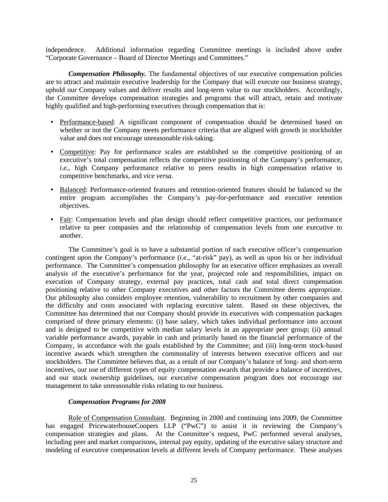independence. Additional information regarding Committee meetings is included above under "Corporate Governance – Board of Director Meetings and Committees."

*Compensation Philosophy.* The fundamental objectives of our executive compensation policies are to attract and maintain executive leadership for the Company that will execute our business strategy, uphold our Company values and deliver results and long-term value to our stockholders. Accordingly, the Committee develops compensation strategies and programs that will attract, retain and motivate highly qualified and high-performing executives through compensation that is:

- Performance-based: A significant component of compensation should be determined based on whether or not the Company meets performance criteria that are aligned with growth in stockholder value and does not encourage unreasonable risk-taking.
- Competitive: Pay for performance scales are established so the competitive positioning of an executive's total compensation reflects the competitive positioning of the Company's performance, *i.e.*, high Company performance relative to peers results in high compensation relative to competitive benchmarks, and *vice versa.*
- Balanced: Performance-oriented features and retention-oriented features should be balanced so the entire program accomplishes the Company's pay-for-performance and executive retention objectives.
- Fair: Compensation levels and plan design should reflect competitive practices, our performance relative to peer companies and the relationship of compensation levels from one executive to another.

The Committee's goal is to have a substantial portion of each executive officer's compensation contingent upon the Company's performance (*i.e.*, "at-risk" pay), as well as upon his or her individual performance. The Committee's compensation philosophy for an executive officer emphasizes an overall analysis of the executive's performance for the year, projected role and responsibilities, impact on execution of Company strategy, external pay practices, total cash and total direct compensation positioning relative to other Company executives and other factors the Committee deems appropriate. Our philosophy also considers employee retention, vulnerability to recruitment by other companies and the difficulty and costs associated with replacing executive talent. Based on these objectives, the Committee has determined that our Company should provide its executives with compensation packages comprised of three primary elements: (i) base salary, which takes individual performance into account and is designed to be competitive with median salary levels in an appropriate peer group; (ii) annual variable performance awards, payable in cash and primarily based on the financial performance of the Company, in accordance with the goals established by the Committee; and (iii) long-term stock-based incentive awards which strengthen the commonality of interests between executive officers and our stockholders. The Committee believes that, as a result of our Company's balance of long- and short-term incentives, our use of different types of equity compensation awards that provide a balance of incentives, and our stock ownership guidelines, our executive compensation program does not encourage our management to take unreasonable risks relating to our business.

## *Compensation Programs for 2008*

Role of Compensation Consultant. Beginning in 2000 and continuing into 2009, the Committee has engaged PricewaterhouseCoopers LLP ("PwC") to assist it in reviewing the Company's compensation strategies and plans. At the Committee's request, PwC performed several analyses, including peer and market comparisons, internal pay equity, updating of the executive salary structure and modeling of executive compensation levels at different levels of Company performance. These analyses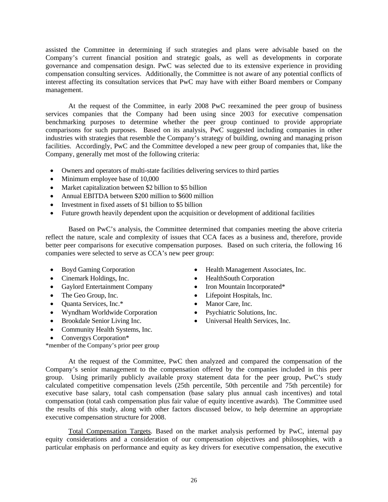assisted the Committee in determining if such strategies and plans were advisable based on the Company's current financial position and strategic goals, as well as developments in corporate governance and compensation design. PwC was selected due to its extensive experience in providing compensation consulting services. Additionally, the Committee is not aware of any potential conflicts of interest affecting its consultation services that PwC may have with either Board members or Company management.

At the request of the Committee, in early 2008 PwC reexamined the peer group of business services companies that the Company had been using since 2003 for executive compensation benchmarking purposes to determine whether the peer group continued to provide appropriate comparisons for such purposes. Based on its analysis, PwC suggested including companies in other industries with strategies that resemble the Company's strategy of building, owning and managing prison facilities. Accordingly, PwC and the Committee developed a new peer group of companies that, like the Company, generally met most of the following criteria:

- Owners and operators of multi-state facilities delivering services to third parties
- Minimum employee base of 10,000
- Market capitalization between \$2 billion to \$5 billion
- Annual EBITDA between \$200 million to \$600 million
- Investment in fixed assets of \$1 billion to \$5 billion
- Future growth heavily dependent upon the acquisition or development of additional facilities

Based on PwC's analysis, the Committee determined that companies meeting the above criteria reflect the nature, scale and complexity of issues that CCA faces as a business and, therefore, provide better peer comparisons for executive compensation purposes. Based on such criteria, the following 16 companies were selected to serve as CCA's new peer group:

- 
- Cinemark Holdings, Inc. HealthSouth Corporation
- Gaylord Entertainment Company Iron Mountain Incorporated\*
- 
- Quanta Services, Inc.\* Manor Care, Inc.
- Wyndham Worldwide Corporation Psychiatric Solutions, Inc.
- 
- Community Health Systems, Inc.
- Convergys Corporation\*
- Boyd Gaming Corporation Health Management Associates, Inc.
	-
	-
- The Geo Group, Inc. Lifepoint Hospitals, Inc.
	-
	-
- Brookdale Senior Living Inc. Universal Health Services, Inc.

\*member of the Company's prior peer group

At the request of the Committee, PwC then analyzed and compared the compensation of the Company's senior management to the compensation offered by the companies included in this peer group. Using primarily publicly available proxy statement data for the peer group, PwC's study calculated competitive compensation levels (25th percentile, 50th percentile and 75th percentile) for executive base salary, total cash compensation (base salary plus annual cash incentives) and total compensation (total cash compensation plus fair value of equity incentive awards). The Committee used the results of this study, along with other factors discussed below, to help determine an appropriate executive compensation structure for 2008.

Total Compensation Targets. Based on the market analysis performed by PwC, internal pay equity considerations and a consideration of our compensation objectives and philosophies, with a particular emphasis on performance and equity as key drivers for executive compensation, the executive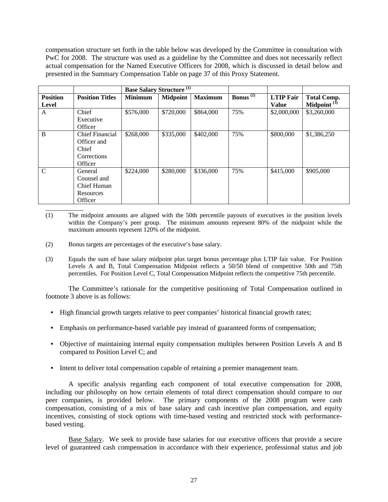compensation structure set forth in the table below was developed by the Committee in consultation with PwC for 2008. The structure was used as a guideline by the Committee and does not necessarily reflect actual compensation for the Named Executive Officers for 2008, which is discussed in detail below and presented in the Summary Compensation Table on page 37 of this Proxy Statement.

|                                 |                                                                          | <b>Base Salary Structure</b> <sup>(1)</sup> |                 |                |                             |                                  |                                      |
|---------------------------------|--------------------------------------------------------------------------|---------------------------------------------|-----------------|----------------|-----------------------------|----------------------------------|--------------------------------------|
| <b>Position</b><br><b>Level</b> | <b>Position Titles</b>                                                   | <b>Minimum</b>                              | <b>Midpoint</b> | <b>Maximum</b> | <b>Bonus</b> <sup>(2)</sup> | <b>LTIP Fair</b><br><b>Value</b> | <b>Total Comp.</b><br>Midpoint $(3)$ |
| A                               | Chief<br>Executive<br>Officer                                            | \$576,000                                   | \$720,000       | \$864,000      | 75%                         | \$2,000,000                      | \$3,260,000                          |
| B                               | <b>Chief Financial</b><br>Officer and<br>Chief<br>Corrections<br>Officer | \$268,000                                   | \$335,000       | \$402,000      | 75%                         | \$800,000                        | \$1,386,250                          |
| $\mathcal{C}$                   | General<br>Counsel and<br><b>Chief Human</b><br>Resources<br>Officer     | \$224,000                                   | \$280,000       | \$336,000      | 75%                         | \$415,000                        | \$905,000                            |

- (1) The midpoint amounts are aligned with the 50th percentile payouts of executives in the position levels within the Company's peer group. The minimum amounts represent 80% of the midpoint while the maximum amounts represent 120% of the midpoint.
- (2) Bonus targets are percentages of the executive's base salary.
- (3) Equals the sum of base salary midpoint plus target bonus percentage plus LTIP fair value. For Position Levels A and B, Total Compensation Midpoint reflects a 50/50 blend of competitive 50th and 75th percentiles. For Position Level C, Total Compensation Midpoint reflects the competitive 75th percentile.

 The Committee's rationale for the competitive positioning of Total Compensation outlined in footnote 3 above is as follows:

- High financial growth targets relative to peer companies' historical financial growth rates;
- Emphasis on performance-based variable pay instead of guaranteed forms of compensation;
- Objective of maintaining internal equity compensation multiples between Position Levels A and B compared to Position Level C; and
- Intent to deliver total compensation capable of retaining a premier management team.

 A specific analysis regarding each component of total executive compensation for 2008, including our philosophy on how certain elements of total direct compensation should compare to our peer companies, is provided below. The primary components of the 2008 program were cash compensation, consisting of a mix of base salary and cash incentive plan compensation, and equity incentives, consisting of stock options with time-based vesting and restricted stock with performancebased vesting.

Base Salary. We seek to provide base salaries for our executive officers that provide a secure level of guaranteed cash compensation in accordance with their experience, professional status and job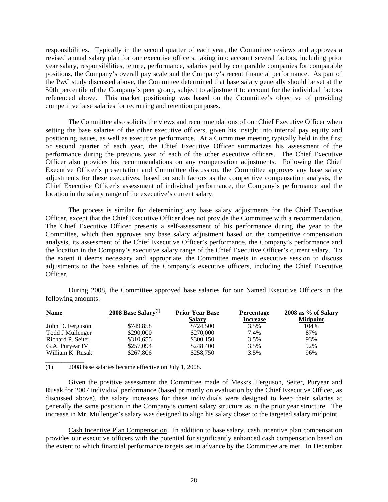responsibilities. Typically in the second quarter of each year, the Committee reviews and approves a revised annual salary plan for our executive officers, taking into account several factors, including prior year salary, responsibilities, tenure, performance, salaries paid by comparable companies for comparable positions, the Company's overall pay scale and the Company's recent financial performance. As part of the PwC study discussed above, the Committee determined that base salary generally should be set at the 50th percentile of the Company's peer group, subject to adjustment to account for the individual factors referenced above. This market positioning was based on the Committee's objective of providing competitive base salaries for recruiting and retention purposes.

The Committee also solicits the views and recommendations of our Chief Executive Officer when setting the base salaries of the other executive officers, given his insight into internal pay equity and positioning issues, as well as executive performance. At a Committee meeting typically held in the first or second quarter of each year, the Chief Executive Officer summarizes his assessment of the performance during the previous year of each of the other executive officers. The Chief Executive Officer also provides his recommendations on any compensation adjustments. Following the Chief Executive Officer's presentation and Committee discussion, the Committee approves any base salary adjustments for these executives, based on such factors as the competitive compensation analysis, the Chief Executive Officer's assessment of individual performance, the Company's performance and the location in the salary range of the executive's current salary.

The process is similar for determining any base salary adjustments for the Chief Executive Officer, except that the Chief Executive Officer does not provide the Committee with a recommendation. The Chief Executive Officer presents a self-assessment of his performance during the year to the Committee, which then approves any base salary adjustment based on the competitive compensation analysis, its assessment of the Chief Executive Officer's performance, the Company's performance and the location in the Company's executive salary range of the Chief Executive Officer's current salary. To the extent it deems necessary and appropriate, the Committee meets in executive session to discuss adjustments to the base salaries of the Company's executive officers, including the Chief Executive Officer.

 During 2008, the Committee approved base salaries for our Named Executive Officers in the following amounts:

| <b>Name</b>       | 2008 Base Salary <sup>(1)</sup> | <b>Prior Year Base</b> | <b>Percentage</b> | $2008$ as % of Salary |
|-------------------|---------------------------------|------------------------|-------------------|-----------------------|
|                   |                                 | <b>Salary</b>          | <b>Increase</b>   | <b>Midpoint</b>       |
| John D. Ferguson  | \$749,858                       | \$724,500              | 3.5%              | 104%                  |
| Todd J Mullenger  | \$290,000                       | \$270,000              | 7.4%              | 87%                   |
| Richard P. Seiter | \$310,655                       | \$300,150              | 3.5%              | 93%                   |
| G.A. Puryear IV   | \$257,094                       | \$248,400              | 3.5%              | 92%                   |
| William K. Rusak  | \$267,806                       | \$258,750              | 3.5%              | 96%                   |
|                   |                                 |                        |                   |                       |

(1) 2008 base salaries became effective on July 1, 2008.

 Given the positive assessment the Committee made of Messrs. Ferguson, Seiter, Puryear and Rusak for 2007 individual performance (based primarily on evaluation by the Chief Executive Officer, as discussed above), the salary increases for these individuals were designed to keep their salaries at generally the same position in the Company's current salary structure as in the prior year structure. The increase in Mr. Mullenger's salary was designed to align his salary closer to the targeted salary midpoint.

Cash Incentive Plan Compensation. In addition to base salary, cash incentive plan compensation provides our executive officers with the potential for significantly enhanced cash compensation based on the extent to which financial performance targets set in advance by the Committee are met. In December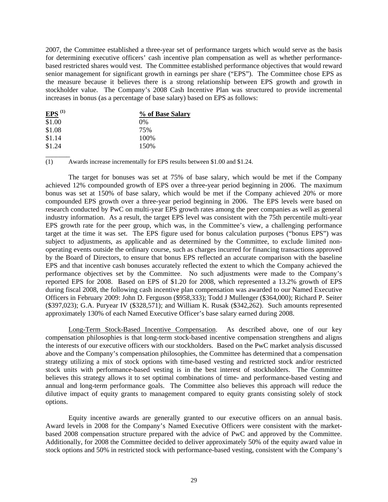2007, the Committee established a three-year set of performance targets which would serve as the basis for determining executive officers' cash incentive plan compensation as well as whether performancebased restricted shares would vest. The Committee established performance objectives that would reward senior management for significant growth in earnings per share ("EPS"). The Committee chose EPS as the measure because it believes there is a strong relationship between EPS growth and growth in stockholder value. The Company's 2008 Cash Incentive Plan was structured to provide incremental increases in bonus (as a percentage of base salary) based on EPS as follows:

| $EPS$ <sup>(1)</sup> | % of Base Salary |
|----------------------|------------------|
| \$1.00               | 0%               |
| \$1.08               | 75%              |
| \$1.14               | 100\%            |
| \$1.24               | 150\%            |

 $\overline{\phantom{a}}$ 

(1) Awards increase incrementally for EPS results between \$1.00 and \$1.24.

 The target for bonuses was set at 75% of base salary, which would be met if the Company achieved 12% compounded growth of EPS over a three-year period beginning in 2006. The maximum bonus was set at 150% of base salary, which would be met if the Company achieved 20% or more compounded EPS growth over a three-year period beginning in 2006. The EPS levels were based on research conducted by PwC on multi-year EPS growth rates among the peer companies as well as general industry information. As a result, the target EPS level was consistent with the 75th percentile multi-year EPS growth rate for the peer group, which was, in the Committee's view, a challenging performance target at the time it was set. The EPS figure used for bonus calculation purposes ("bonus EPS") was subject to adjustments, as applicable and as determined by the Committee, to exclude limited nonoperating events outside the ordinary course, such as charges incurred for financing transactions approved by the Board of Directors, to ensure that bonus EPS reflected an accurate comparison with the baseline EPS and that incentive cash bonuses accurately reflected the extent to which the Company achieved the performance objectives set by the Committee. No such adjustments were made to the Company's reported EPS for 2008. Based on EPS of \$1.20 for 2008, which represented a 13.2% growth of EPS during fiscal 2008, the following cash incentive plan compensation was awarded to our Named Executive Officers in February 2009: John D. Ferguson (\$958,333); Todd J Mullenger (\$364,000); Richard P. Seiter (\$397,023); G.A. Puryear IV (\$328,571); and William K. Rusak (\$342,262). Such amounts represented approximately 130% of each Named Executive Officer's base salary earned during 2008.

Long-Term Stock-Based Incentive Compensation. As described above, one of our key compensation philosophies is that long-term stock-based incentive compensation strengthens and aligns the interests of our executive officers with our stockholders. Based on the PwC market analysis discussed above and the Company's compensation philosophies, the Committee has determined that a compensation strategy utilizing a mix of stock options with time-based vesting and restricted stock and/or restricted stock units with performance-based vesting is in the best interest of stockholders. The Committee believes this strategy allows it to set optimal combinations of time- and performance-based vesting and annual and long-term performance goals. The Committee also believes this approach will reduce the dilutive impact of equity grants to management compared to equity grants consisting solely of stock options.

Equity incentive awards are generally granted to our executive officers on an annual basis. Award levels in 2008 for the Company's Named Executive Officers were consistent with the marketbased 2008 compensation structure prepared with the advice of PwC and approved by the Committee. Additionally, for 2008 the Committee decided to deliver approximately 50% of the equity award value in stock options and 50% in restricted stock with performance-based vesting, consistent with the Company's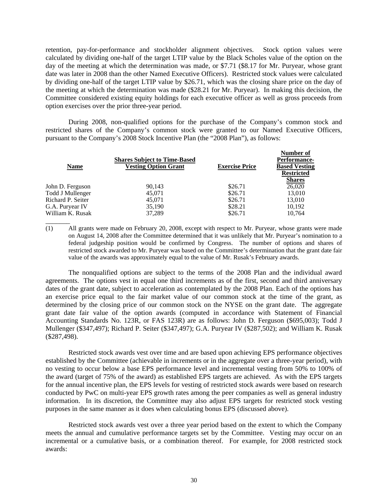retention, pay-for-performance and stockholder alignment objectives. Stock option values were calculated by dividing one-half of the target LTIP value by the Black Scholes value of the option on the day of the meeting at which the determination was made, or \$7.71 (\$8.17 for Mr. Puryear, whose grant date was later in 2008 than the other Named Executive Officers). Restricted stock values were calculated by dividing one-half of the target LTIP value by \$26.71, which was the closing share price on the day of the meeting at which the determination was made (\$28.21 for Mr. Puryear). In making this decision, the Committee considered existing equity holdings for each executive officer as well as gross proceeds from option exercises over the prior three-year period.

During 2008, non-qualified options for the purchase of the Company's common stock and restricted shares of the Company's common stock were granted to our Named Executive Officers, pursuant to the Company's 2008 Stock Incentive Plan (the "2008 Plan"), as follows:

| <b>Name</b>       | <b>Shares Subject to Time-Based</b><br><b>Vesting Option Grant</b> | <b>Exercise Price</b> | Number of<br><b>Performance-</b><br><b>Based Vesting</b><br><b>Restricted</b><br><b>Shares</b> |
|-------------------|--------------------------------------------------------------------|-----------------------|------------------------------------------------------------------------------------------------|
|                   |                                                                    |                       |                                                                                                |
| John D. Ferguson  | 90.143                                                             | \$26.71               | 26,020                                                                                         |
| Todd J Mullenger  | 45,071                                                             | \$26.71               | 13,010                                                                                         |
| Richard P. Seiter | 45,071                                                             | \$26.71               | 13,010                                                                                         |
| G.A. Puryear IV   | 35,190                                                             | \$28.21               | 10,192                                                                                         |
| William K. Rusak  | 37.289                                                             | \$26.71               | 10.764                                                                                         |
|                   |                                                                    |                       |                                                                                                |

 $\overline{\phantom{a}}$ 

(1) All grants were made on February 20, 2008, except with respect to Mr. Puryear, whose grants were made on August 14, 2008 after the Committee determined that it was unlikely that Mr. Puryear's nomination to a federal judgeship position would be confirmed by Congress. The number of options and shares of restricted stock awarded to Mr. Puryear was based on the Committee's determination that the grant date fair value of the awards was approximately equal to the value of Mr. Rusak's February awards.

The nonqualified options are subject to the terms of the 2008 Plan and the individual award agreements. The options vest in equal one third increments as of the first, second and third anniversary dates of the grant date, subject to acceleration as contemplated by the 2008 Plan. Each of the options has an exercise price equal to the fair market value of our common stock at the time of the grant, as determined by the closing price of our common stock on the NYSE on the grant date. The aggregate grant date fair value of the option awards (computed in accordance with Statement of Financial Accounting Standards No. 123R, or FAS 123R) are as follows: John D. Ferguson (\$695,003); Todd J Mullenger (\$347,497); Richard P. Seiter (\$347,497); G.A. Puryear IV (\$287,502); and William K. Rusak (\$287,498).

Restricted stock awards vest over time and are based upon achieving EPS performance objectives established by the Committee (achievable in increments or in the aggregate over a three-year period), with no vesting to occur below a base EPS performance level and incremental vesting from 50% to 100% of the award (target of 75% of the award) as established EPS targets are achieved. As with the EPS targets for the annual incentive plan, the EPS levels for vesting of restricted stock awards were based on research conducted by PwC on multi-year EPS growth rates among the peer companies as well as general industry information. In its discretion, the Committee may also adjust EPS targets for restricted stock vesting purposes in the same manner as it does when calculating bonus EPS (discussed above).

Restricted stock awards vest over a three year period based on the extent to which the Company meets the annual and cumulative performance targets set by the Committee. Vesting may occur on an incremental or a cumulative basis, or a combination thereof. For example, for 2008 restricted stock awards: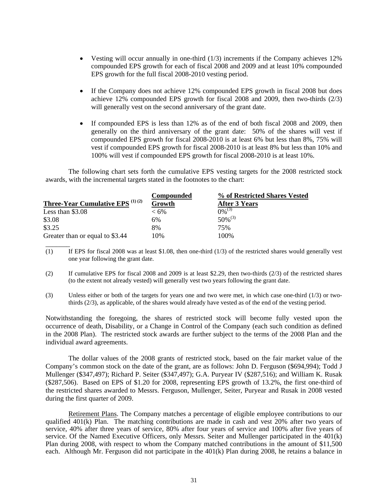- Vesting will occur annually in one-third  $(1/3)$  increments if the Company achieves 12% compounded EPS growth for each of fiscal 2008 and 2009 and at least 10% compounded EPS growth for the full fiscal 2008-2010 vesting period.
- If the Company does not achieve 12% compounded EPS growth in fiscal 2008 but does achieve 12% compounded EPS growth for fiscal 2008 and 2009, then two-thirds  $(2/3)$ will generally vest on the second anniversary of the grant date.
- If compounded EPS is less than 12% as of the end of both fiscal 2008 and 2009, then generally on the third anniversary of the grant date: 50% of the shares will vest if compounded EPS growth for fiscal 2008-2010 is at least 6% but less than 8%, 75% will vest if compounded EPS growth for fiscal 2008-2010 is at least 8% but less than 10% and 100% will vest if compounded EPS growth for fiscal 2008-2010 is at least 10%.

The following chart sets forth the cumulative EPS vesting targets for the 2008 restricted stock awards, with the incremental targets stated in the footnotes to the chart:

|                                              | Compounded | % of Restricted Shares Vested |
|----------------------------------------------|------------|-------------------------------|
| <b>Three-Year Cumulative EPS</b> $^{(1)(2)}$ | Growth     | After 3 Years                 |
| Less than $$3.08$                            | $<6\%$     | $0\%^{(3)}$                   |
| \$3.08                                       | 6%         | $50\%^{(3)}$                  |
| \$3.25                                       | 8%         | 75%                           |
| Greater than or equal to \$3.44              | 10%        | 100\%                         |
|                                              |            |                               |

(1) If EPS for fiscal 2008 was at least \$1.08, then one-third (1/3) of the restricted shares would generally vest one year following the grant date.

- (2) If cumulative EPS for fiscal 2008 and 2009 is at least \$2.29, then two-thirds (2/3) of the restricted shares (to the extent not already vested) will generally vest two years following the grant date.
- (3) Unless either or both of the targets for years one and two were met, in which case one-third (1/3) or twothirds (2/3), as applicable, of the shares would already have vested as of the end of the vesting period.

Notwithstanding the foregoing, the shares of restricted stock will become fully vested upon the occurrence of death, Disability, or a Change in Control of the Company (each such condition as defined in the 2008 Plan). The restricted stock awards are further subject to the terms of the 2008 Plan and the individual award agreements.

The dollar values of the 2008 grants of restricted stock, based on the fair market value of the Company's common stock on the date of the grant, are as follows: John D. Ferguson (\$694,994); Todd J Mullenger (\$347,497); Richard P. Seiter (\$347,497); G.A. Puryear IV (\$287,516); and William K. Rusak (\$287,506). Based on EPS of \$1.20 for 2008, representing EPS growth of 13.2%, the first one-third of the restricted shares awarded to Messrs. Ferguson, Mullenger, Seiter, Puryear and Rusak in 2008 vested during the first quarter of 2009.

Retirement Plans. The Company matches a percentage of eligible employee contributions to our qualified 401(k) Plan. The matching contributions are made in cash and vest 20% after two years of service, 40% after three years of service, 80% after four years of service and 100% after five years of service. Of the Named Executive Officers, only Messrs. Seiter and Mullenger participated in the 401(k) Plan during 2008, with respect to whom the Company matched contributions in the amount of \$11,500 each. Although Mr. Ferguson did not participate in the 401(k) Plan during 2008, he retains a balance in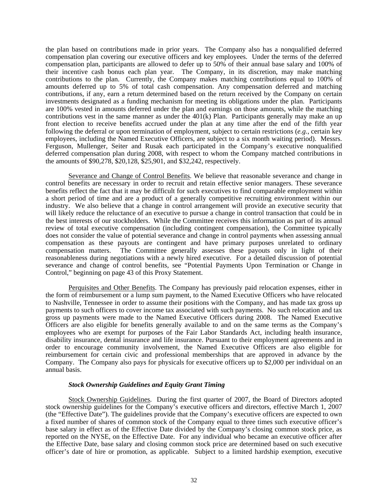the plan based on contributions made in prior years. The Company also has a nonqualified deferred compensation plan covering our executive officers and key employees. Under the terms of the deferred compensation plan, participants are allowed to defer up to 50% of their annual base salary and 100% of their incentive cash bonus each plan year. The Company, in its discretion, may make matching contributions to the plan. Currently, the Company makes matching contributions equal to 100% of amounts deferred up to 5% of total cash compensation. Any compensation deferred and matching contributions, if any, earn a return determined based on the return received by the Company on certain investments designated as a funding mechanism for meeting its obligations under the plan. Participants are 100% vested in amounts deferred under the plan and earnings on those amounts, while the matching contributions vest in the same manner as under the  $401(k)$  Plan. Participants generally may make an up front election to receive benefits accrued under the plan at any time after the end of the fifth year following the deferral or upon termination of employment, subject to certain restrictions (*e.g.*, certain key employees, including the Named Executive Officers, are subject to a six month waiting period). Messrs. Ferguson, Mullenger, Seiter and Rusak each participated in the Company's executive nonqualified deferred compensation plan during 2008, with respect to whom the Company matched contributions in the amounts of \$90,278, \$20,128, \$25,901, and \$32,242, respectively.

Severance and Change of Control Benefits. We believe that reasonable severance and change in control benefits are necessary in order to recruit and retain effective senior managers. These severance benefits reflect the fact that it may be difficult for such executives to find comparable employment within a short period of time and are a product of a generally competitive recruiting environment within our industry. We also believe that a change in control arrangement will provide an executive security that will likely reduce the reluctance of an executive to pursue a change in control transaction that could be in the best interests of our stockholders. While the Committee receives this information as part of its annual review of total executive compensation (including contingent compensation), the Committee typically does not consider the value of potential severance and change in control payments when assessing annual compensation as these payouts are contingent and have primary purposes unrelated to ordinary compensation matters. The Committee generally assesses these payouts only in light of their reasonableness during negotiations with a newly hired executive. For a detailed discussion of potential severance and change of control benefits, see "Potential Payments Upon Termination or Change in Control," beginning on page 43 of this Proxy Statement.

Perquisites and Other Benefits. The Company has previously paid relocation expenses, either in the form of reimbursement or a lump sum payment, to the Named Executive Officers who have relocated to Nashville, Tennessee in order to assume their positions with the Company, and has made tax gross up payments to such officers to cover income tax associated with such payments. No such relocation and tax gross up payments were made to the Named Executive Officers during 2008. The Named Executive Officers are also eligible for benefits generally available to and on the same terms as the Company's employees who are exempt for purposes of the Fair Labor Standards Act, including health insurance, disability insurance, dental insurance and life insurance. Pursuant to their employment agreements and in order to encourage community involvement, the Named Executive Officers are also eligible for reimbursement for certain civic and professional memberships that are approved in advance by the Company. The Company also pays for physicals for executive officers up to \$2,000 per individual on an annual basis.

## *Stock Ownership Guidelines and Equity Grant Timing*

Stock Ownership Guidelines. During the first quarter of 2007, the Board of Directors adopted stock ownership guidelines for the Company's executive officers and directors, effective March 1, 2007 (the "Effective Date"). The guidelines provide that the Company's executive officers are expected to own a fixed number of shares of common stock of the Company equal to three times such executive officer's base salary in effect as of the Effective Date divided by the Company's closing common stock price, as reported on the NYSE, on the Effective Date. For any individual who became an executive officer after the Effective Date, base salary and closing common stock price are determined based on such executive officer's date of hire or promotion, as applicable. Subject to a limited hardship exemption, executive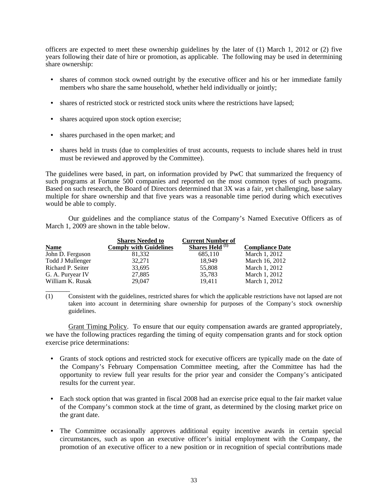officers are expected to meet these ownership guidelines by the later of (1) March 1, 2012 or (2) five years following their date of hire or promotion, as applicable. The following may be used in determining share ownership:

- shares of common stock owned outright by the executive officer and his or her immediate family members who share the same household, whether held individually or jointly;
- shares of restricted stock or restricted stock units where the restrictions have lapsed;
- shares acquired upon stock option exercise;
- shares purchased in the open market; and

 $\overline{\phantom{a}}$ 

• shares held in trusts (due to complexities of trust accounts, requests to include shares held in trust must be reviewed and approved by the Committee).

The guidelines were based, in part, on information provided by PwC that summarized the frequency of such programs at Fortune 500 companies and reported on the most common types of such programs. Based on such research, the Board of Directors determined that 3X was a fair, yet challenging, base salary multiple for share ownership and that five years was a reasonable time period during which executives would be able to comply.

Our guidelines and the compliance status of the Company's Named Executive Officers as of March 1, 2009 are shown in the table below.

|                   | <b>Shares Needed to</b>       | <b>Current Number of</b>          |                        |
|-------------------|-------------------------------|-----------------------------------|------------------------|
| <b>Name</b>       | <b>Comply with Guidelines</b> | <b>Shares Held</b> <sup>(1)</sup> | <b>Compliance Date</b> |
| John D. Ferguson  | 81.332                        | 685.110                           | March 1, 2012          |
| Todd J Mullenger  | 32,271                        | 18.949                            | March 16, 2012         |
| Richard P. Seiter | 33,695                        | 55,808                            | March 1, 2012          |
| G. A. Puryear IV  | 27,885                        | 35,783                            | March 1, 2012          |
| William K. Rusak  | 29,047                        | 19.411                            | March 1, 2012          |

(1) Consistent with the guidelines, restricted shares for which the applicable restrictions have not lapsed are not taken into account in determining share ownership for purposes of the Company's stock ownership guidelines.

Grant Timing Policy. To ensure that our equity compensation awards are granted appropriately, we have the following practices regarding the timing of equity compensation grants and for stock option exercise price determinations:

- Grants of stock options and restricted stock for executive officers are typically made on the date of the Company's February Compensation Committee meeting, after the Committee has had the opportunity to review full year results for the prior year and consider the Company's anticipated results for the current year.
- Each stock option that was granted in fiscal 2008 had an exercise price equal to the fair market value of the Company's common stock at the time of grant, as determined by the closing market price on the grant date.
- The Committee occasionally approves additional equity incentive awards in certain special circumstances, such as upon an executive officer's initial employment with the Company, the promotion of an executive officer to a new position or in recognition of special contributions made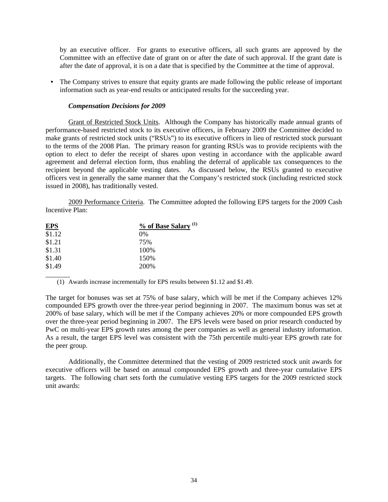by an executive officer. For grants to executive officers, all such grants are approved by the Committee with an effective date of grant on or after the date of such approval. If the grant date is after the date of approval, it is on a date that is specified by the Committee at the time of approval.

**•** The Company strives to ensure that equity grants are made following the public release of important information such as year-end results or anticipated results for the succeeding year.

## *Compensation Decisions for 2009*

Grant of Restricted Stock Units. Although the Company has historically made annual grants of performance-based restricted stock to its executive officers, in February 2009 the Committee decided to make grants of restricted stock units ("RSUs") to its executive officers in lieu of restricted stock pursuant to the terms of the 2008 Plan. The primary reason for granting RSUs was to provide recipients with the option to elect to defer the receipt of shares upon vesting in accordance with the applicable award agreement and deferral election form, thus enabling the deferral of applicable tax consequences to the recipient beyond the applicable vesting dates. As discussed below, the RSUs granted to executive officers vest in generally the same manner that the Company's restricted stock (including restricted stock issued in 2008), has traditionally vested.

2009 Performance Criteria. The Committee adopted the following EPS targets for the 2009 Cash Incentive Plan:

| <b>EPS</b> | % of Base Salary <sup>(1)</sup> |
|------------|---------------------------------|
| \$1.12     | 0%                              |
| \$1.21     | 75%                             |
| \$1.31     | 100%                            |
| \$1.40     | 150\%                           |
| \$1.49     | 200%                            |

 $\overline{\phantom{a}}$ 

(1) Awards increase incrementally for EPS results between \$1.12 and \$1.49.

The target for bonuses was set at 75% of base salary, which will be met if the Company achieves 12% compounded EPS growth over the three-year period beginning in 2007. The maximum bonus was set at 200% of base salary, which will be met if the Company achieves 20% or more compounded EPS growth over the three-year period beginning in 2007. The EPS levels were based on prior research conducted by PwC on multi-year EPS growth rates among the peer companies as well as general industry information. As a result, the target EPS level was consistent with the 75th percentile multi-year EPS growth rate for the peer group.

Additionally, the Committee determined that the vesting of 2009 restricted stock unit awards for executive officers will be based on annual compounded EPS growth and three-year cumulative EPS targets. The following chart sets forth the cumulative vesting EPS targets for the 2009 restricted stock unit awards: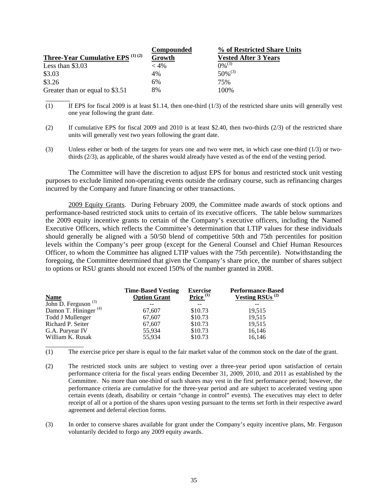|                                              | <b>Compounded</b> | % of Restricted Share Units |
|----------------------------------------------|-------------------|-----------------------------|
| <b>Three-Year Cumulative EPS</b> $^{(1)(2)}$ | Growth            | <b>Vested After 3 Years</b> |
| Less than $$3.03$                            | $< 4\%$           | $0\%^{(3)}$                 |
| \$3.03                                       | 4%                | $50\%^{(3)}$                |
| \$3.26                                       | 6%                | 75%                         |
| Greater than or equal to \$3.51              | 8%                | 100\%                       |

 $\overline{\phantom{a}}$ 

\_\_\_\_\_\_\_\_\_\_\_\_

- (1) If EPS for fiscal 2009 is at least \$1.14, then one-third  $(1/3)$  of the restricted share units will generally vest one year following the grant date.
- (2) If cumulative EPS for fiscal 2009 and 2010 is at least \$2.40, then two-thirds (2/3) of the restricted share units will generally vest two years following the grant date.
- (3) Unless either or both of the targets for years one and two were met, in which case one-third (1/3) or twothirds (2/3), as applicable, of the shares would already have vested as of the end of the vesting period.

 The Committee will have the discretion to adjust EPS for bonus and restricted stock unit vesting purposes to exclude limited non-operating events outside the ordinary course, such as refinancing charges incurred by the Company and future financing or other transactions.

 2009 Equity Grants. During February 2009, the Committee made awards of stock options and performance-based restricted stock units to certain of its executive officers. The table below summarizes the 2009 equity incentive grants to certain of the Company's executive officers, including the Named Executive Officers, which reflects the Committee's determination that LTIP values for these individuals should generally be aligned with a 50/50 blend of competitive 50th and 75th percentiles for position levels within the Company's peer group (except for the General Counsel and Chief Human Resources Officer, to whom the Committee has aligned LTIP values with the 75th percentile). Notwithstanding the foregoing, the Committee determined that given the Company's share price, the number of shares subject to options or RSU grants should not exceed 150% of the number granted in 2008.

|                                                      | <b>Time-Based Vesting</b> | <b>Exercise</b> | <b>Performance-Based</b>           |
|------------------------------------------------------|---------------------------|-----------------|------------------------------------|
| <b>Name</b>                                          | <b>Option Grant</b>       | Price $(1)$     | <b>Vesting RSUs</b> <sup>(2)</sup> |
| $\overline{\text{John D}}$ . Ferguson <sup>(3)</sup> |                           |                 |                                    |
| Damon T. Hininger <sup>(4)</sup>                     | 67.607                    | \$10.73         | 19.515                             |
| Todd J Mullenger                                     | 67,607                    | \$10.73         | 19,515                             |
| Richard P. Seiter                                    | 67,607                    | \$10.73         | 19,515                             |
| G.A. Puryear IV                                      | 55,934                    | \$10.73         | 16,146                             |
| William K. Rusak                                     | 55,934                    | \$10.73         | 16,146                             |

(1) The exercise price per share is equal to the fair market value of the common stock on the date of the grant.

- (2) The restricted stock units are subject to vesting over a three-year period upon satisfaction of certain performance criteria for the fiscal years ending December 31, 2009, 2010, and 2011 as established by the Committee. No more than one-third of such shares may vest in the first performance period; however, the performance criteria are cumulative for the three-year period and are subject to accelerated vesting upon certain events (death, disability or certain "change in control" events). The executives may elect to defer receipt of all or a portion of the shares upon vesting pursuant to the terms set forth in their respective award agreement and deferral election forms.
- (3) In order to conserve shares available for grant under the Company's equity incentive plans, Mr. Ferguson voluntarily decided to forgo any 2009 equity awards.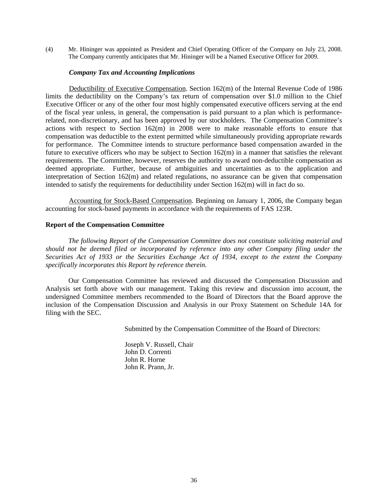(4) Mr. Hininger was appointed as President and Chief Operating Officer of the Company on July 23, 2008. The Company currently anticipates that Mr. Hininger will be a Named Executive Officer for 2009.

### *Company Tax and Accounting Implications*

Deductibility of Executive Compensation. Section 162(m) of the Internal Revenue Code of 1986 limits the deductibility on the Company's tax return of compensation over \$1.0 million to the Chief Executive Officer or any of the other four most highly compensated executive officers serving at the end of the fiscal year unless, in general, the compensation is paid pursuant to a plan which is performancerelated, non-discretionary, and has been approved by our stockholders. The Compensation Committee's actions with respect to Section 162(m) in 2008 were to make reasonable efforts to ensure that compensation was deductible to the extent permitted while simultaneously providing appropriate rewards for performance. The Committee intends to structure performance based compensation awarded in the future to executive officers who may be subject to Section 162(m) in a manner that satisfies the relevant requirements. The Committee, however, reserves the authority to award non-deductible compensation as deemed appropriate. Further, because of ambiguities and uncertainties as to the application and interpretation of Section 162(m) and related regulations, no assurance can be given that compensation intended to satisfy the requirements for deductibility under Section 162(m) will in fact do so.

Accounting for Stock-Based Compensation. Beginning on January 1, 2006, the Company began accounting for stock-based payments in accordance with the requirements of FAS 123R.

### **Report of the Compensation Committee**

*The following Report of the Compensation Committee does not constitute soliciting material and should not be deemed filed or incorporated by reference into any other Company filing under the Securities Act of 1933 or the Securities Exchange Act of 1934, except to the extent the Company specifically incorporates this Report by reference therein.*

Our Compensation Committee has reviewed and discussed the Compensation Discussion and Analysis set forth above with our management. Taking this review and discussion into account, the undersigned Committee members recommended to the Board of Directors that the Board approve the inclusion of the Compensation Discussion and Analysis in our Proxy Statement on Schedule 14A for filing with the SEC.

Submitted by the Compensation Committee of the Board of Directors:

Joseph V. Russell, Chair John D. Correnti John R. Horne John R. Prann, Jr.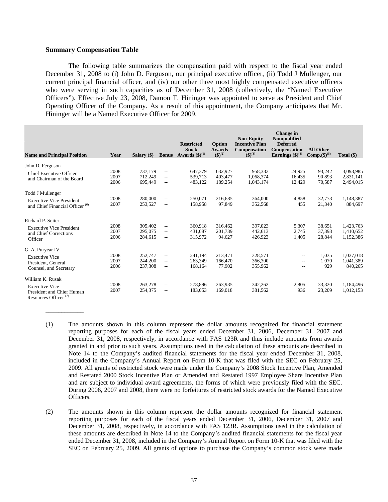### **Summary Compensation Table**

\_\_\_\_\_\_\_\_\_\_\_\_

The following table summarizes the compensation paid with respect to the fiscal year ended December 31, 2008 to (i) John D. Ferguson, our principal executive officer, (ii) Todd J Mullenger, our current principal financial officer, and (iv) our other three most highly compensated executive officers who were serving in such capacities as of December 31, 2008 (collectively, the "Named Executive Officers"). Effective July 23, 2008, Damon T. Hininger was appointed to serve as President and Chief Operating Officer of the Company. As a result of this appointment, the Company anticipates that Mr. Hininger will be a Named Executive Officer for 2009.

| <b>Name and Principal Position</b>                 | Year | Salary $(\$)$ | <b>Bonus</b>             | <b>Restricted</b><br><b>Stock</b><br>Awards $(\boldsymbol{\$})^{(1)}$ | Option<br><b>Awards</b><br>$(5)^{(2)}$ | <b>Non-Equity</b><br><b>Incentive Plan</b><br><b>Compensation</b><br>$(5)^{(3)}$ | Change in<br><b>Nonqualified</b><br><b>Deferred</b><br><b>Compensation</b><br>Earnings $(\text{$\$})^{(4)}$ | <b>All Other</b><br>Comp. $($ \$ $)^{(5)}$ | Total $(\$)$ |
|----------------------------------------------------|------|---------------|--------------------------|-----------------------------------------------------------------------|----------------------------------------|----------------------------------------------------------------------------------|-------------------------------------------------------------------------------------------------------------|--------------------------------------------|--------------|
| John D. Ferguson                                   |      |               |                          |                                                                       |                                        |                                                                                  |                                                                                                             |                                            |              |
|                                                    | 2008 | 737,179       | $\overline{\phantom{m}}$ | 647,379                                                               | 632,927                                | 958,333                                                                          | 24,925                                                                                                      | 93,242                                     | 3,093,985    |
| <b>Chief Executive Officer</b>                     | 2007 | 712,249       | $\overline{\phantom{a}}$ | 539,713                                                               | 403,477                                | 1,068,374                                                                        | 16,435                                                                                                      | 90,893                                     | 2,831,141    |
| and Chairman of the Board                          | 2006 | 695,449       | $- -$                    | 483,122                                                               | 189,254                                | 1,043,174                                                                        | 12,429                                                                                                      | 70,587                                     | 2,494,015    |
|                                                    |      |               |                          |                                                                       |                                        |                                                                                  |                                                                                                             |                                            |              |
| Todd J Mullenger                                   |      |               |                          |                                                                       |                                        |                                                                                  |                                                                                                             |                                            |              |
| <b>Executive Vice President</b>                    | 2008 | 280,000       | $\overline{\phantom{m}}$ | 250,071                                                               | 216,685                                | 364,000                                                                          | 4,858                                                                                                       | 32,773                                     | 1,148,387    |
| and Chief Financial Officer <sup>(6)</sup>         | 2007 | 253,527       | $- -$                    | 158,958                                                               | 97,849                                 | 352,568                                                                          | 455                                                                                                         | 21,340                                     | 884,697      |
| Richard P. Seiter                                  |      |               |                          |                                                                       |                                        |                                                                                  |                                                                                                             |                                            |              |
|                                                    | 2008 | 305,402       | $- -$                    | 360,918                                                               | 316,462                                | 397,023                                                                          | 5,307                                                                                                       | 38,651                                     | 1,423,763    |
| <b>Executive Vice President</b>                    | 2007 | 295,075       | $\overline{\phantom{a}}$ | 431,087                                                               | 201,739                                | 442,613                                                                          | 2,745                                                                                                       | 37,393                                     | 1,410,652    |
| and Chief Corrections                              | 2006 | 284,615       | $- -$                    | 315,972                                                               | 94.627                                 | 426,923                                                                          | 1,405                                                                                                       | 28,844                                     | 1,152,386    |
| Officer                                            |      |               |                          |                                                                       |                                        |                                                                                  |                                                                                                             |                                            |              |
| G. A. Puryear IV                                   |      |               |                          |                                                                       |                                        |                                                                                  |                                                                                                             |                                            |              |
| <b>Executive Vice</b>                              | 2008 | 252,747       | $\overline{\phantom{a}}$ | 241,194                                                               | 213,471                                | 328,571                                                                          | $-$                                                                                                         | 1,035                                      | 1,037,018    |
| President, General                                 | 2007 | 244,200       | $\overline{\phantom{a}}$ | 263.349                                                               | 166,470                                | 366,300                                                                          | $-$                                                                                                         | 1,070                                      | 1,041,389    |
| Counsel, and Secretary                             | 2006 | 237,308       | $\overline{\phantom{a}}$ | 168,164                                                               | 77,902                                 | 355,962                                                                          | $- -$                                                                                                       | 929                                        | 840,265      |
| William K. Rusak                                   |      |               |                          |                                                                       |                                        |                                                                                  |                                                                                                             |                                            |              |
|                                                    | 2008 | 263,278       | $\overline{\phantom{m}}$ | 278,896                                                               | 263.935                                | 342,262                                                                          | 2,805                                                                                                       | 33,320                                     | 1,184,496    |
| <b>Executive Vice</b><br>President and Chief Human | 2007 | 254,375       | $- -$                    | 183,053                                                               | 169,018                                | 381,562                                                                          | 936                                                                                                         | 23,209                                     | 1,012,153    |
| Resources Officer $(7)$                            |      |               |                          |                                                                       |                                        |                                                                                  |                                                                                                             |                                            |              |

- (1) The amounts shown in this column represent the dollar amounts recognized for financial statement reporting purposes for each of the fiscal years ended December 31, 2006, December 31, 2007 and December 31, 2008, respectively, in accordance with FAS 123R and thus include amounts from awards granted in and prior to such years. Assumptions used in the calculation of these amounts are described in Note 14 to the Company's audited financial statements for the fiscal year ended December 31, 2008, included in the Company's Annual Report on Form 10-K that was filed with the SEC on February 25, 2009. All grants of restricted stock were made under the Company's 2008 Stock Incentive Plan, Amended and Restated 2000 Stock Incentive Plan or Amended and Restated 1997 Employee Share Incentive Plan and are subject to individual award agreements, the forms of which were previously filed with the SEC. During 2006, 2007 and 2008, there were no forfeitures of restricted stock awards for the Named Executive Officers.
- (2) The amounts shown in this column represent the dollar amounts recognized for financial statement reporting purposes for each of the fiscal years ended December 31, 2006, December 31, 2007 and December 31, 2008, respectively, in accordance with FAS 123R. Assumptions used in the calculation of these amounts are described in Note 14 to the Company's audited financial statements for the fiscal year ended December 31, 2008, included in the Company's Annual Report on Form 10-K that was filed with the SEC on February 25, 2009. All grants of options to purchase the Company's common stock were made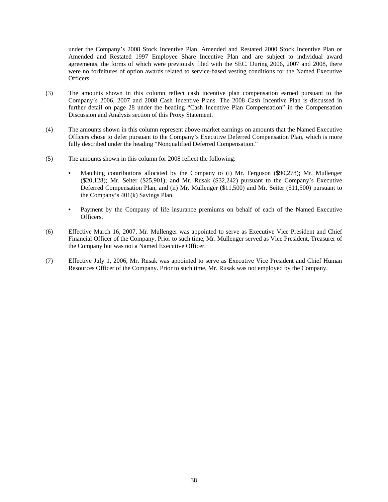under the Company's 2008 Stock Incentive Plan, Amended and Restated 2000 Stock Incentive Plan or Amended and Restated 1997 Employee Share Incentive Plan and are subject to individual award agreements, the forms of which were previously filed with the SEC. During 2006, 2007 and 2008, there were no forfeitures of option awards related to service-based vesting conditions for the Named Executive Officers.

- (3) The amounts shown in this column reflect cash incentive plan compensation earned pursuant to the Company's 2006, 2007 and 2008 Cash Incentive Plans. The 2008 Cash Incentive Plan is discussed in further detail on page 28 under the heading "Cash Incentive Plan Compensation" in the Compensation Discussion and Analysis section of this Proxy Statement.
- (4) The amounts shown in this column represent above-market earnings on amounts that the Named Executive Officers chose to defer pursuant to the Company's Executive Deferred Compensation Plan, which is more fully described under the heading "Nonqualified Deferred Compensation."
- (5) The amounts shown in this column for 2008 reflect the following:
	- Matching contributions allocated by the Company to (i) Mr. Ferguson (\$90,278); Mr. Mullenger (\$20,128); Mr. Seiter (\$25,901); and Mr. Rusak (\$32,242) pursuant to the Company's Executive Deferred Compensation Plan, and (ii) Mr. Mullenger (\$11,500) and Mr. Seiter (\$11,500) pursuant to the Company's 401(k) Savings Plan.
	- Payment by the Company of life insurance premiums on behalf of each of the Named Executive Officers.
- (6) Effective March 16, 2007, Mr. Mullenger was appointed to serve as Executive Vice President and Chief Financial Officer of the Company. Prior to such time, Mr. Mullenger served as Vice President, Treasurer of the Company but was not a Named Executive Officer.
- (7) Effective July 1, 2006, Mr. Rusak was appointed to serve as Executive Vice President and Chief Human Resources Officer of the Company. Prior to such time, Mr. Rusak was not employed by the Company.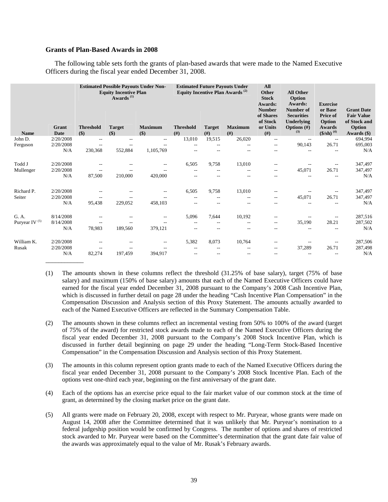### **Grants of Plan-Based Awards in 2008**

The following table sets forth the grants of plan-based awards that were made to the Named Executive Officers during the fiscal year ended December 31, 2008.

|                     |                      |                             | <b>Estimated Possible Payouts Under Non-</b><br><b>Equity Incentive Plan</b><br>Awards <sup>(1)</sup> |                           |                          | <b>Estimated Future Payouts Under</b><br>Equity Incentive Plan Awards <sup>(2)</sup> |                        |                                                            | <b>All Other</b><br>Option<br>Awards:<br>Number of       | <b>Exercise</b><br>or Base                                            | <b>Grant Date</b>                                            |
|---------------------|----------------------|-----------------------------|-------------------------------------------------------------------------------------------------------|---------------------------|--------------------------|--------------------------------------------------------------------------------------|------------------------|------------------------------------------------------------|----------------------------------------------------------|-----------------------------------------------------------------------|--------------------------------------------------------------|
| <b>Name</b>         | Grant<br><b>Date</b> | <b>Threshold</b><br>$($ \$) | <b>Target</b><br>$($ \$)                                                                              | <b>Maximum</b><br>$($ \$) | <b>Threshold</b><br>(f#) | <b>Target</b><br>(f#)                                                                | <b>Maximum</b><br>(f#) | <b>Number</b><br>of Shares<br>of Stock<br>or Units<br>(f#) | <b>Securities</b><br>Underlying<br>Options $(\#)$<br>(3) | <b>Price of</b><br>Option<br><b>Awards</b><br>$($/sh)$ <sup>(4)</sup> | <b>Fair Value</b><br>of Stock and<br>Option<br>Awards $(\$)$ |
| John D.             | 2/20/2008            | $ -$                        | $\overline{a}$                                                                                        | $\overline{a}$            | 13,010                   | 19,515                                                                               | 26,020                 | $\overline{\phantom{m}}$                                   | $-$                                                      | $\overline{\phantom{a}}$                                              | 694,994                                                      |
| Ferguson            | 2/20/2008            | $\sim$ $\sim$               | $\sim$ $\sim$                                                                                         |                           | $\overline{\phantom{a}}$ |                                                                                      | $\sim$ $\sim$          | $\overline{\phantom{a}}$                                   | 90,143                                                   | 26.71                                                                 | 695,003                                                      |
|                     | N/A                  | 230,368                     | 552,884                                                                                               | 1,105,769                 | $\overline{\phantom{a}}$ | $\sim$                                                                               | --                     | --                                                         | $-$                                                      |                                                                       | N/A                                                          |
| Todd J              | 2/20/2008            |                             |                                                                                                       | $-$                       | 6,505                    | 9,758                                                                                | 13,010                 | $-$                                                        |                                                          | $-$                                                                   | 347,497                                                      |
| Mullenger           | 2/20/2008            | $ -$                        |                                                                                                       |                           | $ -$                     | $\sim$ $-$                                                                           | $ -$                   | $\overline{\phantom{a}}$                                   | 45,071                                                   | 26.71                                                                 | 347,497                                                      |
|                     | N/A                  | 87,500                      | 210,000                                                                                               | 420,000                   | $-$                      | $ -$                                                                                 | $-$                    | $-$                                                        | $- -$                                                    | $- -$                                                                 | N/A                                                          |
| Richard P.          | 2/20/2008            |                             |                                                                                                       | --                        | 6,505                    | 9,758                                                                                | 13,010                 | --                                                         |                                                          | $-$                                                                   | 347,497                                                      |
| Seiter              | 2/20/2008            | $-$                         |                                                                                                       |                           | $\overline{\phantom{a}}$ | $\sim$ $-$                                                                           | $\overline{a}$         | $-$                                                        | 45,071                                                   | 26.71                                                                 | 347,497                                                      |
|                     | N/A                  | 95,438                      | 229,052                                                                                               | 458,103                   | $\overline{\phantom{a}}$ |                                                                                      | --                     |                                                            |                                                          |                                                                       | N/A                                                          |
| G. A.               | 8/14/2008            |                             |                                                                                                       | $\overline{a}$            | 5,096                    | 7,644                                                                                | 10,192                 | --                                                         |                                                          | $\overline{a}$                                                        | 287,516                                                      |
| Puryear IV $^{(5)}$ | 8/14/2008            |                             | ٠.                                                                                                    |                           | $\sim$ $-$               | $-$                                                                                  | $-$                    | --                                                         | 35,190                                                   | 28.21                                                                 | 287,502                                                      |
|                     | N/A                  | 78,983                      | 189,560                                                                                               | 379,121                   | $- -$                    | $ -$                                                                                 | $ -$                   | --                                                         | $- -$                                                    | $-$                                                                   | N/A                                                          |
| William K.          | 2/20/2008            |                             |                                                                                                       | --                        | 5,382                    | 8,073                                                                                | 10,764                 | $-$                                                        |                                                          | --                                                                    | 287,506                                                      |
| Rusak               | 2/20/2008            | $\sim$                      | --                                                                                                    | $\overline{\phantom{a}}$  | $\overline{\phantom{a}}$ | $\sim$ $-$                                                                           | $\sim$ $-$             | $\overline{\phantom{a}}$                                   | 37,289                                                   | 26.71                                                                 | 287,498                                                      |
|                     | N/A                  | 82,274                      | 197,459                                                                                               | 394,917                   | $ -$                     | $ -$                                                                                 | $-$                    | $-$                                                        | $- -$                                                    | --                                                                    | N/A                                                          |

(1) The amounts shown in these columns reflect the threshold (31.25% of base salary), target (75% of base salary) and maximum (150% of base salary) amounts that each of the Named Executive Officers could have earned for the fiscal year ended December 31, 2008 pursuant to the Company's 2008 Cash Incentive Plan, which is discussed in further detail on page 28 under the heading "Cash Incentive Plan Compensation" in the Compensation Discussion and Analysis section of this Proxy Statement. The amounts actually awarded to each of the Named Executive Officers are reflected in the Summary Compensation Table.

- (2) The amounts shown in these columns reflect an incremental vesting from 50% to 100% of the award (target of 75% of the award) for restricted stock awards made to each of the Named Executive Officers during the fiscal year ended December 31, 2008 pursuant to the Company's 2008 Stock Incentive Plan, which is discussed in further detail beginning on page 29 under the heading "Long-Term Stock-Based Incentive Compensation" in the Compensation Discussion and Analysis section of this Proxy Statement.
- (3) The amounts in this column represent option grants made to each of the Named Executive Officers during the fiscal year ended December 31, 2008 pursuant to the Company's 2008 Stock Incentive Plan. Each of the options vest one-third each year, beginning on the first anniversary of the grant date.
- (4) Each of the options has an exercise price equal to the fair market value of our common stock at the time of grant, as determined by the closing market price on the grant date.
- (5) All grants were made on February 20, 2008, except with respect to Mr. Puryear, whose grants were made on August 14, 2008 after the Committee determined that it was unlikely that Mr. Puryear's nomination to a federal judgeship position would be confirmed by Congress. The number of options and shares of restricted stock awarded to Mr. Puryear were based on the Committee's determination that the grant date fair value of the awards was approximately equal to the value of Mr. Rusak's February awards.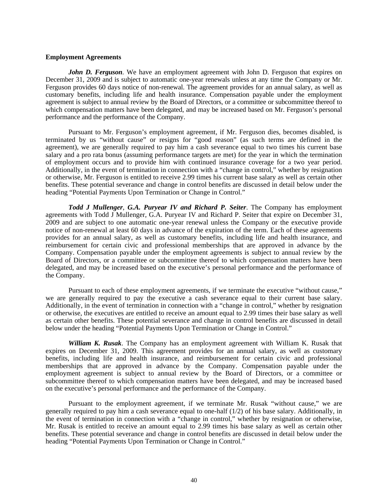### **Employment Agreements**

*John D. Ferguson.* We have an employment agreement with John D. Ferguson that expires on December 31, 2009 and is subject to automatic one-year renewals unless at any time the Company or Mr. Ferguson provides 60 days notice of non-renewal. The agreement provides for an annual salary, as well as customary benefits, including life and health insurance. Compensation payable under the employment agreement is subject to annual review by the Board of Directors, or a committee or subcommittee thereof to which compensation matters have been delegated, and may be increased based on Mr. Ferguson's personal performance and the performance of the Company.

Pursuant to Mr. Ferguson's employment agreement, if Mr. Ferguson dies, becomes disabled, is terminated by us "without cause" or resigns for "good reason" (as such terms are defined in the agreement), we are generally required to pay him a cash severance equal to two times his current base salary and a pro rata bonus (assuming performance targets are met) for the year in which the termination of employment occurs and to provide him with continued insurance coverage for a two year period. Additionally, in the event of termination in connection with a "change in control," whether by resignation or otherwise, Mr. Ferguson is entitled to receive 2.99 times his current base salary as well as certain other benefits. These potential severance and change in control benefits are discussed in detail below under the heading "Potential Payments Upon Termination or Change in Control."

*Todd J Mullenger*, *G.A. Puryear IV and Richard P. Seiter*. The Company has employment agreements with Todd J Mullenger, G.A. Puryear IV and Richard P. Seiter that expire on December 31, 2009 and are subject to one automatic one-year renewal unless the Company or the executive provide notice of non-renewal at least 60 days in advance of the expiration of the term. Each of these agreements provides for an annual salary, as well as customary benefits, including life and health insurance, and reimbursement for certain civic and professional memberships that are approved in advance by the Company. Compensation payable under the employment agreements is subject to annual review by the Board of Directors, or a committee or subcommittee thereof to which compensation matters have been delegated, and may be increased based on the executive's personal performance and the performance of the Company.

Pursuant to each of these employment agreements, if we terminate the executive "without cause," we are generally required to pay the executive a cash severance equal to their current base salary. Additionally, in the event of termination in connection with a "change in control," whether by resignation or otherwise, the executives are entitled to receive an amount equal to 2.99 times their base salary as well as certain other benefits. These potential severance and change in control benefits are discussed in detail below under the heading "Potential Payments Upon Termination or Change in Control."

*William K. Rusak*. The Company has an employment agreement with William K. Rusak that expires on December 31, 2009. This agreement provides for an annual salary, as well as customary benefits, including life and health insurance, and reimbursement for certain civic and professional memberships that are approved in advance by the Company. Compensation payable under the employment agreement is subject to annual review by the Board of Directors, or a committee or subcommittee thereof to which compensation matters have been delegated, and may be increased based on the executive's personal performance and the performance of the Company.

Pursuant to the employment agreement, if we terminate Mr. Rusak "without cause," we are generally required to pay him a cash severance equal to one-half (1/2) of his base salary. Additionally, in the event of termination in connection with a "change in control," whether by resignation or otherwise, Mr. Rusak is entitled to receive an amount equal to 2.99 times his base salary as well as certain other benefits. These potential severance and change in control benefits are discussed in detail below under the heading "Potential Payments Upon Termination or Change in Control."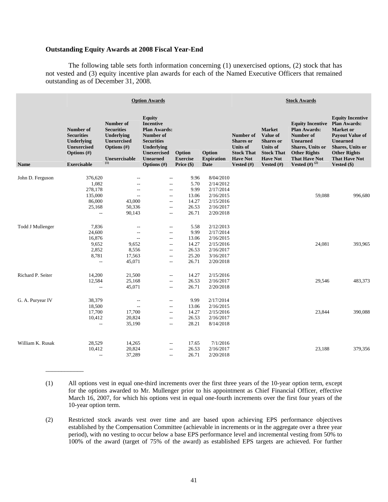## **Outstanding Equity Awards at 2008 Fiscal Year-End**

\_\_\_\_\_\_\_\_\_\_\_\_

The following table sets forth information concerning (1) unexercised options, (2) stock that has not vested and (3) equity incentive plan awards for each of the Named Executive Officers that remained outstanding as of December 31, 2008.

|                   |                                                                                                            |                                                                                                              | <b>Option Awards</b>                                                                                                                                                           |                                         | <b>Stock Awards</b>                        |                                                                                                          |                                                                                                                          |                                                                                                                                                                                         |                                                                                                                                                                                                     |
|-------------------|------------------------------------------------------------------------------------------------------------|--------------------------------------------------------------------------------------------------------------|--------------------------------------------------------------------------------------------------------------------------------------------------------------------------------|-----------------------------------------|--------------------------------------------|----------------------------------------------------------------------------------------------------------|--------------------------------------------------------------------------------------------------------------------------|-----------------------------------------------------------------------------------------------------------------------------------------------------------------------------------------|-----------------------------------------------------------------------------------------------------------------------------------------------------------------------------------------------------|
| <b>Name</b>       | Number of<br><b>Securities</b><br>Underlying<br><b>Unexercised</b><br>Options $(\#)$<br><b>Exercisable</b> | Number of<br><b>Securities</b><br>Underlying<br><b>Unexercised</b><br>Options $(\#)$<br>Unexercisable<br>(1) | <b>Equity</b><br><b>Incentive</b><br><b>Plan Awards:</b><br>Number of<br><b>Securities</b><br><b>Underlying</b><br><b>Unexercised</b><br><b>Unearned</b><br><b>Options</b> (#) | Option<br><b>Exercise</b><br>Price (\$) | Option<br><b>Expiration</b><br><b>Date</b> | Number of<br><b>Shares</b> or<br><b>Units of</b><br><b>Stock That</b><br><b>Have Not</b><br>Vested $(H)$ | <b>Market</b><br>Value of<br><b>Shares</b> or<br><b>Units of</b><br><b>Stock That</b><br><b>Have Not</b><br>Vested $(H)$ | <b>Equity Incentive</b><br><b>Plan Awards:</b><br>Number of<br><b>Unearned</b><br><b>Shares</b> , Units or<br><b>Other Rights</b><br><b>That Have Not</b><br><b>Vested</b> (#) $^{(2)}$ | <b>Equity Incentive</b><br><b>Plan Awards:</b><br><b>Market</b> or<br><b>Payout Value of</b><br>Unearned<br><b>Shares, Units or</b><br><b>Other Rights</b><br><b>That Have Not</b><br>Vested $(\$)$ |
|                   |                                                                                                            |                                                                                                              |                                                                                                                                                                                |                                         |                                            |                                                                                                          |                                                                                                                          |                                                                                                                                                                                         |                                                                                                                                                                                                     |
| John D. Ferguson  | 376,620                                                                                                    |                                                                                                              | $-$                                                                                                                                                                            | 9.96                                    | 8/04/2010                                  |                                                                                                          |                                                                                                                          |                                                                                                                                                                                         |                                                                                                                                                                                                     |
|                   | 1,082                                                                                                      | $-$                                                                                                          | $\overline{a}$                                                                                                                                                                 | 5.70                                    | 2/14/2012                                  |                                                                                                          |                                                                                                                          |                                                                                                                                                                                         |                                                                                                                                                                                                     |
|                   | 278,178                                                                                                    | $-$                                                                                                          | $\overline{\phantom{m}}$                                                                                                                                                       | 9.99                                    | 2/17/2014                                  |                                                                                                          |                                                                                                                          |                                                                                                                                                                                         |                                                                                                                                                                                                     |
|                   | 135,000                                                                                                    | $\overline{\phantom{a}}$                                                                                     | $\overline{\phantom{a}}$                                                                                                                                                       | 13.06                                   | 2/16/2015                                  |                                                                                                          |                                                                                                                          | 59,088                                                                                                                                                                                  | 996,680                                                                                                                                                                                             |
|                   | 86,000                                                                                                     | 43,000                                                                                                       | $\overline{\phantom{a}}$                                                                                                                                                       | 14.27                                   | 2/15/2016                                  |                                                                                                          |                                                                                                                          |                                                                                                                                                                                         |                                                                                                                                                                                                     |
|                   | 25,168<br>$\overline{a}$                                                                                   | 50,336<br>90,143                                                                                             | $\overline{\phantom{a}}$                                                                                                                                                       | 26.53<br>26.71                          | 2/16/2017<br>2/20/2018                     |                                                                                                          |                                                                                                                          |                                                                                                                                                                                         |                                                                                                                                                                                                     |
|                   |                                                                                                            |                                                                                                              | $\overline{\phantom{a}}$                                                                                                                                                       |                                         |                                            |                                                                                                          |                                                                                                                          |                                                                                                                                                                                         |                                                                                                                                                                                                     |
|                   |                                                                                                            |                                                                                                              |                                                                                                                                                                                |                                         |                                            |                                                                                                          |                                                                                                                          |                                                                                                                                                                                         |                                                                                                                                                                                                     |
| Todd J Mullenger  | 7,836                                                                                                      | $\overline{\phantom{a}}$                                                                                     | $\overline{a}$                                                                                                                                                                 | 5.58                                    | 2/12/2013                                  |                                                                                                          |                                                                                                                          |                                                                                                                                                                                         |                                                                                                                                                                                                     |
|                   | 24,600<br>16,876                                                                                           | $\overline{\phantom{a}}$                                                                                     | $\overline{\phantom{a}}$                                                                                                                                                       | 9.99                                    | 2/17/2014                                  |                                                                                                          |                                                                                                                          |                                                                                                                                                                                         |                                                                                                                                                                                                     |
|                   | 9,652                                                                                                      | $\overline{\phantom{a}}$<br>9,652                                                                            | $\overline{\phantom{a}}$                                                                                                                                                       | 13.06<br>14.27                          | 2/16/2015                                  |                                                                                                          |                                                                                                                          | 24,081                                                                                                                                                                                  | 393,965                                                                                                                                                                                             |
|                   | 2,852                                                                                                      | 8,556                                                                                                        | $\qquad \qquad -$                                                                                                                                                              | 26.53                                   | 2/15/2016<br>2/16/2017                     |                                                                                                          |                                                                                                                          |                                                                                                                                                                                         |                                                                                                                                                                                                     |
|                   | 8,781                                                                                                      | 17,563                                                                                                       | $- -$<br>$\overline{\phantom{a}}$                                                                                                                                              | 25.20                                   | 3/16/2017                                  |                                                                                                          |                                                                                                                          |                                                                                                                                                                                         |                                                                                                                                                                                                     |
|                   | $\overline{a}$                                                                                             | 45,071                                                                                                       | $\qquad \qquad -$                                                                                                                                                              | 26.71                                   | 2/20/2018                                  |                                                                                                          |                                                                                                                          |                                                                                                                                                                                         |                                                                                                                                                                                                     |
|                   |                                                                                                            |                                                                                                              |                                                                                                                                                                                |                                         |                                            |                                                                                                          |                                                                                                                          |                                                                                                                                                                                         |                                                                                                                                                                                                     |
| Richard P. Seiter | 14,200                                                                                                     | 21,500                                                                                                       | $\qquad \qquad -$                                                                                                                                                              | 14.27                                   | 2/15/2016                                  |                                                                                                          |                                                                                                                          |                                                                                                                                                                                         |                                                                                                                                                                                                     |
|                   | 12,584                                                                                                     | 25,168                                                                                                       | $\overline{\phantom{a}}$                                                                                                                                                       | 26.53                                   | 2/16/2017                                  |                                                                                                          |                                                                                                                          | 29,546                                                                                                                                                                                  | 483,373                                                                                                                                                                                             |
|                   | $\overline{a}$                                                                                             | 45,071                                                                                                       | $\overline{\phantom{a}}$                                                                                                                                                       | 26.71                                   | 2/20/2018                                  |                                                                                                          |                                                                                                                          |                                                                                                                                                                                         |                                                                                                                                                                                                     |
|                   |                                                                                                            |                                                                                                              |                                                                                                                                                                                |                                         |                                            |                                                                                                          |                                                                                                                          |                                                                                                                                                                                         |                                                                                                                                                                                                     |
| G. A. Puryear IV  | 38,379                                                                                                     | $- -$                                                                                                        | $\overline{\phantom{m}}$                                                                                                                                                       | 9.99                                    | 2/17/2014                                  |                                                                                                          |                                                                                                                          |                                                                                                                                                                                         |                                                                                                                                                                                                     |
|                   | 18,500                                                                                                     | $\overline{\phantom{a}}$                                                                                     | $\overline{\phantom{a}}$                                                                                                                                                       | 13.06                                   | 2/16/2015                                  |                                                                                                          |                                                                                                                          |                                                                                                                                                                                         |                                                                                                                                                                                                     |
|                   | 17,700                                                                                                     | 17,700                                                                                                       | $\qquad \qquad -$                                                                                                                                                              | 14.27                                   | 2/15/2016                                  |                                                                                                          |                                                                                                                          | 23,844                                                                                                                                                                                  | 390,088                                                                                                                                                                                             |
|                   | 10,412                                                                                                     | 20,824                                                                                                       | $\overline{\phantom{a}}$                                                                                                                                                       | 26.53                                   | 2/16/2017                                  |                                                                                                          |                                                                                                                          |                                                                                                                                                                                         |                                                                                                                                                                                                     |
|                   | $\overline{\phantom{a}}$                                                                                   | 35,190                                                                                                       | $\overline{\phantom{m}}$                                                                                                                                                       | 28.21                                   | 8/14/2018                                  |                                                                                                          |                                                                                                                          |                                                                                                                                                                                         |                                                                                                                                                                                                     |
|                   |                                                                                                            |                                                                                                              |                                                                                                                                                                                |                                         |                                            |                                                                                                          |                                                                                                                          |                                                                                                                                                                                         |                                                                                                                                                                                                     |
| William K. Rusak  | 28,529                                                                                                     | 14,265                                                                                                       | $\overline{\phantom{m}}$                                                                                                                                                       | 17.65                                   | 7/1/2016                                   |                                                                                                          |                                                                                                                          |                                                                                                                                                                                         |                                                                                                                                                                                                     |
|                   | 10,412                                                                                                     | 20,824                                                                                                       | $- -$                                                                                                                                                                          | 26.53                                   | 2/16/2017                                  |                                                                                                          |                                                                                                                          | 23,188                                                                                                                                                                                  | 379,356                                                                                                                                                                                             |
|                   | $\overline{a}$                                                                                             | 37,289                                                                                                       | $\overline{a}$                                                                                                                                                                 | 26.71                                   | 2/20/2018                                  |                                                                                                          |                                                                                                                          |                                                                                                                                                                                         |                                                                                                                                                                                                     |
|                   |                                                                                                            |                                                                                                              |                                                                                                                                                                                |                                         |                                            |                                                                                                          |                                                                                                                          |                                                                                                                                                                                         |                                                                                                                                                                                                     |

<sup>(1)</sup> All options vest in equal one-third increments over the first three years of the 10-year option term, except for the options awarded to Mr. Mullenger prior to his appointment as Chief Financial Officer, effective March 16, 2007, for which his options vest in equal one-fourth increments over the first four years of the 10-year option term.

(2) Restricted stock awards vest over time and are based upon achieving EPS performance objectives established by the Compensation Committee (achievable in increments or in the aggregate over a three year period), with no vesting to occur below a base EPS performance level and incremental vesting from 50% to 100% of the award (target of 75% of the award) as established EPS targets are achieved. For further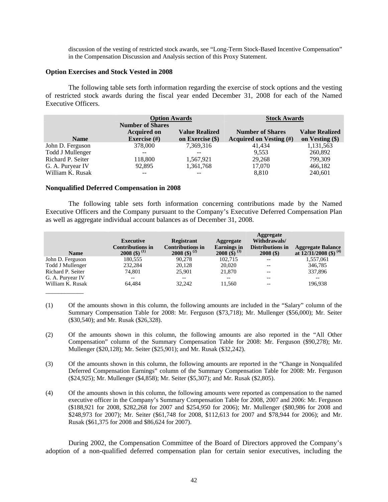discussion of the vesting of restricted stock awards, see "Long-Term Stock-Based Incentive Compensation" in the Compensation Discussion and Analysis section of this Proxy Statement.

### **Option Exercises and Stock Vested in 2008**

The following table sets forth information regarding the exercise of stock options and the vesting of restricted stock awards during the fiscal year ended December 31, 2008 for each of the Named Executive Officers.

|                   | <b>Option Awards</b><br><b>Number of Shares</b> |                                             | <b>Stock Awards</b>                                   |                                          |  |  |
|-------------------|-------------------------------------------------|---------------------------------------------|-------------------------------------------------------|------------------------------------------|--|--|
| <b>Name</b>       | <b>Acquired on</b><br>Exercise $(\#)$           | <b>Value Realized</b><br>on Exercise $(\$)$ | <b>Number of Shares</b><br>Acquired on Vesting $(\#)$ | <b>Value Realized</b><br>on Vesting (\$) |  |  |
| John D. Ferguson  | 378,000                                         | 7,369,316                                   | 41,434                                                | 1,131,563                                |  |  |
| Todd J Mullenger  |                                                 | --                                          | 9,553                                                 | 260,892                                  |  |  |
| Richard P. Seiter | 118,800                                         | 1,567,921                                   | 29,268                                                | 799,309                                  |  |  |
| G. A. Puryear IV  | 92,895                                          | 1,361,768                                   | 17,070                                                | 466,182                                  |  |  |
| William K. Rusak  |                                                 |                                             | 8,810                                                 | 240,601                                  |  |  |

## **Nonqualified Deferred Compensation in 2008**

The following table sets forth information concerning contributions made by the Named Executive Officers and the Company pursuant to the Company's Executive Deferred Compensation Plan as well as aggregate individual account balances as of December 31, 2008.

| <b>Executive</b><br><b>Contributions in</b><br>2008 (\$) $^{(1)}$ | <b>Registrant</b><br><b>Contributions in</b><br>2008 (\$) $^{(2)}$ | Aggregate<br><b>Earnings</b> in<br>2008 (\$) $^{(3)}$ | Aggregate<br>Withdrawals/<br><b>Distributions in</b><br>$2008($ \$) | <b>Aggregate Balance</b><br>at $12/31/2008$ (\$) <sup>(4)</sup> |
|-------------------------------------------------------------------|--------------------------------------------------------------------|-------------------------------------------------------|---------------------------------------------------------------------|-----------------------------------------------------------------|
| 180,555                                                           | 90.278                                                             | 102.715                                               | --                                                                  | 1,557,061                                                       |
| 232,284                                                           | 20.128                                                             | 20,020                                                | --                                                                  | 346,785                                                         |
| 74.801                                                            | 25.901                                                             | 21,870                                                | --                                                                  | 337,896                                                         |
| $- -$                                                             | $- -$                                                              | $- -$                                                 | --                                                                  | $- -$                                                           |
| 64.484                                                            | 32.242                                                             | 11.560                                                | --                                                                  | 196,938                                                         |
|                                                                   |                                                                    |                                                       |                                                                     |                                                                 |

- (1) Of the amounts shown in this column, the following amounts are included in the "Salary" column of the Summary Compensation Table for 2008: Mr. Ferguson (\$73,718); Mr. Mullenger (\$56,000); Mr. Seiter (\$30,540); and Mr. Rusak (\$26,328).
- (2) Of the amounts shown in this column, the following amounts are also reported in the "All Other Compensation" column of the Summary Compensation Table for 2008: Mr. Ferguson (\$90,278); Mr. Mullenger (\$20,128); Mr. Seiter (\$25,901); and Mr. Rusak (\$32,242).
- (3) Of the amounts shown in this column, the following amounts are reported in the "Change in Nonqualifed Deferred Compensation Earnings" column of the Summary Compensation Table for 2008: Mr. Ferguson (\$24,925); Mr. Mullenger (\$4,858); Mr. Seiter (\$5,307); and Mr. Rusak (\$2,805).
- (4) Of the amounts shown in this column, the following amounts were reported as compensation to the named executive officer in the Company's Summary Compensation Table for 2008, 2007 and 2006: Mr. Ferguson (\$188,921 for 2008, \$282,268 for 2007 and \$254,950 for 2006); Mr. Mullenger (\$80,986 for 2008 and \$248,973 for 2007); Mr. Seiter (\$61,748 for 2008, \$112,613 for 2007 and \$78,944 for 2006); and Mr. Rusak (\$61,375 for 2008 and \$86,624 for 2007).

During 2002, the Compensation Committee of the Board of Directors approved the Company's adoption of a non-qualified deferred compensation plan for certain senior executives, including the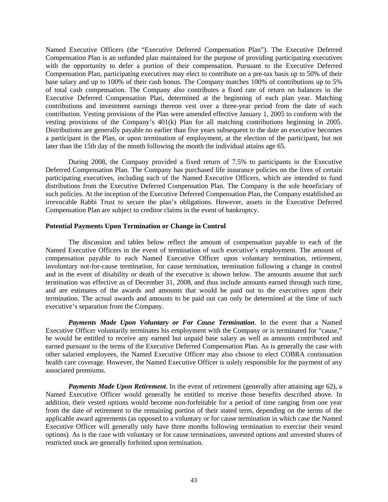Named Executive Officers (the "Executive Deferred Compensation Plan"). The Executive Deferred Compensation Plan is an unfunded plan maintained for the purpose of providing participating executives with the opportunity to defer a portion of their compensation. Pursuant to the Executive Deferred Compensation Plan, participating executives may elect to contribute on a pre-tax basis up to 50% of their base salary and up to 100% of their cash bonus. The Company matches 100% of contributions up to 5% of total cash compensation. The Company also contributes a fixed rate of return on balances in the Executive Deferred Compensation Plan, determined at the beginning of each plan year. Matching contributions and investment earnings thereon vest over a three-year period from the date of each contribution. Vesting provisions of the Plan were amended effective January 1, 2005 to conform with the vesting provisions of the Company's 401(k) Plan for all matching contributions beginning in 2005. Distributions are generally payable no earlier than five years subsequent to the date an executive becomes a participant in the Plan, or upon termination of employment, at the election of the participant, but not later than the 15th day of the month following the month the individual attains age 65.

During 2008, the Company provided a fixed return of 7.5% to participants in the Executive Deferred Compensation Plan. The Company has purchased life insurance policies on the lives of certain participating executives, including each of the Named Executive Officers, which are intended to fund distributions from the Executive Deferred Compensation Plan. The Company is the sole beneficiary of such policies. At the inception of the Executive Deferred Compensation Plan, the Company established an irrevocable Rabbi Trust to secure the plan's obligations. However, assets in the Executive Deferred Compensation Plan are subject to creditor claims in the event of bankruptcy.

## **Potential Payments Upon Termination or Change in Control**

The discussion and tables below reflect the amount of compensation payable to each of the Named Executive Officers in the event of termination of such executive's employment. The amount of compensation payable to each Named Executive Officer upon voluntary termination, retirement, involuntary not-for-cause termination, for cause termination, termination following a change in control and in the event of disability or death of the executive is shown below. The amounts assume that such termination was effective as of December 31, 2008, and thus include amounts earned through such time, and are estimates of the awards and amounts that would be paid out to the executives upon their termination. The actual awards and amounts to be paid out can only be determined at the time of such executive's separation from the Company.

*Payments Made Upon Voluntary or For Cause Termination*. In the event that a Named Executive Officer voluntarily terminates his employment with the Company or is terminated for "cause," he would be entitled to receive any earned but unpaid base salary as well as amounts contributed and earned pursuant to the terms of the Executive Deferred Compensation Plan. As is generally the case with other salaried employees, the Named Executive Officer may also choose to elect COBRA continuation health care coverage. However, the Named Executive Officer is solely responsible for the payment of any associated premiums.

*Payments Made Upon Retirement*. In the event of retirement (generally after attaining age 62), a Named Executive Officer would generally be entitled to receive those benefits described above. In addition, their vested options would become non-forfeitable for a period of time ranging from one year from the date of retirement to the remaining portion of their stated term, depending on the terms of the applicable award agreements (as opposed to a voluntary or for cause termination in which case the Named Executive Officer will generally only have three months following termination to exercise their vested options). As is the case with voluntary or for cause terminations, unvested options and unvested shares of restricted stock are generally forfeited upon termination.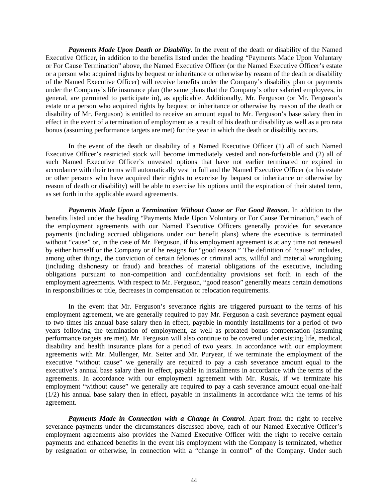*Payments Made Upon Death or Disability*. In the event of the death or disability of the Named Executive Officer, in addition to the benefits listed under the heading "Payments Made Upon Voluntary or For Cause Termination" above, the Named Executive Officer (or the Named Executive Officer's estate or a person who acquired rights by bequest or inheritance or otherwise by reason of the death or disability of the Named Executive Officer) will receive benefits under the Company's disability plan or payments under the Company's life insurance plan (the same plans that the Company's other salaried employees, in general, are permitted to participate in), as applicable. Additionally, Mr. Ferguson (or Mr. Ferguson's estate or a person who acquired rights by bequest or inheritance or otherwise by reason of the death or disability of Mr. Ferguson) is entitled to receive an amount equal to Mr. Ferguson's base salary then in effect in the event of a termination of employment as a result of his death or disability as well as a pro rata bonus (assuming performance targets are met) for the year in which the death or disability occurs.

In the event of the death or disability of a Named Executive Officer (1) all of such Named Executive Officer's restricted stock will become immediately vested and non-forfeitable and (2) all of such Named Executive Officer's unvested options that have not earlier terminated or expired in accordance with their terms will automatically vest in full and the Named Executive Officer (or his estate or other persons who have acquired their rights to exercise by bequest or inheritance or otherwise by reason of death or disability) will be able to exercise his options until the expiration of their stated term, as set forth in the applicable award agreements.

*Payments Made Upon a Termination Without Cause or For Good Reason*. In addition to the benefits listed under the heading "Payments Made Upon Voluntary or For Cause Termination," each of the employment agreements with our Named Executive Officers generally provides for severance payments (including accrued obligations under our benefit plans) where the executive is terminated without "cause" or, in the case of Mr. Ferguson, if his employment agreement is at any time not renewed by either himself or the Company or if he resigns for "good reason." The definition of "cause" includes, among other things, the conviction of certain felonies or criminal acts, willful and material wrongdoing (including dishonesty or fraud) and breaches of material obligations of the executive, including obligations pursuant to non-competition and confidentiality provisions set forth in each of the employment agreements. With respect to Mr. Ferguson, "good reason" generally means certain demotions in responsibilities or title, decreases in compensation or relocation requirements.

In the event that Mr. Ferguson's severance rights are triggered pursuant to the terms of his employment agreement, we are generally required to pay Mr. Ferguson a cash severance payment equal to two times his annual base salary then in effect, payable in monthly installments for a period of two years following the termination of employment, as well as prorated bonus compensation (assuming performance targets are met). Mr. Ferguson will also continue to be covered under existing life, medical, disability and health insurance plans for a period of two years. In accordance with our employment agreements with Mr. Mullenger, Mr. Seiter and Mr. Puryear, if we terminate the employment of the executive "without cause" we generally are required to pay a cash severance amount equal to the executive's annual base salary then in effect, payable in installments in accordance with the terms of the agreements. In accordance with our employment agreement with Mr. Rusak, if we terminate his employment "without cause" we generally are required to pay a cash severance amount equal one-half (1/2) his annual base salary then in effect, payable in installments in accordance with the terms of his agreement.

*Payments Made in Connection with a Change in Control*. Apart from the right to receive severance payments under the circumstances discussed above, each of our Named Executive Officer's employment agreements also provides the Named Executive Officer with the right to receive certain payments and enhanced benefits in the event his employment with the Company is terminated, whether by resignation or otherwise, in connection with a "change in control" of the Company. Under such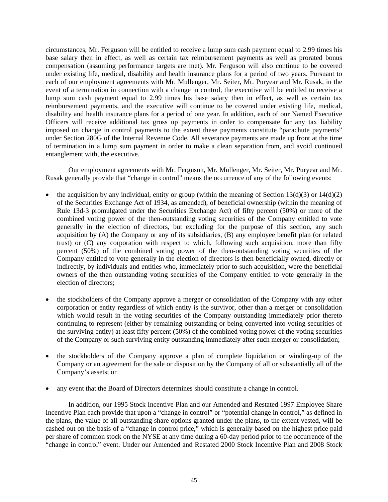circumstances, Mr. Ferguson will be entitled to receive a lump sum cash payment equal to 2.99 times his base salary then in effect, as well as certain tax reimbursement payments as well as prorated bonus compensation (assuming performance targets are met). Mr. Ferguson will also continue to be covered under existing life, medical, disability and health insurance plans for a period of two years. Pursuant to each of our employment agreements with Mr. Mullenger, Mr. Seiter, Mr. Puryear and Mr. Rusak, in the event of a termination in connection with a change in control, the executive will be entitled to receive a lump sum cash payment equal to 2.99 times his base salary then in effect, as well as certain tax reimbursement payments, and the executive will continue to be covered under existing life, medical, disability and health insurance plans for a period of one year. In addition, each of our Named Executive Officers will receive additional tax gross up payments in order to compensate for any tax liability imposed on change in control payments to the extent these payments constitute "parachute payments" under Section 280G of the Internal Revenue Code. All severance payments are made up front at the time of termination in a lump sum payment in order to make a clean separation from, and avoid continued entanglement with, the executive.

Our employment agreements with Mr. Ferguson, Mr. Mullenger, Mr. Seiter, Mr. Puryear and Mr. Rusak generally provide that "change in control" means the occurrence of any of the following events:

- the acquisition by any individual, entity or group (within the meaning of Section 13(d)(3) or  $14(d)(2)$ of the Securities Exchange Act of 1934, as amended), of beneficial ownership (within the meaning of Rule 13d-3 promulgated under the Securities Exchange Act) of fifty percent (50%) or more of the combined voting power of the then-outstanding voting securities of the Company entitled to vote generally in the election of directors, but excluding for the purpose of this section, any such acquisition by (A) the Company or any of its subsidiaries, (B) any employee benefit plan (or related trust) or (C) any corporation with respect to which, following such acquisition, more than fifty percent (50%) of the combined voting power of the then-outstanding voting securities of the Company entitled to vote generally in the election of directors is then beneficially owned, directly or indirectly, by individuals and entities who, immediately prior to such acquisition, were the beneficial owners of the then outstanding voting securities of the Company entitled to vote generally in the election of directors;
- the stockholders of the Company approve a merger or consolidation of the Company with any other corporation or entity regardless of which entity is the survivor, other than a merger or consolidation which would result in the voting securities of the Company outstanding immediately prior thereto continuing to represent (either by remaining outstanding or being converted into voting securities of the surviving entity) at least fifty percent (50%) of the combined voting power of the voting securities of the Company or such surviving entity outstanding immediately after such merger or consolidation;
- the stockholders of the Company approve a plan of complete liquidation or winding-up of the Company or an agreement for the sale or disposition by the Company of all or substantially all of the Company's assets; or
- any event that the Board of Directors determines should constitute a change in control.

In addition, our 1995 Stock Incentive Plan and our Amended and Restated 1997 Employee Share Incentive Plan each provide that upon a "change in control" or "potential change in control," as defined in the plans, the value of all outstanding share options granted under the plans, to the extent vested, will be cashed out on the basis of a "change in control price," which is generally based on the highest price paid per share of common stock on the NYSE at any time during a 60-day period prior to the occurrence of the "change in control" event. Under our Amended and Restated 2000 Stock Incentive Plan and 2008 Stock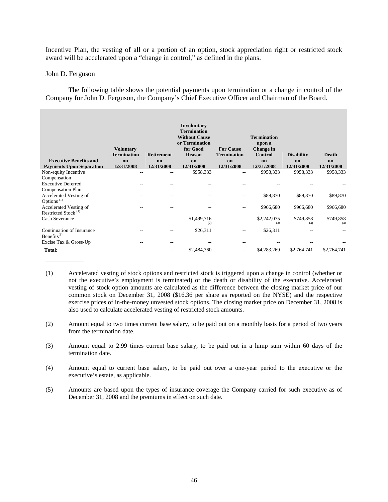Incentive Plan, the vesting of all or a portion of an option, stock appreciation right or restricted stock award will be accelerated upon a "change in control," as defined in the plans.

## John D. Ferguson

\_\_\_\_\_\_\_\_\_\_\_\_

The following table shows the potential payments upon termination or a change in control of the Company for John D. Ferguson, the Company's Chief Executive Officer and Chairman of the Board.

| <b>Executive Benefits and</b><br><b>Payments Upon Separation</b> | <b>Voluntary</b><br><b>Termination</b><br>on<br>12/31/2008 | <b>Retirement</b><br>on<br>12/31/2008 | Involuntary<br><b>Termination</b><br><b>Without Cause</b><br>or Termination<br>for Good<br><b>Reason</b><br>on<br>12/31/2008 | <b>For Cause</b><br><b>Termination</b><br>on<br>12/31/2008 | <b>Termination</b><br>upon a<br>Change in<br>Control<br>on<br>12/31/2008 | <b>Disability</b><br>on<br>12/31/2008 | Death<br>on<br>12/31/2008 |
|------------------------------------------------------------------|------------------------------------------------------------|---------------------------------------|------------------------------------------------------------------------------------------------------------------------------|------------------------------------------------------------|--------------------------------------------------------------------------|---------------------------------------|---------------------------|
| Non-equity Incentive                                             | $-$                                                        | --                                    | \$958,333                                                                                                                    | $- -$                                                      | \$958,333                                                                | \$958,333                             | \$958,333                 |
| Compensation                                                     |                                                            |                                       |                                                                                                                              |                                                            |                                                                          |                                       |                           |
| <b>Executive Deferred</b>                                        |                                                            |                                       |                                                                                                                              |                                                            |                                                                          |                                       |                           |
| <b>Compensation Plan</b>                                         |                                                            |                                       |                                                                                                                              |                                                            |                                                                          |                                       |                           |
| Accelerated Vesting of                                           |                                                            |                                       |                                                                                                                              | $- -$                                                      | \$89,870                                                                 | \$89,870                              | \$89,870                  |
| Options <sup>(1)</sup>                                           |                                                            |                                       |                                                                                                                              |                                                            |                                                                          |                                       |                           |
| Accelerated Vesting of<br>Restricted Stock <sup>(1)</sup>        | --                                                         |                                       |                                                                                                                              | $-$                                                        | \$966,680                                                                | \$966,680                             | \$966,680                 |
|                                                                  |                                                            |                                       |                                                                                                                              |                                                            |                                                                          |                                       |                           |
| <b>Cash Severance</b>                                            |                                                            |                                       | \$1,499,716<br>(2)                                                                                                           | $-$                                                        | \$2,242,075<br>(3)                                                       | \$749,858<br>(4)                      | \$749,858<br>(4)          |
| Continuation of Insurance<br>Benefits $(5)$                      |                                                            |                                       | \$26,311                                                                                                                     |                                                            | \$26,311                                                                 |                                       |                           |
| Excise Tax & Gross-Up                                            | --                                                         | --                                    |                                                                                                                              | $-$                                                        |                                                                          |                                       |                           |
| Total:                                                           |                                                            |                                       | \$2,484,360                                                                                                                  | $- -$                                                      | \$4,283,269                                                              | \$2,764,741                           | \$2,764,741               |

- (1) Accelerated vesting of stock options and restricted stock is triggered upon a change in control (whether or not the executive's employment is terminated) or the death or disability of the executive. Accelerated vesting of stock option amounts are calculated as the difference between the closing market price of our common stock on December 31, 2008 (\$16.36 per share as reported on the NYSE) and the respective exercise prices of in-the-money unvested stock options. The closing market price on December 31, 2008 is also used to calculate accelerated vesting of restricted stock amounts.
- (2) Amount equal to two times current base salary, to be paid out on a monthly basis for a period of two years from the termination date.
- (3) Amount equal to 2.99 times current base salary, to be paid out in a lump sum within 60 days of the termination date.
- (4) Amount equal to current base salary, to be paid out over a one-year period to the executive or the executive's estate, as applicable.
- (5) Amounts are based upon the types of insurance coverage the Company carried for such executive as of December 31, 2008 and the premiums in effect on such date.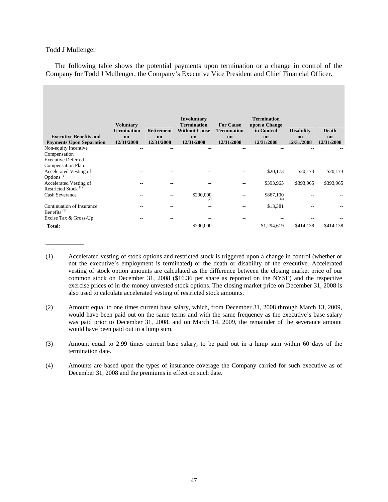### Todd J Mullenger

\_\_\_\_\_\_\_\_\_\_\_\_

The following table shows the potential payments upon termination or a change in control of the Company for Todd J Mullenger, the Company's Executive Vice President and Chief Financial Officer.

| <b>Executive Benefits and</b><br><b>Payments Upon Separation</b>      | <b>Voluntary</b><br><b>Termination</b><br>on<br>12/31/2008 | <b>Retirement</b><br>on<br>12/31/2008 | <b>Involuntary</b><br><b>Termination</b><br><b>Without Cause</b><br>on<br>12/31/2008 | <b>For Cause</b><br><b>Termination</b><br>on<br>12/31/2008 | <b>Termination</b><br>upon a Change<br>in Control<br>on<br>12/31/2008 | <b>Disability</b><br>on<br>12/31/2008 | Death<br>on<br>12/31/2008 |
|-----------------------------------------------------------------------|------------------------------------------------------------|---------------------------------------|--------------------------------------------------------------------------------------|------------------------------------------------------------|-----------------------------------------------------------------------|---------------------------------------|---------------------------|
| Non-equity Incentive                                                  | $- -$                                                      |                                       | $- -$                                                                                |                                                            | --                                                                    |                                       |                           |
| Compensation<br><b>Executive Deferred</b><br><b>Compensation Plan</b> |                                                            |                                       |                                                                                      |                                                            |                                                                       |                                       |                           |
| Accelerated Vesting of<br>Options <sup>(1)</sup>                      | --                                                         |                                       | --                                                                                   | --                                                         | \$20,173                                                              | \$20,173                              | \$20,173                  |
| Accelerated Vesting of<br>Restricted Stock <sup>(1)</sup>             | --                                                         |                                       | --                                                                                   | --                                                         | \$393,965                                                             | \$393,965                             | \$393,965                 |
| <b>Cash Severance</b>                                                 | --                                                         |                                       | \$290,000<br>(2)                                                                     |                                                            | \$867,100<br>(3)                                                      |                                       |                           |
| Continuation of Insurance<br>Benefits <sup><math>(4)</math></sup>     |                                                            |                                       |                                                                                      |                                                            | \$13,381                                                              |                                       |                           |
| Excise Tax & Gross-Up                                                 | $- -$                                                      | --                                    | --                                                                                   | --                                                         |                                                                       |                                       |                           |
| Total:                                                                | --                                                         |                                       | \$290,000                                                                            | $- -$                                                      | \$1,294,619                                                           | \$414,138                             | \$414,138                 |

<sup>(1)</sup> Accelerated vesting of stock options and restricted stock is triggered upon a change in control (whether or not the executive's employment is terminated) or the death or disability of the executive. Accelerated vesting of stock option amounts are calculated as the difference between the closing market price of our common stock on December 31, 2008 (\$16.36 per share as reported on the NYSE) and the respective exercise prices of in-the-money unvested stock options. The closing market price on December 31, 2008 is also used to calculate accelerated vesting of restricted stock amounts.

<sup>(2)</sup> Amount equal to one times current base salary, which, from December 31, 2008 through March 13, 2009, would have been paid out on the same terms and with the same frequency as the executive's base salary was paid prior to December 31, 2008, and on March 14, 2009, the remainder of the severance amount would have been paid out in a lump sum.

<sup>(3)</sup> Amount equal to 2.99 times current base salary, to be paid out in a lump sum within 60 days of the termination date.

<sup>(4)</sup> Amounts are based upon the types of insurance coverage the Company carried for such executive as of December 31, 2008 and the premiums in effect on such date.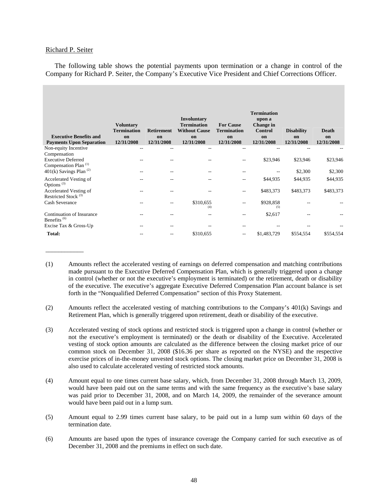### Richard P. Seiter

\_\_\_\_\_\_\_\_\_\_\_\_

The following table shows the potential payments upon termination or a change in control of the Company for Richard P. Seiter, the Company's Executive Vice President and Chief Corrections Officer.

|                                                                               |                                        |                   |                                                                  |                                        | <b>Termination</b>                    |                   |                  |
|-------------------------------------------------------------------------------|----------------------------------------|-------------------|------------------------------------------------------------------|----------------------------------------|---------------------------------------|-------------------|------------------|
|                                                                               | <b>Voluntary</b><br><b>Termination</b> | <b>Retirement</b> | <b>Involuntary</b><br><b>Termination</b><br><b>Without Cause</b> | <b>For Cause</b><br><b>Termination</b> | upon a<br>Change in<br><b>Control</b> | <b>Disability</b> | Death            |
| <b>Executive Benefits and</b><br><b>Payments Upon Separation</b>              | on<br>12/31/2008                       | on<br>12/31/2008  | on<br>12/31/2008                                                 | on<br>12/31/2008                       | on<br>12/31/2008                      | on<br>12/31/2008  | on<br>12/31/2008 |
| Non-equity Incentive                                                          | $-$                                    | --                | $- -$                                                            | $-$                                    | $-$                                   |                   |                  |
| Compensation<br><b>Executive Deferred</b><br>Compensation Plan <sup>(1)</sup> |                                        |                   |                                                                  |                                        | \$23,946                              | \$23,946          | \$23,946         |
| 401(k) Savings Plan <sup>(2)</sup>                                            | $- -$                                  |                   | $- -$                                                            |                                        | $- -$                                 | \$2,300           | \$2,300          |
| Accelerated Vesting of<br>Options <sup>(3)</sup>                              | --                                     |                   | --                                                               |                                        | \$44,935                              | \$44,935          | \$44,935         |
| Accelerated Vesting of<br>Restricted Stock <sup>(3)</sup>                     | $- -$                                  |                   | --                                                               | $- -$                                  | \$483,373                             | \$483,373         | \$483,373        |
| Cash Severance                                                                | $-$                                    | --                | \$310,655<br>(4)                                                 | $- -$                                  | \$928,858<br>(5)                      |                   |                  |
| Continuation of Insurance<br>Benefits <sup>(6)</sup>                          | $- -$                                  |                   | $- -$                                                            |                                        | \$2,617                               |                   |                  |
| Excise Tax & Gross-Up                                                         | $- -$                                  | --                |                                                                  | --                                     |                                       |                   |                  |
| <b>Total:</b>                                                                 | --                                     |                   | \$310,655                                                        | $- -$                                  | \$1,483,729                           | \$554,554         | \$554,554        |

<sup>(1)</sup> Amounts reflect the accelerated vesting of earnings on deferred compensation and matching contributions made pursuant to the Executive Deferred Compensation Plan, which is generally triggered upon a change in control (whether or not the executive's employment is terminated) or the retirement, death or disability of the executive. The executive's aggregate Executive Deferred Compensation Plan account balance is set forth in the "Nonqualified Deferred Compensation" section of this Proxy Statement.

- (2) Amounts reflect the accelerated vesting of matching contributions to the Company's 401(k) Savings and Retirement Plan, which is generally triggered upon retirement, death or disability of the executive.
- (3) Accelerated vesting of stock options and restricted stock is triggered upon a change in control (whether or not the executive's employment is terminated) or the death or disability of the Executive. Accelerated vesting of stock option amounts are calculated as the difference between the closing market price of our common stock on December 31, 2008 (\$16.36 per share as reported on the NYSE) and the respective exercise prices of in-the-money unvested stock options. The closing market price on December 31, 2008 is also used to calculate accelerated vesting of restricted stock amounts.
- (4) Amount equal to one times current base salary, which, from December 31, 2008 through March 13, 2009, would have been paid out on the same terms and with the same frequency as the executive's base salary was paid prior to December 31, 2008, and on March 14, 2009, the remainder of the severance amount would have been paid out in a lump sum.
- (5) Amount equal to 2.99 times current base salary, to be paid out in a lump sum within 60 days of the termination date.
- (6) Amounts are based upon the types of insurance coverage the Company carried for such executive as of December 31, 2008 and the premiums in effect on such date.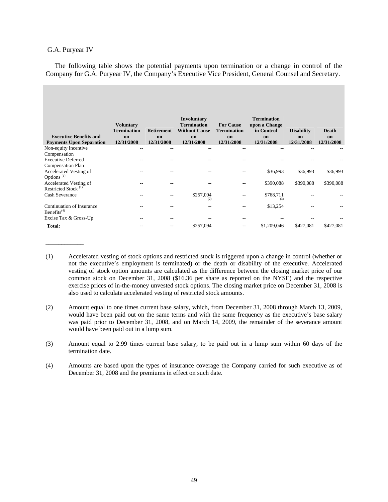### G.A. Puryear IV

\_\_\_\_\_\_\_\_\_\_\_\_

The following table shows the potential payments upon termination or a change in control of the Company for G.A. Puryear IV, the Company's Executive Vice President, General Counsel and Secretary.

|                                                                  | <b>Voluntary</b><br><b>Termination</b> | <b>Retirement</b> | <b>Involuntary</b><br><b>Termination</b><br><b>Without Cause</b> | <b>For Cause</b><br><b>Termination</b> | <b>Termination</b><br>upon a Change<br>in Control | <b>Disability</b> | <b>Death</b>     |
|------------------------------------------------------------------|----------------------------------------|-------------------|------------------------------------------------------------------|----------------------------------------|---------------------------------------------------|-------------------|------------------|
| <b>Executive Benefits and</b><br><b>Payments Upon Separation</b> | on<br>12/31/2008                       | on<br>12/31/2008  | on<br>12/31/2008                                                 | on<br>12/31/2008                       | on<br>12/31/2008                                  | on<br>12/31/2008  | on<br>12/31/2008 |
| Non-equity Incentive                                             | $- -$                                  | --                | $- -$                                                            | --                                     | --                                                |                   |                  |
| Compensation                                                     |                                        |                   |                                                                  |                                        |                                                   |                   |                  |
| <b>Executive Deferred</b>                                        |                                        |                   |                                                                  |                                        |                                                   |                   |                  |
| <b>Compensation Plan</b>                                         |                                        |                   |                                                                  |                                        |                                                   |                   |                  |
| Accelerated Vesting of                                           |                                        |                   |                                                                  |                                        | \$36,993                                          | \$36,993          | \$36,993         |
| Options <sup>(1)</sup>                                           |                                        |                   |                                                                  |                                        |                                                   |                   |                  |
| Accelerated Vesting of                                           | $- -$                                  | --                | $-$                                                              | $- -$                                  | \$390,088                                         | \$390,088         | \$390,088        |
| Restricted Stock <sup>(1)</sup>                                  |                                        |                   |                                                                  |                                        |                                                   |                   |                  |
| Cash Severance                                                   |                                        |                   | \$257,094<br>(2)                                                 |                                        | \$768,711<br>(3)                                  |                   |                  |
| Continuation of Insurance<br>Benefits $(4)$                      |                                        |                   |                                                                  |                                        | \$13,254                                          |                   |                  |
| Excise Tax & Gross-Up                                            | $- -$                                  | --                |                                                                  | $- -$                                  |                                                   |                   |                  |
| Total:                                                           | --                                     |                   | \$257,094                                                        | --                                     | \$1,209,046                                       | \$427,081         | \$427,081        |

- (1) Accelerated vesting of stock options and restricted stock is triggered upon a change in control (whether or not the executive's employment is terminated) or the death or disability of the executive. Accelerated vesting of stock option amounts are calculated as the difference between the closing market price of our common stock on December 31, 2008 (\$16.36 per share as reported on the NYSE) and the respective exercise prices of in-the-money unvested stock options. The closing market price on December 31, 2008 is also used to calculate accelerated vesting of restricted stock amounts.
- (2) Amount equal to one times current base salary, which, from December 31, 2008 through March 13, 2009, would have been paid out on the same terms and with the same frequency as the executive's base salary was paid prior to December 31, 2008, and on March 14, 2009, the remainder of the severance amount would have been paid out in a lump sum.
- (3) Amount equal to 2.99 times current base salary, to be paid out in a lump sum within 60 days of the termination date.
- (4) Amounts are based upon the types of insurance coverage the Company carried for such executive as of December 31, 2008 and the premiums in effect on such date.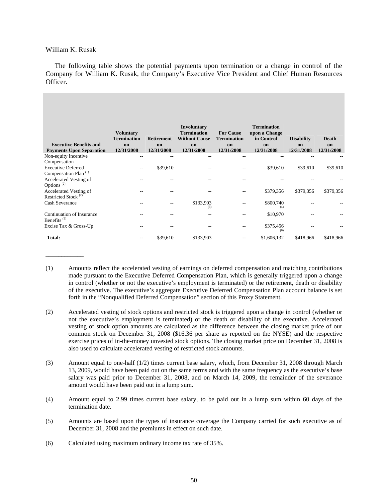## William K. Rusak

\_\_\_\_\_\_\_\_\_\_\_\_

The following table shows the potential payments upon termination or a change in control of the Company for William K. Rusak, the Company's Executive Vice President and Chief Human Resources Officer.

|                                      | <b>Voluntary</b><br><b>Termination</b> | <b>Retirement</b> | <b>Involuntary</b><br><b>Termination</b><br><b>Without Cause</b> | <b>For Cause</b><br><b>Termination</b> | <b>Termination</b><br>upon a Change<br>in Control | <b>Disability</b> | <b>Death</b> |
|--------------------------------------|----------------------------------------|-------------------|------------------------------------------------------------------|----------------------------------------|---------------------------------------------------|-------------------|--------------|
| <b>Executive Benefits and</b>        | on                                     | on                | on                                                               | on                                     | on                                                | on                | on           |
| <b>Payments Upon Separation</b>      | 12/31/2008                             | 12/31/2008        | 12/31/2008                                                       | 12/31/2008                             | 12/31/2008                                        | 12/31/2008        | 12/31/2008   |
| Non-equity Incentive                 | --                                     |                   | --                                                               |                                        |                                                   |                   |              |
| Compensation                         |                                        |                   |                                                                  |                                        |                                                   |                   |              |
| <b>Executive Deferred</b>            | $- -$                                  | \$39,610          |                                                                  |                                        | \$39,610                                          | \$39,610          | \$39,610     |
| Compensation Plan <sup>(1)</sup>     |                                        |                   |                                                                  |                                        |                                                   |                   |              |
| Accelerated Vesting of               |                                        |                   |                                                                  |                                        |                                                   |                   |              |
| Options <sup>(2)</sup>               |                                        |                   |                                                                  |                                        |                                                   |                   |              |
| Accelerated Vesting of               |                                        |                   |                                                                  |                                        | \$379,356                                         | \$379,356         | \$379,356    |
| Restricted Stock <sup>(2)</sup>      |                                        |                   |                                                                  |                                        |                                                   |                   |              |
| <b>Cash Severance</b>                |                                        |                   | \$133,903                                                        |                                        | \$800,740                                         |                   |              |
|                                      |                                        |                   | (3)                                                              |                                        | (4)                                               |                   |              |
| Continuation of Insurance            | --                                     |                   | $- -$                                                            |                                        | \$10,970                                          |                   |              |
| Benefits <sup><math>(5)</math></sup> |                                        |                   |                                                                  |                                        |                                                   |                   |              |
| Excise Tax & Gross-Up                | --                                     | --                |                                                                  | --                                     | \$375,456                                         |                   |              |
|                                      |                                        |                   |                                                                  |                                        | (6)                                               |                   |              |
| Total:                               | $- -$                                  | \$39,610          | \$133,903                                                        | --                                     | \$1,606,132                                       | \$418,966         | \$418,966    |

<sup>(1)</sup> Amounts reflect the accelerated vesting of earnings on deferred compensation and matching contributions made pursuant to the Executive Deferred Compensation Plan, which is generally triggered upon a change in control (whether or not the executive's employment is terminated) or the retirement, death or disability of the executive. The executive's aggregate Executive Deferred Compensation Plan account balance is set forth in the "Nonqualified Deferred Compensation" section of this Proxy Statement.

- (4) Amount equal to 2.99 times current base salary, to be paid out in a lump sum within 60 days of the termination date.
- (5) Amounts are based upon the types of insurance coverage the Company carried for such executive as of December 31, 2008 and the premiums in effect on such date.
- (6) Calculated using maximum ordinary income tax rate of 35%.

<sup>(2)</sup> Accelerated vesting of stock options and restricted stock is triggered upon a change in control (whether or not the executive's employment is terminated) or the death or disability of the executive. Accelerated vesting of stock option amounts are calculated as the difference between the closing market price of our common stock on December 31, 2008 (\$16.36 per share as reported on the NYSE) and the respective exercise prices of in-the-money unvested stock options. The closing market price on December 31, 2008 is also used to calculate accelerated vesting of restricted stock amounts.

<sup>(3)</sup> Amount equal to one-half (1/2) times current base salary, which, from December 31, 2008 through March 13, 2009, would have been paid out on the same terms and with the same frequency as the executive's base salary was paid prior to December 31, 2008, and on March 14, 2009, the remainder of the severance amount would have been paid out in a lump sum.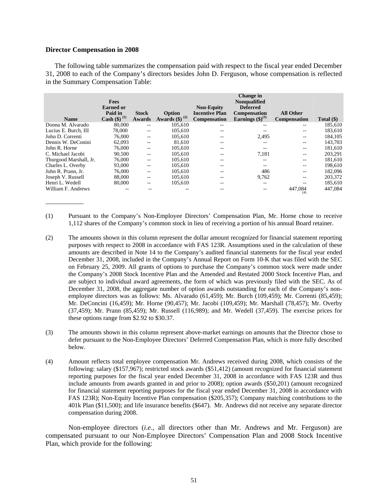### **Director Compensation in 2008**

\_\_\_\_\_\_\_\_\_\_\_\_

The following table summarizes the compensation paid with respect to the fiscal year ended December 31, 2008 to each of the Company's directors besides John D. Ferguson, whose compensation is reflected in the Summary Compensation Table:

| <b>Name</b>            | <b>Fees</b><br><b>Earned</b> or<br>Paid in<br><b>Cash</b> (\$) <sup>(1)</sup> | <b>Stock</b><br>Awards | Option<br>Awards $(\$)^{(2)}$ | <b>Non-Equity</b><br><b>Incentive Plan</b><br><b>Compensation</b> | Change in<br><b>Nonqualified</b><br><b>Deferred</b><br><b>Compensation</b><br>Earnings $(\text{$\$})^{(3)}$ | <b>All Other</b><br><b>Compensation</b> | Total $(\$)$ |
|------------------------|-------------------------------------------------------------------------------|------------------------|-------------------------------|-------------------------------------------------------------------|-------------------------------------------------------------------------------------------------------------|-----------------------------------------|--------------|
| Donna M. Alvarado      | 80,000                                                                        | --                     | 105.610                       | $- -$                                                             | --                                                                                                          | --                                      | 185,610      |
| Lucius E. Burch, III   | 78,000                                                                        | --                     | 105.610                       | --                                                                |                                                                                                             | --                                      | 183,610      |
| John D. Correnti       | 76,000                                                                        | --                     | 105.610                       | --                                                                | 2,495                                                                                                       | --                                      | 184.105      |
| Dennis W. DeConini     | 62,093                                                                        | --                     | 81.610                        | --                                                                | --                                                                                                          | $- -$                                   | 143.703      |
| John R. Horne          | 76,000                                                                        | --                     | 105,610                       | --                                                                | $-$                                                                                                         | $- -$                                   | 181,610      |
| C. Michael Jacobi      | 90,500                                                                        | --                     | 105,610                       | $- -$                                                             | 7.181                                                                                                       | $- -$                                   | 203.291      |
| Thurgood Marshall, Jr. | 76,000                                                                        | --                     | 105,610                       | --                                                                | --                                                                                                          | --                                      | 181,610      |
| Charles L. Overby      | 93,000                                                                        | --                     | 105.610                       | --                                                                | --                                                                                                          | --                                      | 198.610      |
| John R. Prann, Jr.     | 76,000                                                                        | --                     | 105,610                       | --                                                                | 486                                                                                                         | --                                      | 182,096      |
| Joseph V. Russell      | 88,000                                                                        | --                     | 105,610                       | --                                                                | 9,762                                                                                                       | $- -$                                   | 203,372      |
| Henri L. Wedell        | 80,000                                                                        | --                     | 105.610                       | --                                                                | --                                                                                                          | --                                      | 185,610      |
| William F. Andrews     |                                                                               |                        |                               | --                                                                |                                                                                                             | 447.084<br>(4)                          | 447,084      |

- (1) Pursuant to the Company's Non-Employee Directors' Compensation Plan, Mr. Horne chose to receive 1,112 shares of the Company's common stock in lieu of receiving a portion of his annual Board retainer.
- (2) The amounts shown in this column represent the dollar amount recognized for financial statement reporting purposes with respect to 2008 in accordance with FAS 123R. Assumptions used in the calculation of these amounts are described in Note 14 to the Company's audited financial statements for the fiscal year ended December 31, 2008, included in the Company's Annual Report on Form 10-K that was filed with the SEC on February 25, 2009. All grants of options to purchase the Company's common stock were made under the Company's 2008 Stock Incentive Plan and the Amended and Restated 2000 Stock Incentive Plan, and are subject to individual award agreements, the form of which was previously filed with the SEC. As of December 31, 2008, the aggregate number of option awards outstanding for each of the Company's nonemployee directors was as follows: Ms. Alvarado (61,459); Mr. Burch (109,459); Mr. Correnti (85,459); Mr. DeConcini (16,459); Mr. Horne (90,457); Mr. Jacobi (109,459); Mr. Marshall (78,457); Mr. Overby (37,459); Mr. Prann (85,459); Mr. Russell (116,989); and Mr. Wedell (37,459). The exercise prices for these options range from \$2.92 to \$30.37.
- (3) The amounts shown in this column represent above-market earnings on amounts that the Director chose to defer pursuant to the Non-Employee Directors' Deferred Compensation Plan, which is more fully described below.
- (4) Amount reflects total employee compensation Mr. Andrews received during 2008, which consists of the following: salary (\$157,967); restricted stock awards (\$51,412) (amount recognized for financial statement reporting purposes for the fiscal year ended December 31, 2008 in accordance with FAS 123R and thus include amounts from awards granted in and prior to 2008); option awards (\$50,201) (amount recognized for financial statement reporting purposes for the fiscal year ended December 31, 2008 in accordance with FAS 123R); Non-Equity Incentive Plan compensation (\$205,357); Company matching contributions to the 401k Plan (\$11,500); and life insurance benefits (\$647). Mr. Andrews did not receive any separate director compensation during 2008.

Non-employee directors (*i.e*.*,* all directors other than Mr. Andrews and Mr. Ferguson) are compensated pursuant to our Non-Employee Directors' Compensation Plan and 2008 Stock Incentive Plan, which provide for the following: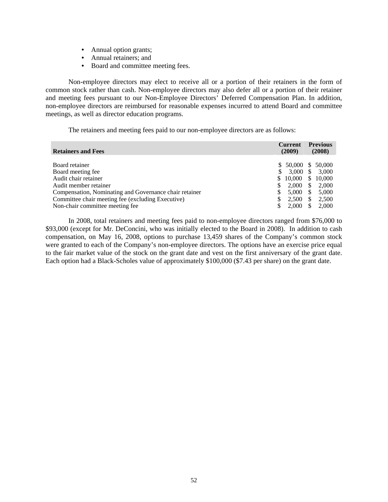- Annual option grants;
- Annual retainers; and
- Board and committee meeting fees.

Non-employee directors may elect to receive all or a portion of their retainers in the form of common stock rather than cash. Non-employee directors may also defer all or a portion of their retainer and meeting fees pursuant to our Non-Employee Directors' Deferred Compensation Plan. In addition, non-employee directors are reimbursed for reasonable expenses incurred to attend Board and committee meetings, as well as director education programs.

The retainers and meeting fees paid to our non-employee directors are as follows:

| <b>Retainers and Fees</b>                              |     | <b>Current</b><br>(2009) |                                | <b>Previous</b><br>(2008) |
|--------------------------------------------------------|-----|--------------------------|--------------------------------|---------------------------|
| Board retainer                                         |     | $$50,000 \ $50,000$      |                                |                           |
| Board meeting fee.                                     | \$. | $3.000 \text{ }$ \$      |                                | 3.000                     |
| Audit chair retainer<br>Audit member retainer          | S.  | 10,000<br>2.000          | $\mathbb{S}^-$<br><sup>S</sup> | 10,000<br>2,000           |
| Compensation, Nominating and Governance chair retainer | \$  | 5,000                    | <sup>\$</sup>                  | 5,000                     |
| Committee chair meeting fee (excluding Executive)      |     | 2,500                    | \$                             | 2,500                     |
| Non-chair committee meeting fee                        | S   | 2,000                    | \$                             | 2.000                     |

In 2008, total retainers and meeting fees paid to non-employee directors ranged from \$76,000 to \$93,000 (except for Mr. DeConcini, who was initially elected to the Board in 2008). In addition to cash compensation, on May 16, 2008, options to purchase 13,459 shares of the Company's common stock were granted to each of the Company's non-employee directors. The options have an exercise price equal to the fair market value of the stock on the grant date and vest on the first anniversary of the grant date. Each option had a Black-Scholes value of approximately \$100,000 (\$7.43 per share) on the grant date.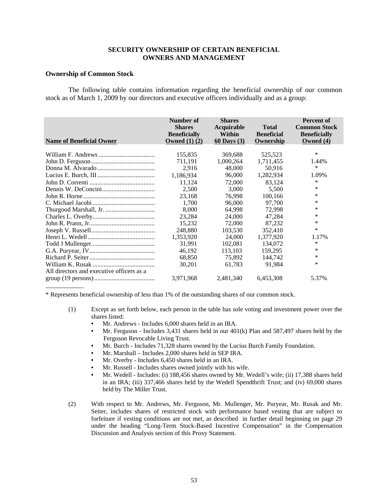## **SECURITY OWNERSHIP OF CERTAIN BENEFICIAL OWNERS AND MANAGEMENT**

### **Ownership of Common Stock**

 The following table contains information regarding the beneficial ownership of our common stock as of March 1, 2009 by our directors and executive officers individually and as a group:

| <b>Name of Beneficial Owner</b>           | Number of<br><b>Shares</b><br><b>Beneficially</b><br>Owned $(1)$ $(2)$ | <b>Shares</b><br>Acquirable<br>Within<br><b>60 Days</b> (3) | <b>Total</b><br><b>Beneficial</b><br>Ownership | <b>Percent of</b><br><b>Common Stock</b><br><b>Beneficially</b><br>Owned (4) |
|-------------------------------------------|------------------------------------------------------------------------|-------------------------------------------------------------|------------------------------------------------|------------------------------------------------------------------------------|
|                                           |                                                                        |                                                             |                                                |                                                                              |
|                                           | 155,835                                                                | 369,688                                                     | 525,523                                        | ∗                                                                            |
|                                           | 711,191                                                                | 1,000,264                                                   | 1,711,455                                      | 1.44%                                                                        |
|                                           | 2,916                                                                  | 48,000                                                      | 50.916                                         | $\ast$                                                                       |
|                                           | 1,186,934                                                              | 96,000                                                      | 1,282,934                                      | 1.09%                                                                        |
|                                           | 11,124                                                                 | 72,000                                                      | 83,124                                         | *                                                                            |
|                                           | 2,500                                                                  | 3,000                                                       | 5,500                                          | $\ast$                                                                       |
|                                           | 23,168                                                                 | 76.998                                                      | 100,166                                        | *                                                                            |
|                                           | 1,700                                                                  | 96,000                                                      | 97,700                                         | $\ast$                                                                       |
|                                           | 8,000                                                                  | 64,998                                                      | 72,998                                         | $\ast$                                                                       |
|                                           | 23,284                                                                 | 24,000                                                      | 47,284                                         | $\ast$                                                                       |
|                                           | 15,232                                                                 | 72,000                                                      | 87,232                                         | *                                                                            |
|                                           | 248,880                                                                | 103,530                                                     | 352,410                                        | $\ast$                                                                       |
|                                           | 1,353,920                                                              | 24,000                                                      | 1,377,920                                      | 1.17%                                                                        |
|                                           | 31,991                                                                 | 102,081                                                     | 134,072                                        | *                                                                            |
|                                           | 46,192                                                                 | 113,103                                                     | 159,295                                        | $\ast$                                                                       |
|                                           | 68,850                                                                 | 75,892                                                      | 144,742                                        | *                                                                            |
|                                           | 30,201                                                                 | 61,783                                                      | 91,984                                         | *                                                                            |
| All directors and executive officers as a |                                                                        |                                                             |                                                |                                                                              |
|                                           | 3,971,968                                                              | 2,481,340                                                   | 6,453,308                                      | 5.37%                                                                        |
|                                           |                                                                        |                                                             |                                                |                                                                              |

\* Represents beneficial ownership of less than 1% of the outstanding shares of our common stock.

- (1) Except as set forth below, each person in the table has sole voting and investment power over the shares listed:
	- Mr. Andrews Includes 6,000 shares held in an IRA.
	- Mr. Ferguson Includes 3,431 shares held in our 401(k) Plan and 587,497 shares held by the Ferguson Revocable Living Trust.
	- Mr. Burch Includes 71,328 shares owned by the Lucius Burch Family Foundation.
	- Mr. Marshall Includes 2,000 shares held in SEP IRA.
	- Mr. Overby Includes 6,450 shares held in an IRA.
	- Mr. Russell Includes shares owned jointly with his wife.
	- Mr. Wedell Includes: (i) 188,456 shares owned by Mr. Wedell's wife; (ii) 17,388 shares held in an IRA; (iii) 337,466 shares held by the Wedell Spendthrift Trust; and (iv) 69,000 shares held by The Miller Trust.
- (2) With respect to Mr. Andrews, Mr. Ferguson, Mr. Mullenger, Mr. Puryear, Mr. Rusak and Mr. Seiter, includes shares of restricted stock with performance based vesting that are subject to forfeiture if vesting conditions are not met, as described in further detail beginning on page 29 under the heading "Long-Term Stock-Based Incentive Compensation" in the Compensation Discussion and Analysis section of this Proxy Statement.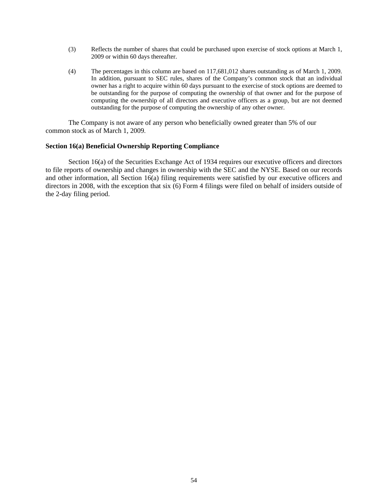- (3) Reflects the number of shares that could be purchased upon exercise of stock options at March 1, 2009 or within 60 days thereafter.
- (4) The percentages in this column are based on 117,681,012 shares outstanding as of March 1, 2009. In addition, pursuant to SEC rules, shares of the Company's common stock that an individual owner has a right to acquire within 60 days pursuant to the exercise of stock options are deemed to be outstanding for the purpose of computing the ownership of that owner and for the purpose of computing the ownership of all directors and executive officers as a group, but are not deemed outstanding for the purpose of computing the ownership of any other owner.

The Company is not aware of any person who beneficially owned greater than 5% of our common stock as of March 1, 2009.

## **Section 16(a) Beneficial Ownership Reporting Compliance**

Section 16(a) of the Securities Exchange Act of 1934 requires our executive officers and directors to file reports of ownership and changes in ownership with the SEC and the NYSE. Based on our records and other information, all Section 16(a) filing requirements were satisfied by our executive officers and directors in 2008, with the exception that six (6) Form 4 filings were filed on behalf of insiders outside of the 2-day filing period.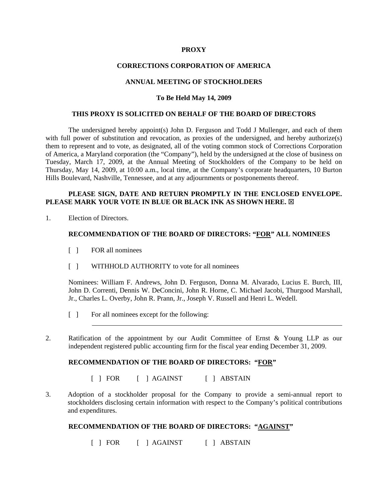## **PROXY**

## **CORRECTIONS CORPORATION OF AMERICA**

# **ANNUAL MEETING OF STOCKHOLDERS**

## **To Be Held May 14, 2009**

### **THIS PROXY IS SOLICITED ON BEHALF OF THE BOARD OF DIRECTORS**

The undersigned hereby appoint(s) John D. Ferguson and Todd J Mullenger, and each of them with full power of substitution and revocation, as proxies of the undersigned, and hereby authorize(s) them to represent and to vote, as designated, all of the voting common stock of Corrections Corporation of America, a Maryland corporation (the "Company"), held by the undersigned at the close of business on Tuesday, March 17, 2009, at the Annual Meeting of Stockholders of the Company to be held on Thursday, May 14, 2009, at 10:00 a.m., local time, at the Company's corporate headquarters, 10 Burton Hills Boulevard, Nashville, Tennessee, and at any adjournments or postponements thereof.

# **PLEASE SIGN, DATE AND RETURN PROMPTLY IN THE ENCLOSED ENVELOPE. PLEASE MARK YOUR VOTE IN BLUE OR BLACK INK AS SHOWN HERE.**  $\boxtimes$

1. Election of Directors.

## **RECOMMENDATION OF THE BOARD OF DIRECTORS: "FOR" ALL NOMINEES**

- [ ] FOR all nominees
- [ ] WITHHOLD AUTHORITY to vote for all nominees

Nominees: William F. Andrews, John D. Ferguson, Donna M. Alvarado, Lucius E. Burch, III, John D. Correnti, Dennis W. DeConcini, John R. Horne, C. Michael Jacobi, Thurgood Marshall, Jr., Charles L. Overby, John R. Prann, Jr., Joseph V. Russell and Henri L. Wedell.

- [ ] For all nominees except for the following:
- 2. Ratification of the appointment by our Audit Committee of Ernst & Young LLP as our independent registered public accounting firm for the fiscal year ending December 31, 2009.

# **RECOMMENDATION OF THE BOARD OF DIRECTORS: "FOR"**

- [ ] FOR [ ] AGAINST [ ] ABSTAIN
- 3. Adoption of a stockholder proposal for the Company to provide a semi-annual report to stockholders disclosing certain information with respect to the Company's political contributions and expenditures.

## **RECOMMENDATION OF THE BOARD OF DIRECTORS: "AGAINST"**

[ ] FOR [ ] AGAINST [ ] ABSTAIN